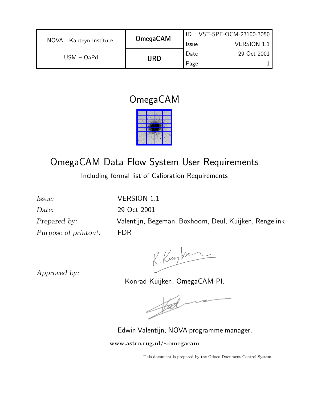|                          |                 |              | VST-SPE-OCM-23100-3050 |
|--------------------------|-----------------|--------------|------------------------|
| NOVA - Kapteyn Institute | <b>OmegaCAM</b> | <b>Issue</b> | <b>VERSION 1.1</b>     |
| $USM - OaPd$             | URD             | Date         | 29 Oct 2001            |
|                          |                 | Page         |                        |

## OmegaCAM



# OmegaCAM Data Flow System User Requirements

Including formal list of Calibration Requirements

Date: 29 Oct 2001 Purpose of printout: FDR

Issue: VERSION 1.1 Prepared by: Valentijn, Begeman, Boxhoorn, Deul, Kuijken, Rengelink

K. Kurker

Approved by:

Konrad Kuijken, OmegaCAM PI.

 $\frac{1}{2}$ 

Edwin Valentijn, NOVA programme manager.

www.astro.rug.nl/∼omegacam

This document is prepared by the Odoco Document Control System.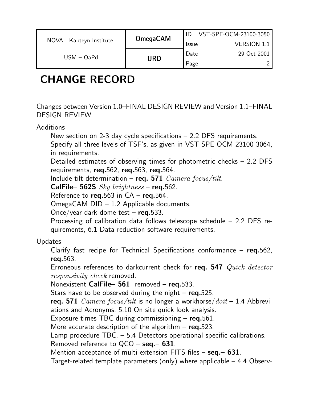|                          | <b>OmegaCAM</b> |              | VST-SPE-OCM-23100-3050 |
|--------------------------|-----------------|--------------|------------------------|
| NOVA - Kapteyn Institute |                 | <b>Issue</b> | <b>VERSION 1.1</b>     |
| $USM - OaPd$             | URD             | Date         | 29 Oct 2001            |
|                          |                 | Page         |                        |

# CHANGE RECORD

Changes between Version 1.0–FINAL DESIGN REVIEW and Version 1.1–FINAL DESIGN REVIEW

Additions

New section on 2-3 day cycle specifications – 2.2 DFS requirements. Specify all three levels of TSF's, as given in VST-SPE-OCM-23100-3064, in requirements.

Detailed estimates of observing times for photometric checks – 2.2 DFS requirements, req.562, req.563, req.564.

Include tilt determination – req. 571  $\emph{Camera focus/tilt}.$ 

CalFile– 562S  $Sky~brightness$  – req.562.

Reference to req.563 in  $CA - \text{req.}564$ .

OmegaCAM DID – 1.2 Applicable documents.

Once/year dark dome test  $-$  req.533.

Processing of calibration data follows telescope schedule – 2.2 DFS requirements, 6.1 Data reduction software requirements.

#### Updates

Clarify fast recipe for Technical Specifications conformance  $-$  req.562, req.563.

Erroneous references to darkcurrent check for req. 547 Quick detector responsivity check removed.

Nonexistent CalFile-561 removed - req.533.

Stars have to be observed during the night  $-$  req.525.

req. 571  $\textit{Camera}\, \textit{focus/tilt}$  is no longer a workhorse/ $\textit{doit} - 1.4$  Abbreviations and Acronyms, 5.10 On site quick look analysis.

Exposure times TBC during commissioning  $-$  reg. 561.

More accurate description of the algorithm  $-$  req.523.

Lamp procedure TBC. – 5.4 Detectors operational specific calibrations.

Removed reference to  $QCO -$ **seq.–631**.

Mention acceptance of multi-extension FITS files  $-$  seq. $-$  631.

Target-related template parameters (only) where applicable – 4.4 Observ-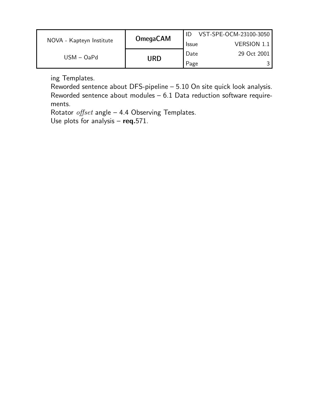|                          | <b>OmegaCAM</b> |              | VST-SPE-OCM-23100-3050 |
|--------------------------|-----------------|--------------|------------------------|
| NOVA - Kapteyn Institute |                 | <b>Issue</b> | VERSION 1.1            |
| $USM - OaPd$             |                 | Date         | 29 Oct 2001            |
|                          | URD             | Page         |                        |

ing Templates.

Reworded sentence about DFS-pipeline – 5.10 On site quick look analysis. Reworded sentence about modules – 6.1 Data reduction software requirements.

Rotator  $offset$  angle – 4.4 Observing Templates.

Use plots for analysis  $-$  req.571.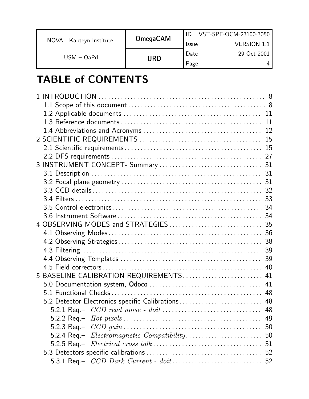|                          | <b>OmegaCAM</b> |              | VST-SPE-OCM-23100-3050 |
|--------------------------|-----------------|--------------|------------------------|
| NOVA - Kapteyn Institute |                 | <b>Issue</b> | <b>VERSION 1.1</b>     |
| $USM - OaPd$             |                 | Date         | 29 Oct 2001            |
|                          | URD             | Page         |                        |

# TABLE of CONTENTS

|                                                   | -31 |
|---------------------------------------------------|-----|
|                                                   |     |
|                                                   |     |
|                                                   |     |
|                                                   |     |
|                                                   |     |
|                                                   |     |
|                                                   |     |
|                                                   |     |
|                                                   |     |
|                                                   |     |
|                                                   |     |
| 5 BASELINE CALIBRATION REQUIREMENTS 41            |     |
|                                                   |     |
|                                                   |     |
| 5.2 Detector Electronics specific Calibrations 48 |     |
|                                                   |     |
|                                                   |     |
|                                                   |     |
|                                                   |     |
|                                                   |     |
|                                                   |     |
|                                                   |     |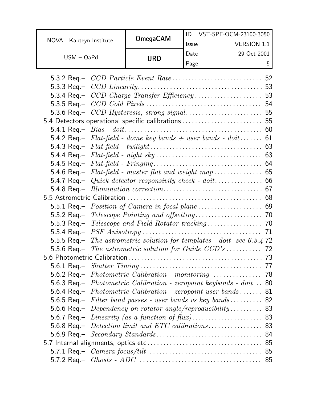|                          | <b>OmegaCAM</b> |              | VST-SPE-OCM-23100-3050 |
|--------------------------|-----------------|--------------|------------------------|
| NOVA - Kapteyn Institute |                 | <b>Issue</b> | <b>VERSION 1.1</b>     |
| $USM - OaPd$             | URD             | Date         | 29 Oct 2001            |
|                          |                 | Page         | г.                     |

| 5.3.6 Req.- CCD Hysteresis, strong signal 55                              |  |
|---------------------------------------------------------------------------|--|
| 5.4 Detectors operational specific calibrations  55                       |  |
|                                                                           |  |
| 5.4.2 Req.- $Flat-field$ - dome key bands + user bands - doit 61          |  |
|                                                                           |  |
|                                                                           |  |
|                                                                           |  |
|                                                                           |  |
|                                                                           |  |
|                                                                           |  |
|                                                                           |  |
|                                                                           |  |
|                                                                           |  |
|                                                                           |  |
|                                                                           |  |
| 5.5.5 Req.- The astrometric solution for templates - doit -see 6.3.4 72   |  |
|                                                                           |  |
|                                                                           |  |
|                                                                           |  |
|                                                                           |  |
| 5.6.3 Req.- <i>Photometric Calibration - zeropoint keybands - doit</i> 80 |  |
| 5.6.4 Req. – <i>Photometric Calibration - zeropoint user bands</i> 81     |  |
| 5.6.5 Req. – Filter band passes - user bands vs key bands 82              |  |
| 5.6.6 Req. – Dependency on rotator angle/reproducibility 83               |  |
|                                                                           |  |
|                                                                           |  |
|                                                                           |  |
|                                                                           |  |
|                                                                           |  |
|                                                                           |  |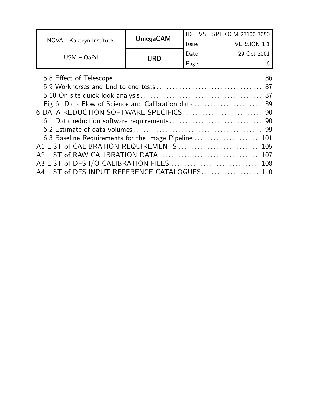|                                                                                                                                                      |                 |              | ID VST-SPE-OCM-23100-3050 |
|------------------------------------------------------------------------------------------------------------------------------------------------------|-----------------|--------------|---------------------------|
| NOVA - Kapteyn Institute                                                                                                                             | <b>OmegaCAM</b> | <b>Issue</b> | <b>VERSION 1.1</b>        |
| $USM - OaPd$                                                                                                                                         |                 | Date         | 29 Oct 2001               |
|                                                                                                                                                      | <b>URD</b>      | Page         | 6                         |
| Fig 6. Data Flow of Science and Calibration data  89<br>6.3 Baseline Requirements for the Image Pipeline<br>A1 LIST of CALIBRATION REQUIREMENTS  105 |                 |              | 101<br>107                |

A4 LIST of DFS INPUT REFERENCE CATALOGUES................... 110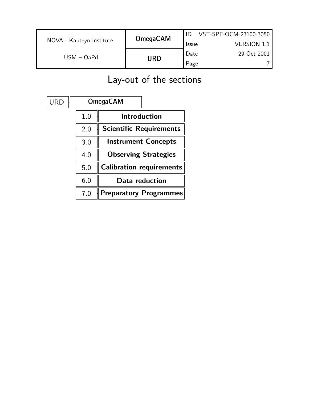|                          | <b>OmegaCAM</b> |              | VST-SPE-OCM-23100-3050 |
|--------------------------|-----------------|--------------|------------------------|
| NOVA - Kapteyn Institute |                 | <b>Issue</b> | <b>VERSION 1.1</b>     |
| $USM - OaPd$             |                 |              | 29 Oct 2001            |
|                          | URD             | Page         |                        |

# Lay-out of the sections

| <b>OmegaCAM</b>                 |     | <b>URD</b> |
|---------------------------------|-----|------------|
| Introduction                    | 1.0 |            |
| <b>Scientific Requirements</b>  | 2.0 |            |
| <b>Instrument Concepts</b>      | 3.0 |            |
| <b>Observing Strategies</b>     | 4.0 |            |
| <b>Calibration requirements</b> | 5.0 |            |
| Data reduction                  | 6.0 |            |
| <b>Preparatory Programmes</b>   | 7.0 |            |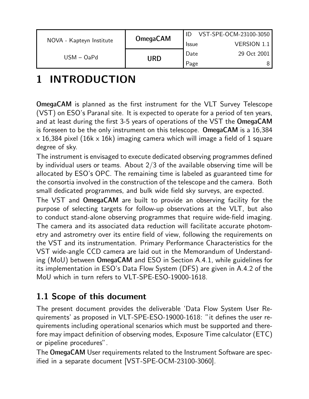|                          | <b>OmegaCAM</b> |              | VST-SPE-OCM-23100-3050 |
|--------------------------|-----------------|--------------|------------------------|
| NOVA - Kapteyn Institute |                 | <b>Issue</b> | VERSION 1.1            |
| $USM - OaPd$             |                 | Date         | 29 Oct 2001            |
|                          | URD             | Page         |                        |

# 1 INTRODUCTION

OmegaCAM is planned as the first instrument for the VLT Survey Telescope (VST) on ESO's Paranal site. It is expected to operate for a period of ten years, and at least during the first 3-5 years of operations of the VST the OmegaCAM is foreseen to be the only instrument on this telescope. OmegaCAM is a 16,384  $\times$  16,384 pixel (16k  $\times$  16k) imaging camera which will image a field of 1 square degree of sky.

The instrument is envisaged to execute dedicated observing programmes defined by individual users or teams. About 2/3 of the available observing time will be allocated by ESO's OPC. The remaining time is labeled as guaranteed time for the consortia involved in the construction of the telescope and the camera. Both small dedicated programmes, and bulk wide field sky surveys, are expected.

The VST and OmegaCAM are built to provide an observing facility for the purpose of selecting targets for follow-up observations at the VLT, but also to conduct stand-alone observing programmes that require wide-field imaging. The camera and its associated data reduction will facilitate accurate photometry and astrometry over its entire field of view, following the requirements on the VST and its instrumentation. Primary Performance Characteristics for the VST wide-angle CCD camera are laid out in the Memorandum of Understanding (MoU) between OmegaCAM and ESO in Section A.4.1, while guidelines for its implementation in ESO's Data Flow System (DFS) are given in A.4.2 of the MoU which in turn refers to VLT-SPE-ESO-19000-1618.

## 1.1 Scope of this document

The present document provides the deliverable 'Data Flow System User Requirements' as proposed in VLT-SPE-ESO-19000-1618: "it defines the user requirements including operational scenarios which must be supported and therefore may impact definition of observing modes, Exposure Time calculator (ETC) or pipeline procedures".

The OmegaCAM User requirements related to the Instrument Software are specified in a separate document [VST-SPE-OCM-23100-3060].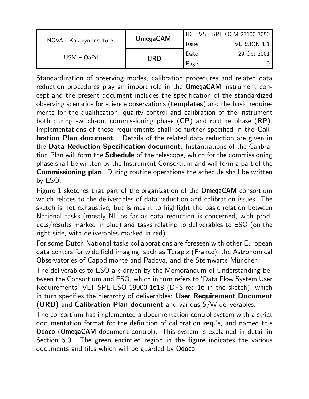|                          | <b>OmegaCAM</b> |              | VST-SPE-OCM-23100-3050 |
|--------------------------|-----------------|--------------|------------------------|
| NOVA - Kapteyn Institute |                 | <b>Issue</b> | <b>VERSION 1.1</b>     |
| $USM - OaPd$             | URD             | Date         | 29 Oct 2001            |
|                          |                 | Page         |                        |

Standardization of observing modes, calibration procedures and related data reduction procedures play an import role in the OmegaCAM instrument concept and the present document includes the specification of the standardized observing scenarios for science observations (templates) and the basic requirements for the qualification, quality control and calibration of the instrument both during switch-on, commissioning phase (CP) and routine phase (RP). Implementations of these requirements shall be further specified in the Cali**bration Plan document**. Details of the related data reduction are given in the Data Reduction Specification document. Instantiations of the Calibration Plan will form the Schedule of the telescope, which for the commissioning phase shall be written by the Instrument Consortium and will form a part of the Commissioning plan. During routine operations the schedule shall be written by ESO.

Figure 1 sketches that part of the organization of the OmegaCAM consortium which relates to the deliverables of data reduction and calibration issues. The sketch is not exhaustive, but is meant to highlight the basic relation between National tasks (mostly NL as far as data reduction is concerned, with products/results marked in blue) and tasks relating to deliverables to ESO (on the right side, with deliverables marked in red).

For some Dutch National tasks collaborations are foreseen with other European data centers for wide field imaging, such as Terapix (France), the Astronomical Observatories of Capodimonte and Padova, and the Sternwarte München.

The deliverables to ESO are driven by the Memorandum of Understanding between the Consortium and ESO, which in turn refers to 'Data Flow System User Requirements' VLT-SPE-ESO-19000-1618 (DFS-req-16 in the sketch), which in turn specifies the hierarchy of deliverables: User Requirement Document (URD) and Calibration Plan document and various S/W deliverables.

The consortium has implemented a documentation control system with a strict documentation format for the definition of calibration req.'s, and named this Odoco (OmegaCAM document control). This system is explained in detail in Section 5.0. The green encircled region in the figure indicates the various documents and files which will be guarded by Odoco.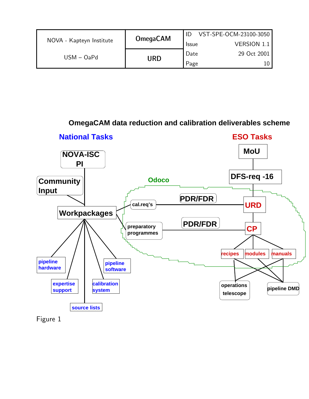|                          | <b>OmegaCAM</b> |              | VST-SPE-OCM-23100-3050 |
|--------------------------|-----------------|--------------|------------------------|
| NOVA - Kapteyn Institute |                 | <b>Issue</b> | <b>VERSION 1.1</b>     |
| $USM - OaPd$             | URD             | Date         | 29 Oct 2001            |
|                          |                 | Page         |                        |

#### **OmegaCAM data reduction and calibration deliverables scheme**



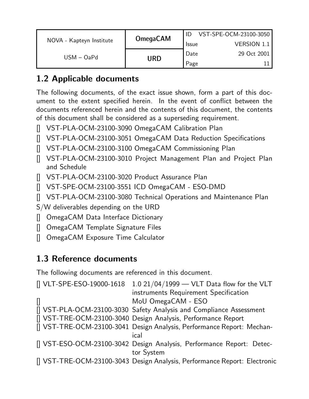|                          | <b>OmegaCAM</b> |              | VST-SPE-OCM-23100-3050 |
|--------------------------|-----------------|--------------|------------------------|
| NOVA - Kapteyn Institute |                 | <b>Issue</b> | <b>VERSION 1.1</b>     |
| $USM - OaPd$             |                 | Date         | 29 Oct 2001            |
|                          | URD             | Page         |                        |

## 1.2 Applicable documents

The following documents, of the exact issue shown, form a part of this document to the extent specified herein. In the event of conflict between the documents referenced herein and the contents of this document, the contents of this document shall be considered as a superseding requirement.

- [] VST-PLA-OCM-23100-3090 OmegaCAM Calibration Plan
- [] VST-PLA-OCM-23100-3051 OmegaCAM Data Reduction Specifications
- [] VST-PLA-OCM-23100-3100 OmegaCAM Commissioning Plan
- [] VST-PLA-OCM-23100-3010 Project Management Plan and Project Plan and Schedule
- [] VST-PLA-OCM-23100-3020 Product Assurance Plan
- [] VST-SPE-OCM-23100-3551 ICD OmegaCAM ESO-DMD
- [] VST-PLA-OCM-23100-3080 Technical Operations and Maintenance Plan
- S/W deliverables depending on the URD
- [] OmegaCAM Data Interface Dictionary
- [] OmegaCAM Template Signature Files
- [] OmegaCAM Exposure Time Calculator

### 1.3 Reference documents

The following documents are referenced in this document.

| [] VLT-SPE-ESO-19000-1618 | 1.0 $21/04/1999$ - VLT Data flow for the VLT                                        |
|---------------------------|-------------------------------------------------------------------------------------|
|                           | instruments Requirement Specification                                               |
|                           | MoU OmegaCAM - ESO                                                                  |
|                           | [] VST-PLA-OCM-23100-3030 Safety Analysis and Compliance Assessment                 |
|                           | [] VST-TRE-OCM-23100-3040 Design Analysis, Performance Report                       |
|                           | [] VST-TRE-OCM-23100-3041 Design Analysis, Performance Report: Mechan-<br>ical      |
|                           | [] VST-ESO-OCM-23100-3042 Design Analysis, Performance Report: Detec-<br>tor System |
|                           | [] VST-TRE-OCM-23100-3043 Design Analysis, Performance Report: Electronic           |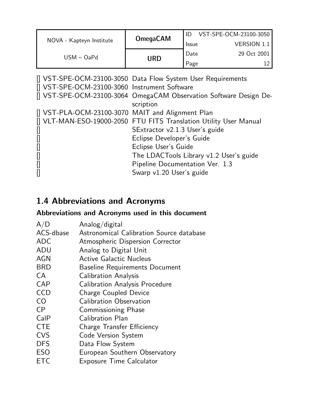|                                                                                                                                                            | <b>OmegaCAM</b>                                                    | ID VST-SPE-OCM-23100-3050 |                    |  |
|------------------------------------------------------------------------------------------------------------------------------------------------------------|--------------------------------------------------------------------|---------------------------|--------------------|--|
| NOVA - Kapteyn Institute                                                                                                                                   |                                                                    | <b>Issue</b>              | <b>VERSION 1.1</b> |  |
| $USM - OaPd$                                                                                                                                               | <b>URD</b>                                                         | Date                      | 29 Oct 2001        |  |
|                                                                                                                                                            |                                                                    | Page                      | 12                 |  |
| [] VST-SPE-OCM-23100-3050 Data Flow System User Requirements                                                                                               |                                                                    |                           |                    |  |
| [] VST-SPE-OCM-23100-3060 Instrument Software                                                                                                              |                                                                    |                           |                    |  |
|                                                                                                                                                            | [] VST-SPE-OCM-23100-3064 OmegaCAM Observation Software Design De- |                           |                    |  |
|                                                                                                                                                            | scription                                                          |                           |                    |  |
| [] VST-PLA-OCM-23100-3070 MAIT and Alignment Plan                                                                                                          |                                                                    |                           |                    |  |
| [] VLT-MAN-ESO-19000-2050 FTU FITS Translation Utility User Manual                                                                                         |                                                                    |                           |                    |  |
| 0                                                                                                                                                          | SExtractor v2.1.3 User's guide                                     |                           |                    |  |
| []                                                                                                                                                         | Eclipse Developer's Guide                                          |                           |                    |  |
| $[] \centering \includegraphics[width=0.47\textwidth]{images/TrDiM1.png} \caption{The first two different values of $d \sim 10^{-4}$.} \label{TrDiM1.png}$ | Eclipse User's Guide                                               |                           |                    |  |
| []                                                                                                                                                         | The LDACTools Library v1.2 User's guide                            |                           |                    |  |
| []                                                                                                                                                         | Pipeline Documentation Ver. 1.3                                    |                           |                    |  |
| []                                                                                                                                                         | Swarp v1.20 User's guide                                           |                           |                    |  |

## 1.4 Abbreviations and Acronyms

### Abbreviations and Acronyms used in this document

| A/D            | Analog/digital                           |
|----------------|------------------------------------------|
| ACS-dbase      | Astronomical Calibration Source database |
| <b>ADC</b>     | Atmospheric Dispersion Corrector         |
| <b>ADU</b>     | Analog to Digital Unit                   |
| <b>AGN</b>     | <b>Active Galactic Nucleus</b>           |
| <b>BRD</b>     | <b>Baseline Requirements Document</b>    |
| CA             | <b>Calibration Analysis</b>              |
| <b>CAP</b>     | <b>Calibration Analysis Procedure</b>    |
| <b>CCD</b>     | <b>Charge Coupled Device</b>             |
| C <sub>O</sub> | Calibration Observation                  |
| CP             | <b>Commissioning Phase</b>               |
| CalP           | <b>Calibration Plan</b>                  |
| <b>CTE</b>     | Charge Transfer Efficiency               |
| <b>CVS</b>     | <b>Code Version System</b>               |
| <b>DFS</b>     | Data Flow System                         |
| <b>ESO</b>     | European Southern Observatory            |
| ETC            | <b>Exposure Time Calculator</b>          |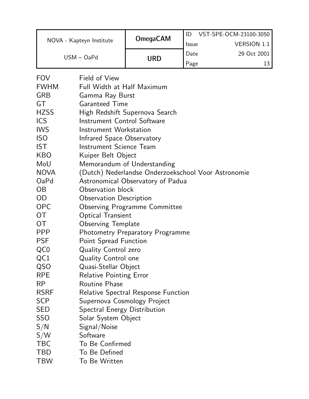|             |                                         |                                                     | ID    | VST-SPE-OCM-23100-3050 |
|-------------|-----------------------------------------|-----------------------------------------------------|-------|------------------------|
|             | NOVA - Kapteyn Institute                | <b>OmegaCAM</b>                                     | Issue | <b>VERSION 1.1</b>     |
|             | $USM - OaPd$                            |                                                     | Date  | 29 Oct 2001            |
|             |                                         | <b>URD</b>                                          | Page  | 13                     |
| <b>FOV</b>  | Field of View                           |                                                     |       |                        |
| <b>FWHM</b> | Full Width at Half Maximum              |                                                     |       |                        |
| <b>GRB</b>  | Gamma Ray Burst                         |                                                     |       |                        |
| GT          | <b>Garanteed Time</b>                   |                                                     |       |                        |
| <b>HZSS</b> |                                         | High Redshift Supernova Search                      |       |                        |
| <b>ICS</b>  | <b>Instrument Control Software</b>      |                                                     |       |                        |
| <b>IWS</b>  | Instrument Workstation                  |                                                     |       |                        |
| <b>ISO</b>  | Infrared Space Observatory              |                                                     |       |                        |
| <b>IST</b>  | Instrument Science Team                 |                                                     |       |                        |
| <b>KBO</b>  | Kuiper Belt Object                      |                                                     |       |                        |
| MoU         |                                         | Memorandum of Understanding                         |       |                        |
| <b>NOVA</b> |                                         | (Dutch) Nederlandse Onderzoekschool Voor Astronomie |       |                        |
| OaPd        |                                         | Astronomical Observatory of Padua                   |       |                        |
| <b>OB</b>   | Observation block                       |                                                     |       |                        |
| <b>OD</b>   | <b>Observation Description</b>          |                                                     |       |                        |
| <b>OPC</b>  | <b>Observing Programme Committee</b>    |                                                     |       |                        |
| <b>OT</b>   | <b>Optical Transient</b>                |                                                     |       |                        |
| <b>OT</b>   | <b>Observing Template</b>               |                                                     |       |                        |
| <b>PPP</b>  | <b>Photometry Preparatory Programme</b> |                                                     |       |                        |
| <b>PSF</b>  | Point Spread Function                   |                                                     |       |                        |
| QC0         | <b>Quality Control zero</b>             |                                                     |       |                        |
| QC1         | <b>Quality Control one</b>              |                                                     |       |                        |
| QSO         | Quasi-Stellar Object                    |                                                     |       |                        |
| <b>RPE</b>  | <b>Relative Pointing Error</b>          |                                                     |       |                        |
| <b>RP</b>   | <b>Routine Phase</b>                    |                                                     |       |                        |
| <b>RSRF</b> |                                         | <b>Relative Spectral Response Function</b>          |       |                        |
| <b>SCP</b>  | Supernova Cosmology Project             |                                                     |       |                        |
| <b>SED</b>  | <b>Spectral Energy Distribution</b>     |                                                     |       |                        |
| <b>SSO</b>  | Solar System Object                     |                                                     |       |                        |
| S/N         | Signal/Noise                            |                                                     |       |                        |
| S/W         | Software                                |                                                     |       |                        |
| <b>TBC</b>  | To Be Confirmed                         |                                                     |       |                        |
| <b>TBD</b>  | To Be Defined                           |                                                     |       |                        |
| <b>TBW</b>  | To Be Written                           |                                                     |       |                        |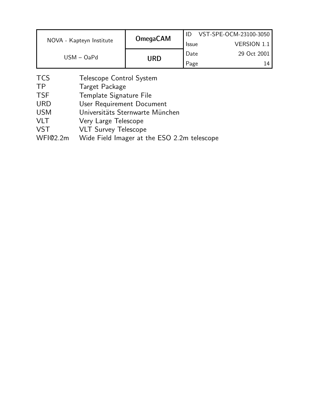|                          | <b>OmegaCAM</b> |              | VST-SPE-OCM-23100-3050 |
|--------------------------|-----------------|--------------|------------------------|
| NOVA - Kapteyn Institute |                 | <b>Issue</b> | <b>VERSION 1.1</b>     |
| $USM - OaPd$             |                 | Date         | 29 Oct 2001            |
|                          | URD             | Page         | 14                     |

- TCS Telescope Control System
- TP Target Package
- TSF Template Signature File
- URD User Requirement Document
- USM Universitäts Sternwarte München
- VLT Very Large Telescope
- VST VLT Survey Telescope
- WFI@2.2m Wide Field Imager at the ESO 2.2m telescope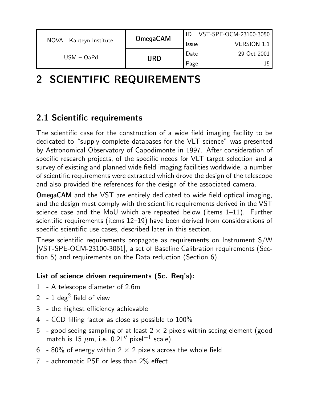|                          | <b>OmegaCAM</b> |              | VST-SPE-OCM-23100-3050 |
|--------------------------|-----------------|--------------|------------------------|
| NOVA - Kapteyn Institute |                 | <b>Issue</b> | <b>VERSION 1.1</b>     |
| $USM - OaPd$             | URD             | Date         | 29 Oct 2001            |
|                          |                 | Page         | 15                     |

# 2 SCIENTIFIC REQUIREMENTS

### 2.1 Scientific requirements

The scientific case for the construction of a wide field imaging facility to be dedicated to "supply complete databases for the VLT science" was presented by Astronomical Observatory of Capodimonte in 1997. After consideration of specific research projects, of the specific needs for VLT target selection and a survey of existing and planned wide field imaging facilities worldwide, a number of scientific requirements were extracted which drove the design of the telescope and also provided the references for the design of the associated camera.

OmegaCAM and the VST are entirely dedicated to wide field optical imaging, and the design must comply with the scientific requirements derived in the VST science case and the MoU which are repeated below (items 1–11). Further scientific requirements (items 12–19) have been derived from considerations of specific scientific use cases, described later in this section.

These scientific requirements propagate as requirements on Instrument S/W [VST-SPE-OCM-23100-3061], a set of Baseline Calibration requirements (Section 5) and requirements on the Data reduction (Section 6).

#### List of science driven requirements (Sc. Req's):

- 1 A telescope diameter of 2.6m
- 2 1 deg<sup>2</sup> field of view
- 3 the highest efficiency achievable
- 4 CCD filling factor as close as possible to 100%
- 5 good seeing sampling of at least  $2 \times 2$  pixels within seeing element (good match is 15  $\mu$ m, i.e. 0.21" pixel<sup>-1</sup> scale)
- 6 80% of energy within 2  $\times$  2 pixels across the whole field
- 7 achromatic PSF or less than 2% effect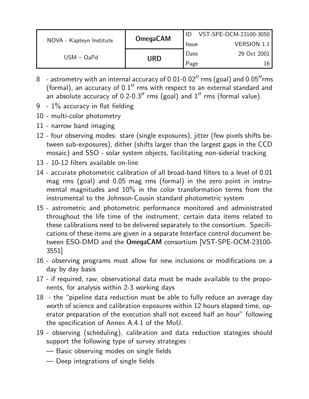|                          | <b>OmegaCAM</b> |              | VST-SPE-OCM-23100-3050 |
|--------------------------|-----------------|--------------|------------------------|
| NOVA - Kapteyn Institute |                 | <b>Issue</b> | <b>VERSION 1.1</b>     |
| $USM - OaPd$             | URD             | Date         | 29 Oct 2001            |
|                          |                 | Page         |                        |

- 8 astrometry with an internal accuracy of  $0.01$ - $0.02$ " rms (goal) and  $0.05$ " rms (formal), an accuracy of  $0.1''$  rms with respect to an external standard and an absolute accuracy of  $0.2$ - $0.3$ " rms (goal) and  $1$ " rms (formal value).
- 9  $1\%$  accuracy in flat fielding
- 10 multi-color photometry
- 11 narrow band imaging
- 12 four observing modes: stare (single exposures), jitter (few pixels shifts between sub-exposures), dither (shifts larger than the largest gaps in the CCD mosaic) and SSO - solar system objects, facilitating non-siderial tracking
- 13 10-12 filters available on-line
- 14 accurate photometric calibration of all broad-band filters to a level of 0.01 mag rms (goal) and 0.05 mag rms (formal) in the zero point in instrumental magnitudes and 10% in the color transformation terms from the instrumental to the Johnson-Cousin standard photometric system
- 15 astrometric and photometric performance monitored and administrated throughout the life time of the instrument; certain data items related to these calibrations need to be delivered separately to the consortium. Specifications of these items are given in a separate Interface control document between ESO-DMD and the OmegaCAM consortium [VST-SPE-OCM-23100- 3551]
- 16 observing programs must allow for new inclusions or modifications on a day by day basis
- 17 if required, raw, observational data must be made available to the proponents, for analysis within 2-3 working days
- 18 the "pipeline data reduction must be able to fully reduce an average day worth of science and calibration exposures within 12 hours elapsed time, operator preparation of the execution shall not exceed half an hour" following the specification of Annex A.4.1 of the MoU.
- 19 observing (scheduling), calibration and data reduction stategies should support the following type of survey strategies :
	- Basic observing modes on single fields
	- Deep integrations of single fields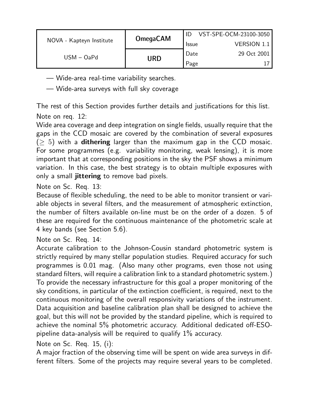|                          | <b>OmegaCAM</b> |              | VST-SPE-OCM-23100-3050 |
|--------------------------|-----------------|--------------|------------------------|
| NOVA - Kapteyn Institute |                 | <b>Issue</b> | VERSION 1.1            |
| $USM - OaPd$             |                 | Date         | 29 Oct 2001            |
|                          | <b>URD</b>      | Page         |                        |

- Wide-area real-time variability searches.
- Wide-area surveys with full sky coverage

The rest of this Section provides further details and justifications for this list. Note on req. 12:

Wide area coverage and deep integration on single fields, usually require that the gaps in the CCD mosaic are covered by the combination of several exposures  $(≥ 5)$  with a **dithering** larger than the maximum gap in the CCD mosaic. For some programmes (e.g. variability monitoring, weak lensing), it is more important that at corresponding positions in the sky the PSF shows a minimum variation. In this case, the best strategy is to obtain multiple exposures with only a small jittering to remove bad pixels.

Note on Sc. Req. 13:

Because of flexible scheduling, the need to be able to monitor transient or variable objects in several filters, and the measurement of atmospheric extinction, the number of filters available on-line must be on the order of a dozen. 5 of these are required for the continuous maintenance of the photometric scale at 4 key bands (see Section 5.6).

Note on Sc. Req. 14:

Accurate calibration to the Johnson-Cousin standard photometric system is strictly required by many stellar population studies. Required accuracy for such programmes is 0.01 mag. (Also many other programs, even those not using standard filters, will require a calibration link to a standard photometric system.) To provide the necessary infrastructure for this goal a proper monitoring of the sky conditions, in particular of the extinction coefficient, is required, next to the continuous monitoring of the overall responsivity variations of the instrument. Data acquisition and baseline calibration plan shall be designed to achieve the goal, but this will not be provided by the standard pipeline, which is required to achieve the nominal 5% photometric accuracy. Additional dedicated off-ESOpipeline data-analysis will be required to qualify 1% accuracy.

#### Note on Sc. Req. 15, (i):

A major fraction of the observing time will be spent on wide area surveys in different filters. Some of the projects may require several years to be completed.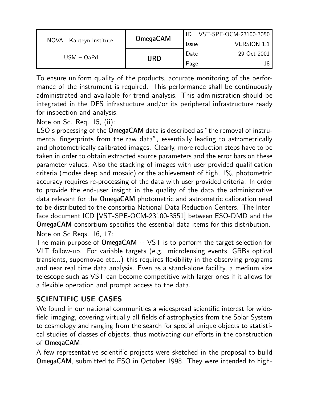|                          | <b>OmegaCAM</b> |              | VST-SPE-OCM-23100-3050 |
|--------------------------|-----------------|--------------|------------------------|
| NOVA - Kapteyn Institute |                 | <b>Issue</b> | <b>VERSION 1.1</b>     |
| $USM - OaPd$             |                 | Date         | 29 Oct 2001            |
|                          | URD             | Page         | 18                     |

To ensure uniform quality of the products, accurate monitoring of the performance of the instrument is required. This performance shall be continuously administrated and available for trend analysis. This administration should be integrated in the DFS infrastucture and/or its peripheral infrastructure ready for inspection and analysis.

Note on Sc. Req. 15, (ii):

ESO's processing of the OmegaCAM data is described as "the removal of instrumental fingerprints from the raw data", essentially leading to astrometrically and photometrically calibrated images. Clearly, more reduction steps have to be taken in order to obtain extracted source parameters and the error bars on these parameter values. Also the stacking of images with user provided qualification criteria (modes deep and mosaic) or the achievement of high, 1%, photometric accuracy requires re-processing of the data with user provided criteria. In order to provide the end-user insight in the quality of the data the administrative data relevant for the OmegaCAM photometric and astrometric calibration need to be distributed to the consortia National Data Reduction Centers. The Interface document ICD [VST-SPE-OCM-23100-3551] between ESO-DMD and the OmegaCAM consortium specifies the essential data items for this distribution. Note on Sc Reqs. 16, 17:

The main purpose of  $OmegaAM + VST$  is to perform the target selection for VLT follow-up. For variable targets (e.g. microlensing events, GRBs optical transients, supernovae etc...) this requires flexibility in the observing programs and near real time data analysis. Even as a stand-alone facility, a medium size telescope such as VST can become competitive with larger ones if it allows for a flexible operation and prompt access to the data.

### SCIENTIFIC USE CASES

We found in our national communities a widespread scientific interest for widefield imaging, covering virtually all fields of astrophysics from the Solar System to cosmology and ranging from the search for special unique objects to statistical studies of classes of objects, thus motivating our efforts in the construction of OmegaCAM.

A few representative scientific projects were sketched in the proposal to build OmegaCAM, submitted to ESO in October 1998. They were intended to high-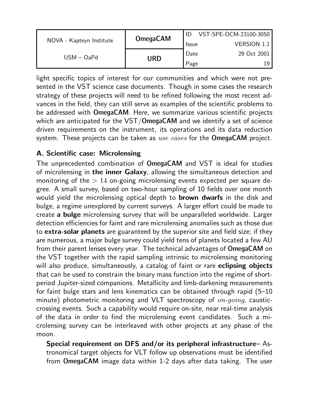|                          |                 |              | VST-SPE-OCM-23100-3050 |
|--------------------------|-----------------|--------------|------------------------|
| NOVA - Kapteyn Institute | <b>OmegaCAM</b> | <b>Issue</b> | <b>VERSION 1.1</b>     |
| $USM - OaPd$             |                 | Date         | 29 Oct 2001            |
|                          | URD             | Page         |                        |

light specific topics of interest for our communities and which were not presented in the VST science case documents. Though in some cases the research strategy of these projects will need to be refined following the most recent advances in the field, they can still serve as examples of the scientific problems to be addressed with OmegaCAM. Here, we summarize various scientific projects which are anticipated for the VST/OmegaCAM and we identify a set of science driven requirements on the instrument, its operations and its data reduction system. These projects can be taken as use cases for the OmegaCAM project.

#### A. Scientific case: Microlensing

The unprecedented combination of OmegaCAM and VST is ideal for studies of microlensing in the inner Galaxy, allowing the simultaneous detection and monitoring of the  $> 14$  on-going microlensing events expected per square degree. A small survey, based on two-hour sampling of 10 fields over one month would yield the microlensing optical depth to **brown dwarfs** in the disk and bulge, a regime unexplored by current surveys. A larger effort could be made to create a bulge microlensing survey that will be unparalleled worldwide. Larger detection efficiencies for faint and rare microlensing anomalies such as those due to extra-solar planets are guaranteed by the superior site and field size; if they are numerous, a major bulge survey could yield tens of planets located a few AU from their parent lenses every year. The technical advantages of OmegaCAM on the VST together with the rapid sampling intrinsic to microlensing monitoring will also produce, simultaneously, a catalog of faint or rare eclipsing objects that can be used to constrain the binary mass function into the regime of shortperiod Jupiter-sized companions. Metallicity and limb-darkening measurements for faint bulge stars and lens kinematics can be obtained through rapid (5–10 minute) photometric monitoring and VLT spectroscopy of  $on\text{-}going$ , causticcrossing events. Such a capability would require on-site, near real-time analysis of the data in order to find the microlensing event candidates. Such a microlensing survey can be interleaved with other projects at any phase of the moon.

Special requirement on DFS and/or its peripheral infrastructure– Astronomical target objects for VLT follow up observations must be identified from OmegaCAM image data within 1-2 days after data taking. The user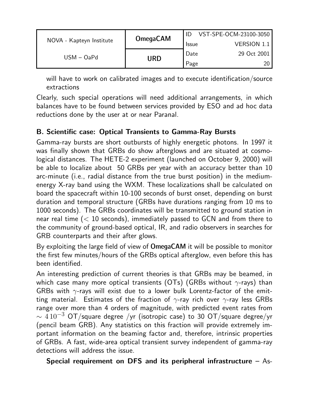|                          | <b>OmegaCAM</b> |              | VST-SPE-OCM-23100-3050 |
|--------------------------|-----------------|--------------|------------------------|
| NOVA - Kapteyn Institute |                 | <b>Issue</b> | VERSION 1.1            |
| $USM - OaPd$             | URD             | Date         | 29 Oct 2001            |
|                          |                 | Page         |                        |

will have to work on calibrated images and to execute identification/source extractions

Clearly, such special operations will need additional arrangements, in which balances have to be found between services provided by ESO and ad hoc data reductions done by the user at or near Paranal.

#### B. Scientific case: Optical Transients to Gamma-Ray Bursts

Gamma-ray bursts are short outbursts of highly energetic photons. In 1997 it was finally shown that GRBs do show afterglows and are situated at cosmological distances. The HETE-2 experiment (launched on October 9, 2000) will be able to localize about 50 GRBs per year with an accuracy better than 10 arc-minute (i.e., radial distance from the true burst position) in the mediumenergy X-ray band using the WXM. These localizations shall be calculated on board the spacecraft within 10-100 seconds of burst onset, depending on burst duration and temporal structure (GRBs have durations ranging from 10 ms to 1000 seconds). The GRBs coordinates will be transmitted to ground station in near real time  $(< 10$  seconds), immediately passed to GCN and from there to the community of ground-based optical, IR, and radio observers in searches for GRB counterparts and their after glows.

By exploiting the large field of view of **OmegaCAM** it will be possible to monitor the first few minutes/hours of the GRBs optical afterglow, even before this has been identified.

An interesting prediction of current theories is that GRBs may be beamed, in which case many more optical transients (OTs) (GRBs without  $\gamma$ -rays) than GRBs with  $\gamma$ -rays will exist due to a lower bulk Lorentz-factor of the emitting material. Estimates of the fraction of  $\gamma$ -ray rich over  $\gamma$ -ray less GRBs range over more than 4 orders of magnitude, with predicted event rates from  $\sim 4\,10^{-3}$  OT/square degree /yr (isotropic case) to 30 OT/square degree/yr (pencil beam GRB). Any statistics on this fraction will provide extremely important information on the beaming factor and, therefore, intrinsic properties of GRBs. A fast, wide-area optical transient survey independent of gamma-ray detections will address the issue.

Special requirement on DFS and its peripheral infrastructure  $-$  As-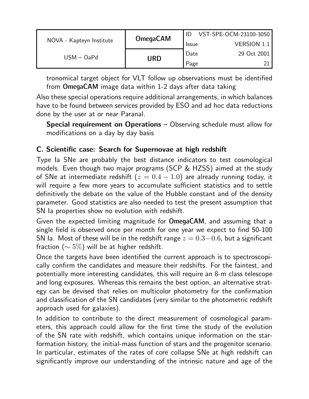|                          | <b>OmegaCAM</b> |              | VST-SPE-OCM-23100-3050 |
|--------------------------|-----------------|--------------|------------------------|
| NOVA - Kapteyn Institute |                 | <b>Issue</b> | <b>VERSION 1.1</b>     |
| $USM - OaPd$             |                 | Date         | 29 Oct 2001            |
|                          | URD             | Page         |                        |

tronomical target object for VLT follow up observations must be identified from OmegaCAM image data within 1-2 days after data taking

Also these special operations require additional arrangements, in which balances have to be found between services provided by ESO and ad hoc data reductions done by the user at or near Paranal.

Special requirement on Operations – Observing schedule must allow for modifications on a day by day basis

#### C. Scientific case: Search for Supernovae at high redshift

Type Ia SNe are probably the best distance indicators to test cosmological models. Even though two major programs (SCP & HZSS) aimed at the study of SNe at intermediate redshift ( $z = 0.4 - 1.0$ ) are already running today, it will require a few more years to accumulate sufficient statistics and to settle definitively the debate on the value of the Hubble constant and of the density parameter. Good statistics are also needed to test the present assumption that SN Ia properties show no evolution with redshift.

Given the expected limiting magnitude for OmegaCAM, and assuming that a single field is observed once per month for one year we expect to find 50-100 SN Ia. Most of these will be in the redshift range  $z = 0.3 - 0.6$ , but a significant fraction ( $\sim 5\%$ ) will be at higher redshift.

Once the targets have been identified the current approach is to spectroscopically confirm the candidates and measure their redshifts. For the faintest, and potentially more interesting candidates, this will require an 8-m class telescope and long exposures. Whereas this remains the best option, an alternative strategy can be devised that relies on multicolor photometry for the confirmation and classification of the SN candidates (very similar to the photometric redshift approach used for galaxies).

In addition to contribute to the direct measurement of cosmological parameters, this approach could allow for the first time the study of the evolution of the SN rate with redshift, which contains unique information on the starformation history, the initial-mass function of stars and the progenitor scenario. In particular, estimates of the rates of core collapse SNe at high redshift can significantly improve our understanding of the intrinsic nature and age of the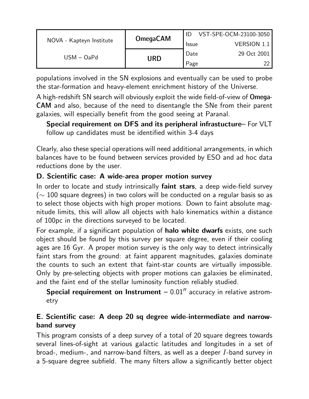|                          | <b>OmegaCAM</b> |              | VST-SPE-OCM-23100-3050 |
|--------------------------|-----------------|--------------|------------------------|
| NOVA - Kapteyn Institute |                 | <b>Issue</b> | <b>VERSION 1.1</b>     |
| $USM - OaPd$             |                 | Date         | 29 Oct 2001            |
|                          | URD             | Page         | າາ                     |

populations involved in the SN explosions and eventually can be used to probe the star-formation and heavy-element enrichment history of the Universe.

A high-redshift SN search will obviously exploit the wide field-of-view of Omega-CAM and also, because of the need to disentangle the SNe from their parent galaxies, will especially benefit from the good seeing at Paranal.

Special requirement on DFS and its peripheral infrastucture– For VLT follow up candidates must be identified within 3-4 days

Clearly, also these special operations will need additional arrangements, in which balances have to be found between services provided by ESO and ad hoc data reductions done by the user.

#### D. Scientific case: A wide-area proper motion survey

In order to locate and study intrinsically faint stars, a deep wide-field survey  $(\sim 100$  square degrees) in two colors will be conducted on a regular basis so as to select those objects with high proper motions. Down to faint absolute magnitude limits, this will allow all objects with halo kinematics within a distance of 100pc in the directions surveyed to be located.

For example, if a significant population of **halo white dwarfs** exists, one such object should be found by this survey per square degree, even if their cooling ages are 16 Gyr. A proper motion survey is the only way to detect intrinsically faint stars from the ground: at faint apparent magnitudes, galaxies dominate the counts to such an extent that faint-star counts are virtually impossible. Only by pre-selecting objects with proper motions can galaxies be eliminated, and the faint end of the stellar luminosity function reliably studied.

Special requirement on Instrument  $-0.01$ <sup>"</sup> accuracy in relative astrometry

#### E. Scientific case: A deep 20 sq degree wide-intermediate and narrowband survey

This program consists of a deep survey of a total of 20 square degrees towards several lines-of-sight at various galactic latitudes and longitudes in a set of broad-, medium-, and narrow-band filters, as well as a deeper I-band survey in a 5-square degree subfield. The many filters allow a significantly better object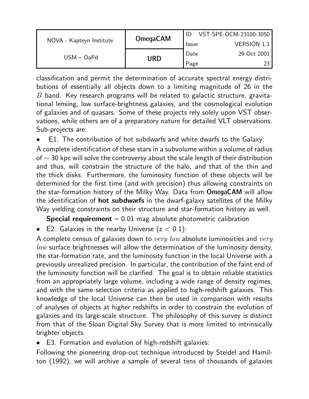|                          | <b>OmegaCAM</b> |              | VST-SPE-OCM-23100-3050 |
|--------------------------|-----------------|--------------|------------------------|
| NOVA - Kapteyn Institute |                 | <b>Issue</b> | <b>VERSION 1.1</b>     |
| $USM - OaPd$             |                 | Date         | 29 Oct 2001            |
|                          | URD             | Page         |                        |

classification and permit the determination of accurate spectral energy distributions of essentially all objects down to a limiting magnitude of 26 in the  $B$  band. Key research programs will be related to galactic structure, gravitational lensing, low surface-brightness galaxies, and the cosmological evolution of galaxies and of quasars. Some of these projects rely solely upon VST observations, while others are of a preparatory nature for detailed VLT observations. Sub-projects are:

• E1. The contribution of hot subdwarfs and white dwarfs to the Galaxy:

A complete identification of these stars in a subvolume within a volume of radius of  $\sim$  30 kpc will solve the controversy about the scale length of their distribution and thus, will constrain the structure of the halo, and that of the thin and the thick disks. Furthermore, the luminosity function of these objects will be determined for the first time (and with precision) thus allowing constraints on the star-formation history of the Milky Way. Data from OmegaCAM will allow the identification of hot subdwarfs in the dwarf-galaxy satellites of the Milky Way yielding constraints on their structure and star-formation history as well.

**Special requirement**  $-0.01$  mag absolute photometric calibration

• E2. Galaxies in the nearby Universe  $(z < 0.1)$ :

A complete census of galaxies down to  $very\ low$  absolute luminosities and  $very$  $low$  surface brightnesses will allow the determination of the luminosity density, the star-formation rate, and the luminosity function in the local Universe with a previously unrealized precision. In particular, the contribution of the faint end of the luminosity function will be clarified. The goal is to obtain reliable statistics from an appropriately large volume, including a wide range of density regimes, and with the same selection criteria as applied to high-redshift galaxies. This knowledge of the local Universe can then be used in comparison with results of analyses of objects at higher redshifts in order to constrain the evolution of galaxies and its large-scale structure. The philosophy of this survey is distinct from that of the Sloan Digital Sky Survey that is more limited to intrinsically brighter objects.

• E3. Formation and evolution of high-redshift galaxies:

Following the pioneering drop-out technique introduced by Steidel and Hamilton (1992), we will archive a sample of several tens of thousands of galaxies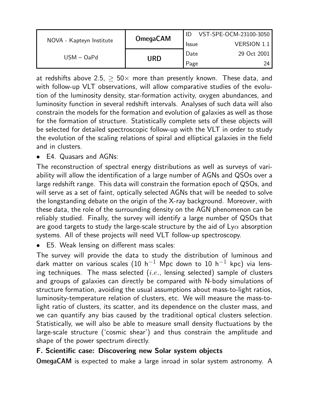|                          | <b>OmegaCAM</b> |              | VST-SPE-OCM-23100-3050 |
|--------------------------|-----------------|--------------|------------------------|
| NOVA - Kapteyn Institute |                 | <b>Issue</b> | <b>VERSION 1.1</b>     |
| $USM - OaPd$             |                 | Date         | 29 Oct 2001            |
|                          | URD             | Page         | 24                     |

at redshifts above 2.5,  $\geq$  50 $\times$  more than presently known. These data, and with follow-up VLT observations, will allow comparative studies of the evolution of the luminosity density, star-formation activity, oxygen abundances, and luminosity function in several redshift intervals. Analyses of such data will also constrain the models for the formation and evolution of galaxies as well as those for the formation of structure. Statistically complete sets of these objects will be selected for detailed spectroscopic follow-up with the VLT in order to study the evolution of the scaling relations of spiral and elliptical galaxies in the field and in clusters.

• E4. Quasars and AGNs:

The reconstruction of spectral energy distributions as well as surveys of variability will allow the identification of a large number of AGNs and QSOs over a large redshift range. This data will constrain the formation epoch of QSOs, and will serve as a set of faint, optically selected AGNs that will be needed to solve the longstanding debate on the origin of the X-ray background. Moreover, with these data, the role of the surrounding density on the AGN phenomenon can be reliably studied. Finally, the survey will identify a large number of QSOs that are good targets to study the large-scale structure by the aid of  $Ly\alpha$  absorption systems. All of these projects will need VLT follow-up spectroscopy.

• E5. Weak lensing on different mass scales:

The survey will provide the data to study the distribution of luminous and dark matter on various scales (10 h<sup>-1</sup> Mpc down to 10 h<sup>-1</sup> kpc) via lensing techniques. The mass selected  $(i.e.,$  lensing selected) sample of clusters and groups of galaxies can directly be compared with N-body simulations of structure formation, avoiding the usual assumptions about mass-to-light ratios, luminosity-temperature relation of clusters, etc. We will measure the mass-tolight ratio of clusters, its scatter, and its dependence on the cluster mass, and we can quantify any bias caused by the traditional optical clusters selection. Statistically, we will also be able to measure small density fluctuations by the large-scale structure ('cosmic shear') and thus constrain the amplitude and shape of the power spectrum directly.

#### F. Scientific case: Discovering new Solar system objects

OmegaCAM is expected to make a large inroad in solar system astronomy. A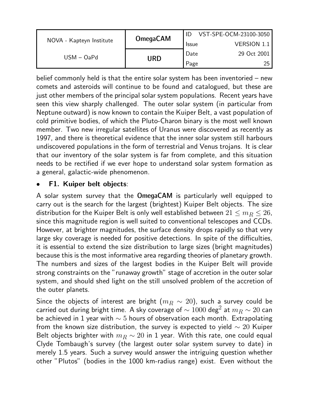|                          | <b>OmegaCAM</b> |              | VST-SPE-OCM-23100-3050 |
|--------------------------|-----------------|--------------|------------------------|
| NOVA - Kapteyn Institute |                 | <b>Issue</b> | <b>VERSION 1.1</b>     |
| $USM - OaPd$             | URD             | Date         | 29 Oct 2001            |
|                          |                 | Page         | 25                     |

belief commonly held is that the entire solar system has been inventoried – new comets and asteroids will continue to be found and catalogued, but these are just other members of the principal solar system populations. Recent years have seen this view sharply challenged. The outer solar system (in particular from Neptune outward) is now known to contain the Kuiper Belt, a vast population of cold primitive bodies, of which the Pluto-Charon binary is the most well known member. Two new irregular satellites of Uranus were discovered as recently as 1997, and there is theoretical evidence that the inner solar system still harbours undiscovered populations in the form of terrestrial and Venus trojans. It is clear that our inventory of the solar system is far from complete, and this situation needs to be rectified if we ever hope to understand solar system formation as a general, galactic-wide phenomenon.

#### • F1. Kuiper belt objects:

A solar system survey that the OmegaCAM is particularly well equipped to carry out is the search for the largest (brightest) Kuiper Belt objects. The size distribution for the Kuiper Belt is only well established between  $21 \le m_B \le 26$ , since this magnitude region is well suited to conventional telescopes and CCDs. However, at brighter magnitudes, the surface density drops rapidly so that very large sky coverage is needed for positive detections. In spite of the difficulties, it is essential to extend the size distribution to large sizes (bright magnitudes) because this is the most informative area regarding theories of planetary growth. The numbers and sizes of the largest bodies in the Kuiper Belt will provide strong constraints on the "runaway growth" stage of accretion in the outer solar system, and should shed light on the still unsolved problem of the accretion of the outer planets.

Since the objects of interest are bright ( $m_B \sim 20$ ), such a survey could be carried out during bright time. A sky coverage of  $\sim 1000$  deg $^2$  at  $m_R^{\parallel} \sim 20$  can be achieved in 1 year with  $\sim$  5 hours of observation each month. Extrapolating from the known size distribution, the survey is expected to yield  $\sim 20$  Kuiper Belt objects brighter with  $m_B \sim 20$  in 1 year. With this rate, one could equal Clyde Tombaugh's survey (the largest outer solar system survey to date) in merely 1.5 years. Such a survey would answer the intriguing question whether other "Plutos" (bodies in the 1000 km-radius range) exist. Even without the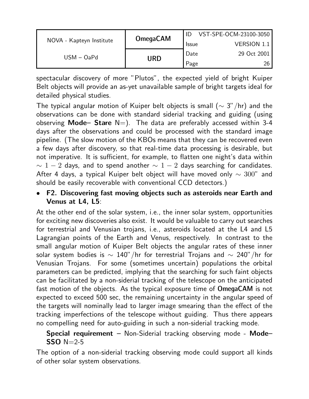|                          | <b>OmegaCAM</b> |              | VST-SPE-OCM-23100-3050 |
|--------------------------|-----------------|--------------|------------------------|
| NOVA - Kapteyn Institute |                 | <b>Issue</b> | <b>VERSION 1.1</b>     |
| $USM - OaPd$             |                 | Date         | 29 Oct 2001            |
|                          | URD             | Page         | 26                     |

spectacular discovery of more "Plutos", the expected yield of bright Kuiper Belt objects will provide an as-yet unavailable sample of bright targets ideal for detailed physical studies.

The typical angular motion of Kuiper belt objects is small ( $\sim$  3"/hr) and the observations can be done with standard siderial tracking and guiding (using observing Mode– Stare  $N=$ ). The data are preferably accessed within 3-4 days after the observations and could be processed with the standard image pipeline. (The slow motion of the KBOs means that they can be recovered even a few days after discovery, so that real-time data processing is desirable, but not imperative. It is sufficient, for example, to flatten one night's data within  $\sim 1 - 2$  days, and to spend another  $\sim 1 - 2$  days searching for candidates. After 4 days, a typical Kuiper belt object will have moved only  $\sim 300$ " and should be easily recoverable with conventional CCD detectors.)

• F2. Discovering fast moving objects such as asteroids near Earth and Venus at L4, L5:

At the other end of the solar system, i.e., the inner solar system, opportunities for exciting new discoveries also exist. It would be valuable to carry out searches for terrestrial and Venusian trojans, i.e., asteroids located at the L4 and L5 Lagrangian points of the Earth and Venus, respectively. In contrast to the small angular motion of Kuiper Belt objects the angular rates of these inner solar system bodies is  $\sim 140"$ /hr for terrestrial Trojans and  $\sim 240"$ /hr for Venusian Trojans. For some (sometimes uncertain) populations the orbital parameters can be predicted, implying that the searching for such faint objects can be facilitated by a non-siderial tracking of the telescope on the anticipated fast motion of the objects. As the typical exposure time of OmegaCAM is not expected to exceed 500 sec, the remaining uncertainty in the angular speed of the targets will nominally lead to larger image smearing than the effect of the tracking imperfections of the telescope without guiding. Thus there appears no compelling need for auto-guiding in such a non-siderial tracking mode.

#### **Special requirement**  $-$  Non-Siderial tracking observing mode - Mode- $SSO$  N=2-5

The option of a non-siderial tracking observing mode could support all kinds of other solar system observations.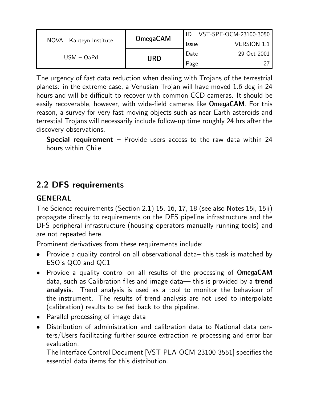|                          | <b>OmegaCAM</b> |              | VST-SPE-OCM-23100-3050 |
|--------------------------|-----------------|--------------|------------------------|
| NOVA - Kapteyn Institute |                 | <b>Issue</b> | <b>VERSION 1.1</b>     |
| $USM - OaPd$             | URD             | Date         | 29 Oct 2001            |
|                          |                 | Page         |                        |

The urgency of fast data reduction when dealing with Trojans of the terrestrial planets: in the extreme case, a Venusian Trojan will have moved 1.6 deg in 24 hours and will be difficult to recover with common CCD cameras. It should be easily recoverable, however, with wide-field cameras like OmegaCAM. For this reason, a survey for very fast moving objects such as near-Earth asteroids and terrestial Trojans will necessarily include follow-up time roughly 24 hrs after the discovery observations.

**Special requirement**  $-$  Provide users access to the raw data within 24 hours within Chile

## 2.2 DFS requirements

#### **GENERAL**

The Science requirements (Section 2.1) 15, 16, 17, 18 (see also Notes 15i, 15ii) propagate directly to requirements on the DFS pipeline infrastructure and the DFS peripheral infrastructure (housing operators manually running tools) and are not repeated here.

Prominent derivatives from these requirements include:

- Provide a quality control on all observational data– this task is matched by ESO's QC0 and QC1
- Provide a quality control on all results of the processing of OmegaCAM data, such as Calibration files and image data— this is provided by a trend analysis. Trend analysis is used as a tool to monitor the behaviour of the instrument. The results of trend analysis are not used to interpolate (calibration) results to be fed back to the pipeline.
- Parallel processing of image data
- Distribution of administration and calibration data to National data centers/Users facilitating further source extraction re-processing and error bar evaluation.

The Interface Control Document [VST-PLA-OCM-23100-3551] specifies the essential data items for this distribution.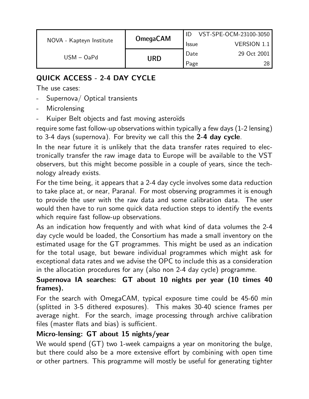|                          | <b>OmegaCAM</b>     |              | VST-SPE-OCM-23100-3050 |
|--------------------------|---------------------|--------------|------------------------|
| NOVA - Kapteyn Institute |                     | <b>Issue</b> | <b>VERSION 1.1</b>     |
|                          | $USM - OaPd$<br>URD | Date         | 29 Oct 2001            |
|                          |                     | Page         | 28.                    |

### QUICK ACCESS - 2-4 DAY CYCLE

The use cases:

- Supernova / Optical transients
- **Microlensing**
- Kuiper Belt objects and fast moving asteroïds

require some fast follow-up observations within typically a few days (1-2 lensing) to 3-4 days (supernova). For brevity we call this the 2-4 day cycle.

In the near future it is unlikely that the data transfer rates required to electronically transfer the raw image data to Europe will be available to the VST observers, but this might become possible in a couple of years, since the technology already exists.

For the time being, it appears that a 2-4 day cycle involves some data reduction to take place at, or near, Paranal. For most observing programmes it is enough to provide the user with the raw data and some calibration data. The user would then have to run some quick data reduction steps to identify the events which require fast follow-up observations.

As an indication how frequently and with what kind of data volumes the 2-4 day cycle would be loaded, the Consortium has made a small inventory on the estimated usage for the GT programmes. This might be used as an indication for the total usage, but beware individual programmes which might ask for exceptional data rates and we advise the OPC to include this as a consideration in the allocation procedures for any (also non 2-4 day cycle) programme.

### Supernova IA searches: GT about 10 nights per year (10 times 40 frames).

For the search with OmegaCAM, typical exposure time could be 45-60 min (splitted in 3-5 dithered exposures). This makes 30-40 science frames per average night. For the search, image processing through archive calibration files (master flats and bias) is sufficient.

### Micro-lensing: GT about 15 nights/year

We would spend (GT) two 1-week campaigns a year on monitoring the bulge, but there could also be a more extensive effort by combining with open time or other partners. This programme will mostly be useful for generating tighter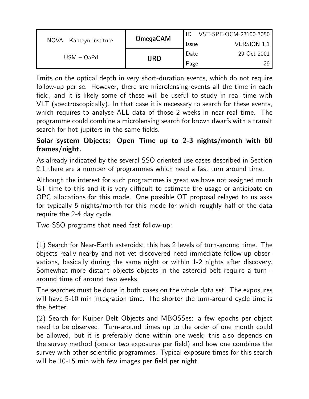|                          | <b>OmegaCAM</b> |              | VST-SPE-OCM-23100-3050 |
|--------------------------|-----------------|--------------|------------------------|
| NOVA - Kapteyn Institute |                 | <b>Issue</b> | <b>VERSION 1.1</b>     |
| $USM - OaPd$             |                 | Date         | 29 Oct 2001            |
|                          | URD             | Page         | 29                     |

limits on the optical depth in very short-duration events, which do not require follow-up per se. However, there are microlensing events all the time in each field, and it is likely some of these will be useful to study in real time with VLT (spectroscopically). In that case it is necessary to search for these events, which requires to analyse ALL data of those 2 weeks in near-real time. The programme could combine a microlensing search for brown dwarfs with a transit search for hot jupiters in the same fields.

#### Solar system Objects: Open Time up to 2-3 nights/month with 60 frames/night.

As already indicated by the several SSO oriented use cases described in Section 2.1 there are a number of programmes which need a fast turn around time.

Although the interest for such programmes is great we have not assigned much GT time to this and it is very difficult to estimate the usage or anticipate on OPC allocations for this mode. One possible OT proposal relayed to us asks for typically 5 nights/month for this mode for which roughly half of the data require the 2-4 day cycle.

Two SSO programs that need fast follow-up:

(1) Search for Near-Earth asteroids: this has 2 levels of turn-around time. The objects really nearby and not yet discovered need immediate follow-up observations, basically during the same night or within 1-2 nights after discovery. Somewhat more distant objects objects in the asteroid belt require a turn around time of around two weeks.

The searches must be done in both cases on the whole data set. The exposures will have 5-10 min integration time. The shorter the turn-around cycle time is the better.

(2) Search for Kuiper Belt Objects and MBOSSes: a few epochs per object need to be observed. Turn-around times up to the order of one month could be allowed, but it is preferably done within one week; this also depends on the survey method (one or two exposures per field) and how one combines the survey with other scientific programmes. Typical exposure times for this search will be 10-15 min with few images per field per night.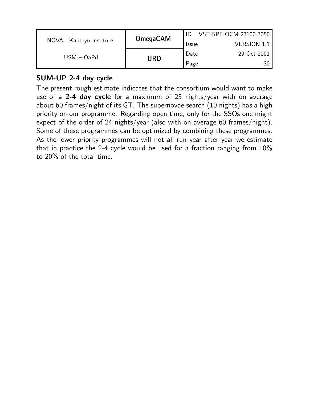|                          | <b>OmegaCAM</b> |              | VST-SPE-OCM-23100-3050 |
|--------------------------|-----------------|--------------|------------------------|
| NOVA - Kapteyn Institute |                 | <b>Issue</b> | <b>VERSION 1.1</b>     |
| $USM - OaPd$             |                 | Date         | 29 Oct 2001            |
|                          | URD             | Page         |                        |

#### SUM-UP 2-4 day cycle

The present rough estimate indicates that the consortium would want to make use of a 2-4 day cycle for a maximum of 25 nights/year with on average about 60 frames/night of its GT. The supernovae search (10 nights) has a high priority on our programme. Regarding open time, only for the SSOs one might expect of the order of 24 nights/year (also with on average 60 frames/night). Some of these programmes can be optimized by combining these programmes. As the lower priority programmes will not all run year after year we estimate that in practice the 2-4 cycle would be used for a fraction ranging from 10% to 20% of the total time.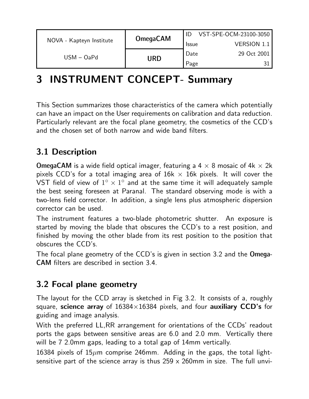|                          | <b>OmegaCAM</b> |              | VST-SPE-OCM-23100-3050 |
|--------------------------|-----------------|--------------|------------------------|
| NOVA - Kapteyn Institute |                 | <b>Issue</b> | <b>VERSION 1.1</b>     |
| $USM - OaPd$             |                 | Date         | 29 Oct 2001            |
|                          | <b>URD</b>      | Page         |                        |

# 3 INSTRUMENT CONCEPT- Summary

This Section summarizes those characteristics of the camera which potentially can have an impact on the User requirements on calibration and data reduction. Particularly relevant are the focal plane geometry, the cosmetics of the CCD's and the chosen set of both narrow and wide band filters.

## 3.1 Description

**OmegaCAM** is a wide field optical imager, featuring a  $4 \times 8$  mosaic of  $4k \times 2k$ pixels CCD's for a total imaging area of  $16k \times 16k$  pixels. It will cover the .<br>VST field of view of  $1^{\circ} \times 1^{\circ}$  and at the same time it will adequately sample the best seeing foreseen at Paranal. The standard observing mode is with a two-lens field corrector. In addition, a single lens plus atmospheric dispersion corrector can be used.

The instrument features a two-blade photometric shutter. An exposure is started by moving the blade that obscures the CCD's to a rest position, and finished by moving the other blade from its rest position to the position that obscures the CCD's.

The focal plane geometry of the CCD's is given in section 3.2 and the Omega-CAM filters are described in section 3.4.

### 3.2 Focal plane geometry

The layout for the CCD array is sketched in Fig 3.2. It consists of a, roughly square, science array of  $16384\times16384$  pixels, and four auxiliary CCD's for guiding and image analysis.

With the preferred LL,RR arrangement for orientations of the CCDs' readout ports the gaps between sensitive areas are 6.0 and 2.0 mm. Vertically there will be 7 2.0mm gaps, leading to a total gap of 14mm vertically.

16384 pixels of  $15\mu$ m comprise 246mm. Adding in the gaps, the total lightsensitive part of the science array is thus  $259 \times 260$ mm in size. The full unvi-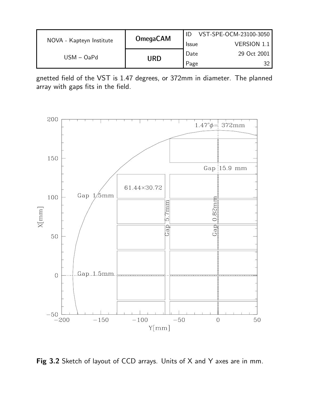| NOVA - Kapteyn Institute | <b>OmegaCAM</b> | VST-SPE-OCM-23100-3050 |                    |
|--------------------------|-----------------|------------------------|--------------------|
|                          |                 | <b>Issue</b>           | <b>VERSION 1.1</b> |
| $USM - OaPd$             | URD             | Date                   | 29 Oct 2001        |
|                          |                 | Page                   |                    |

gnetted field of the VST is 1.47 degrees, or 372mm in diameter. The planned array with gaps fits in the field.



Fig 3.2 Sketch of layout of CCD arrays. Units of X and Y axes are in mm.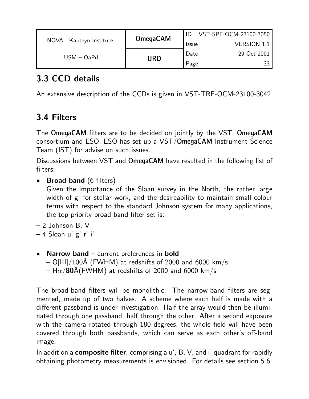| NOVA - Kapteyn Institute | <b>OmegaCAM</b> | VST-SPE-OCM-23100-3050 |                    |
|--------------------------|-----------------|------------------------|--------------------|
|                          |                 | <b>Issue</b>           | <b>VERSION 1.1</b> |
| $USM - OaPd$             | URD             | Date                   | 29 Oct 2001        |
|                          |                 | Page                   |                    |

## 3.3 CCD details

An extensive description of the CCDs is given in VST-TRE-OCM-23100-3042

## 3.4 Filters

The OmegaCAM filters are to be decided on jointly by the VST, OmegaCAM consortium and ESO. ESO has set up a VST/OmegaCAM Instrument Science Team (IST) for advise on such issues.

Discussions between VST and OmegaCAM have resulted in the following list of filters:

• Broad band (6 filters)

Given the importance of the Sloan survey in the North, the rather large width of g' for stellar work, and the desireability to maintain small colour terms with respect to the standard Johnson system for many applications, the top priority broad band filter set is:

- 2 Johnson B, V
- 4 Sloan u' g' r' i'
- Narrow band current preferences in bold  $-$  O[III]/100Å (FWHM) at redshifts of 2000 and 6000 km/s. – H $\alpha$ /80Å(FWHM) at redshifts of 2000 and 6000 km/s

The broad-band filters will be monolithic. The narrow-band filters are segmented, made up of two halves. A scheme where each half is made with a different passband is under investigation. Half the array would then be illuminated through one passband, half through the other. After a second exposure with the camera rotated through 180 degrees, the whole field will have been covered through both passbands, which can serve as each other's off-band image.

In addition a **composite filter**, comprising a  $u'$ ,  $B$ ,  $V$ , and i' quadrant for rapidly obtaining photometry measurements is envisioned. For details see section 5.6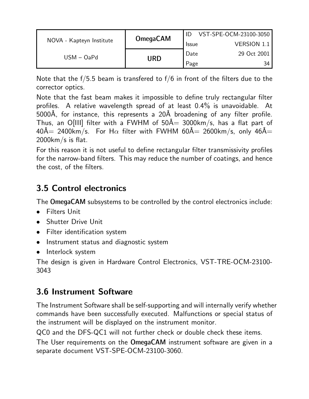| NOVA - Kapteyn Institute | <b>OmegaCAM</b> | VST-SPE-OCM-23100-3050 |                    |
|--------------------------|-----------------|------------------------|--------------------|
|                          |                 | <b>Issue</b>           | <b>VERSION 1.1</b> |
| $USM - OaPd$             | URD             | Date                   | 29 Oct 2001        |
|                          |                 | Page                   | 34                 |

Note that the f/5.5 beam is transfered to f/6 in front of the filters due to the corrector optics.

Note that the fast beam makes it impossible to define truly rectangular filter profiles. A relative wavelength spread of at least 0.4% is unavoidable. At 5000Å, for instance, this represents a 20Å broadening of any filter profile. Thus, an O[III] filter with a FWHM of  $50\text{\AA} = 3000\text{km/s}$ , has a flat part of  $40\text{\AA}$  2400km/s. For H $\alpha$  filter with FWHM 60 $\text{\AA}$  2600km/s, only 46 $\text{\AA}$ = 2000km/s is flat.

For this reason it is not useful to define rectangular filter transmissivity profiles for the narrow-band filters. This may reduce the number of coatings, and hence the cost, of the filters.

## 3.5 Control electronics

The OmegaCAM subsystems to be controlled by the control electronics include:

- Filters Unit
- Shutter Drive Unit
- Filter identification system
- Instrument status and diagnostic system
- Interlock system

The design is given in Hardware Control Electronics, VST-TRE-OCM-23100- 3043

## 3.6 Instrument Software

The Instrument Software shall be self-supporting and will internally verify whether commands have been successfully executed. Malfunctions or special status of the instrument will be displayed on the instrument monitor.

QC0 and the DFS-QC1 will not further check or double check these items.

The User requirements on the OmegaCAM instrument software are given in a separate document VST-SPE-OCM-23100-3060.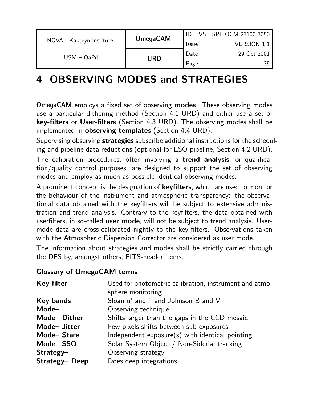| NOVA - Kapteyn Institute | <b>OmegaCAM</b> | VST-SPE-OCM-23100-3050 |                    |  |
|--------------------------|-----------------|------------------------|--------------------|--|
|                          |                 | <b>Issue</b>           | <b>VERSION 1.1</b> |  |
| $USM - OaPd$             | URD             | Date                   | 29 Oct 2001        |  |
|                          |                 | Page                   | 35                 |  |

# 4 OBSERVING MODES and STRATEGIES

OmegaCAM employs a fixed set of observing modes. These observing modes use a particular dithering method (Section 4.1 URD) and either use a set of key-filters or User-filters (Section 4.3 URD). The observing modes shall be implemented in observing templates (Section 4.4 URD).

Supervising observing strategies subscribe additional instructions for the scheduling and pipeline data reductions (optional for ESO-pipeline, Section 4.2 URD).

The calibration procedures, often involving a trend analysis for qualification/quality control purposes, are designed to support the set of observing modes and employ as much as possible identical observing modes.

A prominent concept is the designation of keyfilters, which are used to monitor the behaviour of the instrument and atmospheric transparency: the observational data obtained with the keyfilters will be subject to extensive administration and trend analysis. Contrary to the keyfilters, the data obtained with userfilters, in so-called user mode, will not be subject to trend analysis. Usermode data are cross-calibrated nightly to the key-filters. Observations taken with the Atmospheric Dispersion Corrector are considered as user mode.

The information about strategies and modes shall be strictly carried through the DFS by, amongst others, FITS-header items.

#### Glossary of OmegaCAM terms

| <b>Key filter</b> | Used for photometric calibration, instrument and atmo-<br>sphere monitoring |
|-------------------|-----------------------------------------------------------------------------|
| <b>Key bands</b>  | Sloan u' and i' and Johnson B and V                                         |
| Mode-             | Observing technique                                                         |
| Mode-Dither       | Shifts larger than the gaps in the CCD mosaic                               |
| Mode- Jitter      | Few pixels shifts between sub-exposures                                     |
| Mode-Stare        | Independent exposure(s) with identical pointing                             |
| Mode-SSO          | Solar System Object / Non-Siderial tracking                                 |
| $Strategy-$       | Observing strategy                                                          |
| Strategy-Deep     | Does deep integrations                                                      |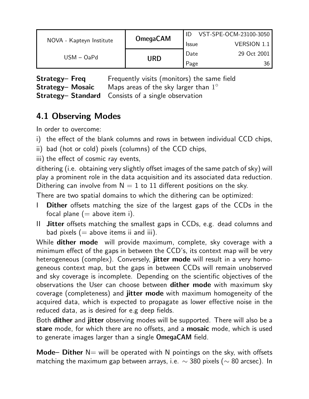| NOVA - Kapteyn Institute | <b>OmegaCAM</b> | VST-SPE-OCM-23100-3050 |                    |
|--------------------------|-----------------|------------------------|--------------------|
|                          |                 | <b>Issue</b>           | <b>VERSION 1.1</b> |
| $USM - OaPd$             | URD             | Date                   | 29 Oct 2001        |
|                          |                 | Page                   | 36                 |

**Strategy– Freq Frequently visits (monitors) the same field Strategy– Mosaic** Maps areas of the sky larger than  $1^{\circ}$ Strategy– Standard Consists of a single observation

## 4.1 Observing Modes

In order to overcome:

i) the effect of the blank columns and rows in between individual CCD chips,

ii) bad (hot or cold) pixels (columns) of the CCD chips,

iii) the effect of cosmic ray events,

dithering (i.e. obtaining very slightly offset images of the same patch of sky) will play a prominent role in the data acquisition and its associated data reduction. Dithering can involve from  $N = 1$  to 11 different positions on the sky.

There are two spatial domains to which the dithering can be optimized:

- I Dither offsets matching the size of the largest gaps of the CCDs in the focal plane  $(=$  above item i).
- II Jitter offsets matching the smallest gaps in CCDs, e.g. dead columns and bad pixels  $(=$  above items ii and iii).

While **dither mode** will provide maximum, complete, sky coverage with a minimum effect of the gaps in between the CCD's, its context map will be very heterogeneous (complex). Conversely, jitter mode will result in a very homogeneous context map, but the gaps in between CCDs will remain unobserved and sky coverage is incomplete. Depending on the scientific objectives of the observations the User can choose between **dither mode** with maximum sky coverage (completeness) and jitter mode with maximum homogeneity of the acquired data, which is expected to propagate as lower effective noise in the reduced data, as is desired for e.g deep fields.

Both dither and jitter observing modes will be supported. There will also be a stare mode, for which there are no offsets, and a mosaic mode, which is used to generate images larger than a single OmegaCAM field.

**Mode– Dither**  $N=$  will be operated with N pointings on the sky, with offsets matching the maximum gap between arrays, i.e.  $\sim$  380 pixels ( $\sim$  80 arcsec). In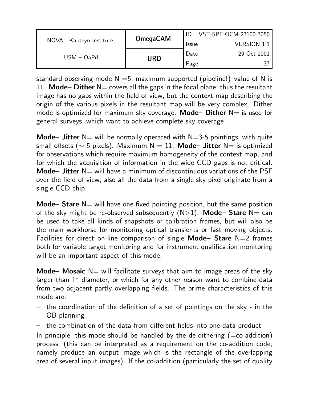|                          | <b>OmegaCAM</b> |              | VST-SPE-OCM-23100-3050 |
|--------------------------|-----------------|--------------|------------------------|
| NOVA - Kapteyn Institute |                 | <b>Issue</b> | <b>VERSION 1.1</b>     |
| $USM - OaPd$             |                 | Date         | 29 Oct 2001            |
|                          | URD             | Page         |                        |

standard observing mode  $N = 5$ , maximum supported (pipeline!) value of N is 11. Mode– Dither  $N=$  covers all the gaps in the focal plane, thus the resultant image has no gaps within the field of view, but the context map describing the origin of the various pixels in the resultant map will be very complex. Dither mode is optimized for maximum sky coverage. Mode– Dither  $N=$  is used for general surveys, which want to achieve complete sky coverage.

**Mode– Jitter** N= will be normally operated with N=3-5 pointings, with quite small offsets ( $\sim$  5 pixels). Maximum N = 11. Mode– Jitter N= is optimized for observations which require maximum homogeneity of the context map, and for which the acquisition of information in the wide CCD gaps is not critical. **Mode– Jitter**  $N=$  will have a minimum of discontinuous variations of the PSF over the field of view; also all the data from a single sky pixel originate from a single CCD chip.

Mode– Stare  $N=$  will have one fixed pointing position, but the same position of the sky might be re-observed subsequently  $(N>1)$ . Mode- Stare N= can be used to take all kinds of snapshots or calibration frames, but will also be the main workhorse for monitoring optical transients or fast moving objects. Facilities for direct on-line comparison of single **Mode– Stare**  $N=2$  frames both for variable target monitoring and for instrument qualification monitoring will be an important aspect of this mode.

**Mode– Mosaic**  $N=$  will facilitate surveys that aim to image areas of the sky larger than  $1^{\circ}$  diameter, or which for any other reason want to combine data from two adjacent partly overlapping fields. The prime characteristics of this mode are:

- the coordination of the definition of a set of pointings on the sky in the OB planning
- the combination of the data from different fields into one data product

In principle, this mode should be handled by the de-dithering  $(=$ co-addition) process, (this can be interpreted as a requirement on the co-addition code, namely produce an output image which is the rectangle of the overlapping area of several input images). If the co-addition (particularly the set of quality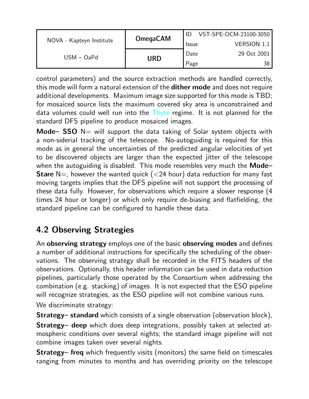| NOVA - Kapteyn Institute | <b>OmegaCAM</b> | VST-SPE-OCM-23100-3050 |                    |
|--------------------------|-----------------|------------------------|--------------------|
|                          |                 | <b>Issue</b>           | <b>VERSION 1.1</b> |
| USM – OaPd               |                 | Date                   | 29 Oct 2001        |
|                          | URD             | Page                   | 38                 |

control parameters) and the source extraction methods are handled correctly, this mode will form a natural extension of the **dither mode** and does not require additional developments. Maximum image size supported for this mode is TBD; for mosaiced source lists the maximum covered sky area is unconstrained and data volumes could well run into the Tbyte regime. It is not planned for the standard DFS pipeline to produce mosaiced images.

Mode–  $SSO$  N= will support the data taking of Solar system objects with a non-siderial tracking of the telescope. No-autoguiding is required for this mode as in general the uncertainties of the predicted angular velocities of yet to be discovered objects are larger than the expected jitter of the telescope when the autoguiding is disabled. This mode resembles very much the **Mode**-**Stare** N=, however the wanted quick  $(<24$  hour) data reduction for many fast moving targets implies that the DFS pipeline will not support the processing of these data fully. However, for observations which require a slower response (4 times 24 hour or longer) or which only require de-biasing and flatfielding, the standard pipeline can be configured to handle these data.

## 4.2 Observing Strategies

An **observing strategy** employs one of the basic **observing modes** and defines a number of additional instructions for specifically the scheduling of the observations. The observing strategy shall be recorded in the FITS headers of the observations. Optionally, this header information can be used in data reduction pipelines, particularly those operated by the Consortium when addressing the combination (e.g. stacking) of images. It is not expected that the ESO pipeline will recognize strategies, as the ESO pipeline will not combine various runs. We discriminate strategy:

Strategy– standard which consists of a single observation (observation block),

**Strategy– deep** which does deep integrations, possibly taken at selected atmospheric conditions over several nights; the standard image pipeline will not combine images taken over several nights.

Strategy– freq which frequently visits (monitors) the same field on timescales ranging from minutes to months and has overriding priority on the telescope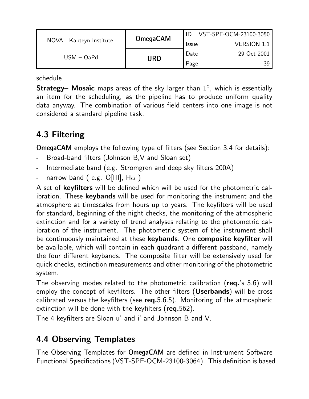| <b>OmegaCAM</b><br>NOVA - Kapteyn Institute |     | VST-SPE-OCM-23100-3050 |                    |
|---------------------------------------------|-----|------------------------|--------------------|
|                                             |     | <b>Issue</b>           | <b>VERSION 1.1</b> |
| $USM - OaPd$                                |     | Date                   | 29 Oct 2001        |
|                                             | URD | Page                   | 39.                |

schedule

**Strategy– Mosaïc** maps areas of the sky larger than  $1^{\circ}$ , which is essentially an item for the scheduling, as the pipeline has to produce uniform quality data anyway. The combination of various field centers into one image is not considered a standard pipeline task.

# 4.3 Filtering

OmegaCAM employs the following type of filters (see Section 3.4 for details):

- Broad-band filters (Johnson B, V and Sloan set)
- Intermediate band (e.g. Stromgren and deep sky filters 200A)
- narrow band ( e.g. O[III],  $H\alpha$  )

A set of keyfilters will be defined which will be used for the photometric calibration. These keybands will be used for monitoring the instrument and the atmosphere at timescales from hours up to years. The keyfilters will be used for standard, beginning of the night checks, the monitoring of the atmospheric extinction and for a variety of trend analyses relating to the photometric calibration of the instrument. The photometric system of the instrument shall be continuously maintained at these keybands. One composite keyfilter will be available, which will contain in each quadrant a different passband, namely the four different keybands. The composite filter will be extensively used for quick checks, extinction measurements and other monitoring of the photometric system.

The observing modes related to the photometric calibration (req.'s 5.6) will employ the concept of keyfilters. The other filters (Userbands) will be cross calibrated versus the keyfilters (see  $req.5.6.5$ ). Monitoring of the atmospheric extinction will be done with the keyfilters (req.562).

The 4 keyfilters are Sloan u' and i' and Johnson B and V.

## 4.4 Observing Templates

The Observing Templates for OmegaCAM are defined in Instrument Software Functional Specifications (VST-SPE-OCM-23100-3064). This definition is based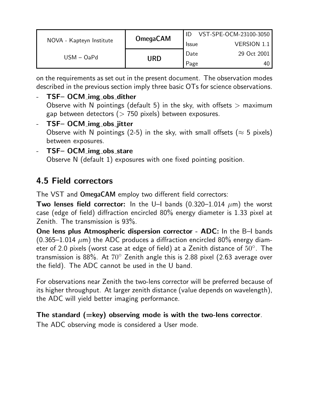| NOVA - Kapteyn Institute |                 | VST-SPE-OCM-23100-3050 |             |  |
|--------------------------|-----------------|------------------------|-------------|--|
|                          | <b>OmegaCAM</b> | <b>Issue</b>           | VERSION 1.1 |  |
| $USM - OaPd$             |                 | Date                   | 29 Oct 2001 |  |
|                          | URD             | Page                   | 40.         |  |

on the requirements as set out in the present document. The observation modes described in the previous section imply three basic OTs for science observations.

TSF- OCM\_img\_obs\_dither Observe with N pointings (default 5) in the sky, with offsets  $>$  maximum gap between detectors ( $> 750$  pixels) between exposures. - TSF- OCM\_img\_obs\_jitter

Observe with N pointings (2-5) in the sky, with small offsets ( $\approx$  5 pixels) between exposures.

- TSF- OCM\_img\_obs\_stare Observe N (default 1) exposures with one fixed pointing position.

## 4.5 Field correctors

The VST and OmegaCAM employ two different field correctors:

**Two lenses field corrector:** In the U–I bands  $(0.320-1.014 \ \mu m)$  the worst case (edge of field) diffraction encircled 80% energy diameter is 1.33 pixel at Zenith. The transmission is 93%.

One lens plus Atmospheric dispersion corrector - ADC: In the B–I bands (0.365–1.014  $\mu$ m) the ADC produces a diffraction encircled 80% energy diameter of 2.0 pixels (worst case at edge of field) at a Zenith distance of  $50^{\circ}$ . The transmission is 88%. At  $70^{\circ}$  Zenith angle this is 2.88 pixel (2.63 average over the field). The ADC cannot be used in the U band.

For observations near Zenith the two-lens corrector will be preferred because of its higher throughput. At larger zenith distance (value depends on wavelength), the ADC will yield better imaging performance.

## The standard  $(=\text{key})$  observing mode is with the two-lens corrector.

The ADC observing mode is considered a User mode.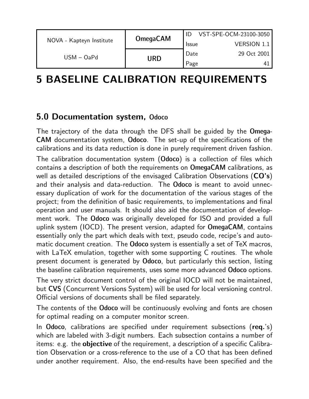| NOVA - Kapteyn Institute |                 |              | VST-SPE-OCM-23100-3050 |
|--------------------------|-----------------|--------------|------------------------|
|                          | <b>OmegaCAM</b> | <b>Issue</b> | <b>VERSION 1.1</b>     |
| $USM - OaPd$             | URD             | Date         | 29 Oct 2001            |
|                          |                 | Page         |                        |

# 5 BASELINE CALIBRATION REQUIREMENTS

## 5.0 Documentation system, Odoco

The trajectory of the data through the DFS shall be guided by the Omega-CAM documentation system, Odoco. The set-up of the specifications of the calibrations and its data reduction is done in purely requirement driven fashion.

The calibration documentation system (Odoco) is a collection of files which contains a description of both the requirements on OmegaCAM calibrations, as well as detailed descriptions of the envisaged Calibration Observations  $(CO's)$ and their analysis and data-reduction. The Odoco is meant to avoid unnecessary duplication of work for the documentation of the various stages of the project; from the definition of basic requirements, to implementations and final operation and user manuals. It should also aid the documentation of development work. The Odoco was originally developed for ISO and provided a full uplink system (IOCD). The present version, adapted for OmegaCAM, contains essentially only the part which deals with text, pseudo code, recipe's and automatic document creation. The Odoco system is essentially a set of TeX macros, with LaTeX emulation, together with some supporting C routines. The whole present document is generated by Odoco, but particularly this section, listing the baseline calibration requirements, uses some more advanced Odoco options.

The very strict document control of the original IOCD will not be maintained, but CVS (Concurrent Versions System) will be used for local versioning control. Official versions of documents shall be filed separately.

The contents of the Odoco will be continuously evolving and fonts are chosen for optimal reading on a computer monitor screen.

In Odoco, calibrations are specified under requirement subsections (req.'s) which are labeled with 3-digit numbers. Each subsection contains a number of items: e.g. the **objective** of the requirement, a description of a specific Calibration Observation or a cross-reference to the use of a CO that has been defined under another requirement. Also, the end-results have been specified and the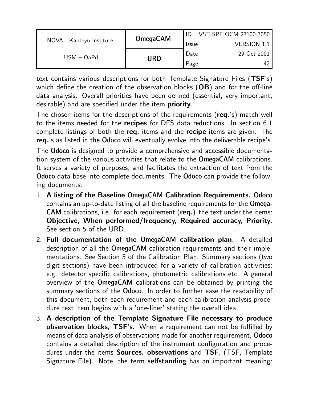| NOVA - Kapteyn Institute |                 |              | VST-SPE-OCM-23100-3050 |
|--------------------------|-----------------|--------------|------------------------|
|                          | <b>OmegaCAM</b> | <b>Issue</b> | <b>VERSION 1.1</b>     |
| $USM - OaPd$             |                 | Date         | 29 Oct 2001            |
|                          | URD             | Page         |                        |

text contains various descriptions for both Template Signature Files (TSF's) which define the creation of the observation blocks (OB) and for the off-line data analysis. Overall priorities have been defined (essential, very important, desirable) and are specified under the item priority.

The chosen items for the descriptions of the requirements (req.'s) match well to the items needed for the recipes for DFS data reductions. In section 6.1 complete listings of both the req. items and the recipe items are given. The req.'s as listed in the Odoco will eventually evolve into the deliverable recipe's.

The Odoco is designed to provide a comprehensive and accessible documentation system of the various activities that relate to the OmegaCAM calibrations. It serves a variety of purposes, and facilitates the extraction of text from the Odoco data base into complete documents. The Odoco can provide the following documents:

- 1. A listing of the Baseline OmegaCAM Calibration Requirements. Odoco contains an up-to-date listing of all the baseline requirements for the Omega-CAM calibrations, i.e. for each requirement (req.) the text under the items: Objective, When performed/frequency, Required accuracy, Priority. See section 5 of the URD.
- 2. Full documentation of the OmegaCAM calibration plan. A detailed description of all the OmegaCAM calibration requirements and their implementations. See Section 5 of the Calibration Plan. Summary sections (two digit sections) have been introduced for a variety of calibration activities: e.g. detector specific calibrations, photometric calibrations etc. A general overview of the OmegaCAM calibrations can be obtained by printing the summary sections of the Odoco. In order to further ease the readability of this document, both each requirement and each calibration analysis procedure text item begins with a 'one-liner' stating the overall idea.
- 3. A description of the Template Signature File necessary to produce observation blocks, TSF's. When a requirement can not be fulfilled by means of data analysis of observations made for another requirement, Odoco contains a detailed description of the instrument configuration and procedures under the items Sources, observations and TSF, (TSF, Template Signature File). Note, the term selfstanding has an important meaning: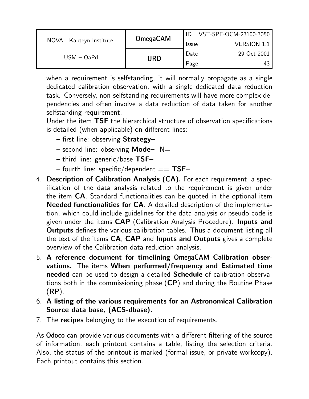|                          | <b>OmegaCAM</b> |              | VST-SPE-OCM-23100-3050 |
|--------------------------|-----------------|--------------|------------------------|
| NOVA - Kapteyn Institute |                 | <b>Issue</b> | <b>VERSION 1.1</b>     |
|                          |                 | Date         | 29 Oct 2001            |
| $USM - OaPd$             | URD             | Page         | 43                     |

when a requirement is selfstanding, it will normally propagate as a single dedicated calibration observation, with a single dedicated data reduction task. Conversely, non-selfstanding requirements will have more complex dependencies and often involve a data reduction of data taken for another selfstanding requirement.

Under the item TSF the hierarchical structure of observation specifications is detailed (when applicable) on different lines:

- first line: observing Strategy–
- $-$  second line: observing **Mode**  $-$  N=
- third line: generic/base  $TSF-$
- fourth line: specific/dependent  $==$  TSF–
- 4. Description of Calibration Analysis (CA). For each requirement, a specification of the data analysis related to the requirement is given under the item CA. Standard functionalities can be quoted in the optional item Needed functionalities for CA. A detailed description of the implementation, which could include guidelines for the data analysis or pseudo code is given under the items CAP (Calibration Analysis Procedure). Inputs and **Outputs** defines the various calibration tables. Thus a document listing all the text of the items CA, CAP and Inputs and Outputs gives a complete overview of the Calibration data reduction analysis.
- 5. A reference document for timelining OmegaCAM Calibration observations. The items When performed/frequency and Estimated time needed can be used to design a detailed Schedule of calibration observations both in the commissioning phase  $(CP)$  and during the Routine Phase (RP).
- 6. A listing of the various requirements for an Astronomical Calibration Source data base, (ACS-dbase).
- 7. The recipes belonging to the execution of requirements.

As Odoco can provide various documents with a different filtering of the source of information, each printout contains a table, listing the selection criteria. Also, the status of the printout is marked (formal issue, or private workcopy). Each printout contains this section.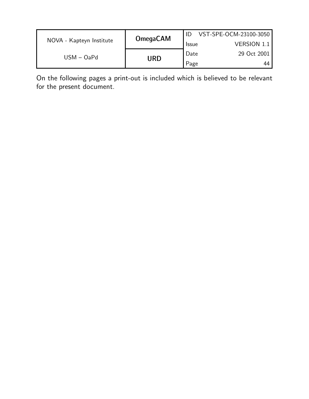| NOVA - Kapteyn Institute |                 |              | VST-SPE-OCM-23100-3050 |
|--------------------------|-----------------|--------------|------------------------|
|                          | <b>OmegaCAM</b> | <b>Issue</b> | VERSION 1.1            |
| $USM - OaPd$             |                 | Date         | 29 Oct 2001            |
|                          | URD             | Page         | 44                     |

On the following pages a print-out is included which is believed to be relevant for the present document.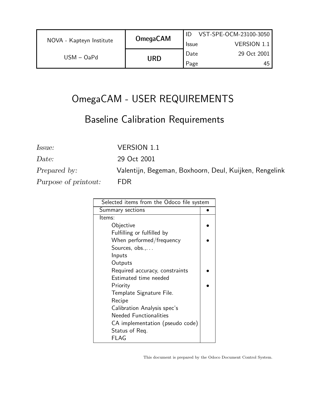| NOVA - Kapteyn Institute | <b>OmegaCAM</b> | VST-SPE-OCM-23100-3050 |                    |
|--------------------------|-----------------|------------------------|--------------------|
|                          |                 | <b>Issue</b>           | <b>VERSION 1.1</b> |
| $USM - OaPd$             | URD             | Date                   | 29 Oct 2001        |
|                          |                 | Page                   | 45                 |

# OmegaCAM - USER REQUIREMENTS

# Baseline Calibration Requirements

Issue: VERSION 1.1

Purpose of printout: FDR

Date: 29 Oct 2001 Prepared by: Valentijn, Begeman, Boxhoorn, Deul, Kuijken, Rengelink

| Selected items from the Odoco file system |  |
|-------------------------------------------|--|
| Summary sections                          |  |
| Items:                                    |  |
| Objective                                 |  |
| Fulfilling or fulfilled by                |  |
| When performed/frequency                  |  |
| Sources, obs.,                            |  |
| Inputs                                    |  |
| Outputs                                   |  |
| Required accuracy, constraints            |  |
| Estimated time needed                     |  |
| Priority                                  |  |
| Template Signature File.                  |  |
| Recipe                                    |  |
| Calibration Analysis spec's               |  |
| <b>Needed Functionalities</b>             |  |
| CA implementation (pseudo code)           |  |
| Status of Req.                            |  |
| FLAG                                      |  |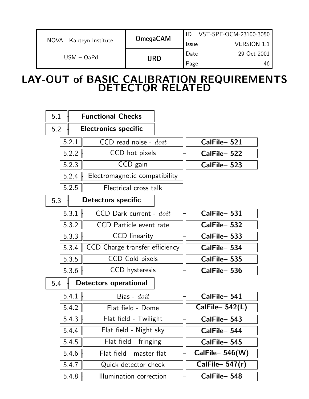|                          |                 | VST-SPE-OCM-23100-3050 |             |
|--------------------------|-----------------|------------------------|-------------|
| NOVA - Kapteyn Institute | <b>OmegaCAM</b> | <b>Issue</b>           | VERSION 1.1 |
|                          | URD             | Date                   | 29 Oct 2001 |
| $USM - OaPd$             |                 | Page                   | 46          |

## LAY-OUT of BASIC CALIBRATION REQUIREMENTS DETECTOR RELATED

| 5.1 |       | <b>Functional Checks</b>       |                    |  |
|-----|-------|--------------------------------|--------------------|--|
| 5.2 |       | <b>Electronics specific</b>    |                    |  |
|     | 5.2.1 | $CCD$ read noise - $doit$      | CalFile-521        |  |
|     | 5.2.2 | CCD hot pixels                 | CalFile-522        |  |
|     | 5.2.3 | CCD gain                       | CalFile-523        |  |
|     | 5.2.4 | Electromagnetic compatibility  |                    |  |
|     | 5.2.5 | Electrical cross talk          |                    |  |
| 5.3 |       | Detectors specific             |                    |  |
|     | 5.3.1 | CCD Dark current - doit        | CalFile-531        |  |
|     | 5.3.2 | CCD Particle event rate        | CalFile-532        |  |
|     | 5.3.3 | <b>CCD</b> linearity           | CalFile-533        |  |
|     | 5.3.4 | CCD Charge transfer efficiency | CalFile-534        |  |
|     | 5.3.5 | <b>CCD Cold pixels</b>         | CalFile-535        |  |
|     | 5.3.6 | CCD hysteresis                 | CalFile-536        |  |
| 5.4 |       | <b>Detectors operational</b>   |                    |  |
|     | 5.4.1 | Bias - $\textit{doit}$         | CalFile-541        |  |
|     | 5.4.2 | Flat field - Dome              | CalFile $-$ 542(L) |  |
|     | 5.4.3 | Flat field - Twilight          | CalFile-543        |  |
|     | 5.4.4 | Flat field - Night sky         | CalFile-544        |  |
|     | 5.4.5 | Flat field - fringing          | CalFile-545        |  |
|     | 5.4.6 | Flat field - master flat       | CalFile- $546(W)$  |  |
|     | 5.4.7 | Quick detector check           | CalFile- $547(r)$  |  |
|     | 5.4.8 | Illumination correction        | CalFile-548        |  |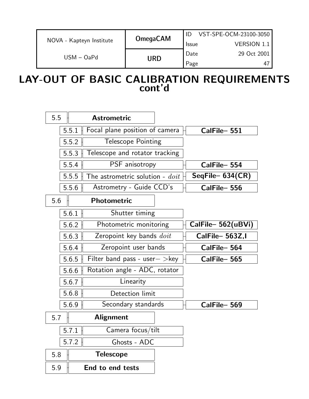|                          | <b>OmegaCAM</b> |              | VST-SPE-OCM-23100-3050 |
|--------------------------|-----------------|--------------|------------------------|
| NOVA - Kapteyn Institute |                 | <b>Issue</b> | <b>VERSION 1.1</b>     |
| $USM - OaPd$             | URD             | Date         | 29 Oct 2001            |
|                          |                 | Page         | 47                     |

## LAY-OUT OF BASIC CALIBRATION REQUIREMENTS cont'd

| 5.5 |       | <b>Astrometric</b>                       |                    |
|-----|-------|------------------------------------------|--------------------|
|     | 5.5.1 | Focal plane position of camera           | CalFile-551        |
|     | 5.5.2 | <b>Telescope Pointing</b>                |                    |
|     | 5.5.3 | Telescope and rotator tracking           |                    |
|     | 5.5.4 | PSF anisotropy                           | CalFile-554        |
|     | 5.5.5 | The astrometric solution - $\emph{doit}$ | $SeqFile-634(CR)$  |
|     | 5.5.6 | Astrometry - Guide CCD's                 | CalFile-556        |
| 5.6 |       | <b>Photometric</b>                       |                    |
|     | 5.6.1 | Shutter timing                           |                    |
|     | 5.6.2 | Photometric monitoring                   | CalFile- 562(uBVi) |
|     | 5.6.3 | Zeropoint key bands <i>doit</i>          | CalFile-563Z,I     |
|     | 5.6.4 | Zeropoint user bands                     | CalFile-564        |
|     | 5.6.5 | Filter band pass - user $-$ > key        | CalFile-565        |
|     | 5.6.6 | Rotation angle - ADC, rotator            |                    |
|     | 5.6.7 | Linearity                                |                    |
|     | 5.6.8 | Detection limit                          |                    |
|     | 5.6.9 | Secondary standards                      | CalFile-569        |
| 5.7 |       | <b>Alignment</b>                         |                    |
|     | 5.7.1 | Camera focus/tilt                        |                    |
|     | 5.7.2 | Ghosts - ADC                             |                    |
| 5.8 |       | <b>Telescope</b>                         |                    |
| 5.9 |       | End to end tests                         |                    |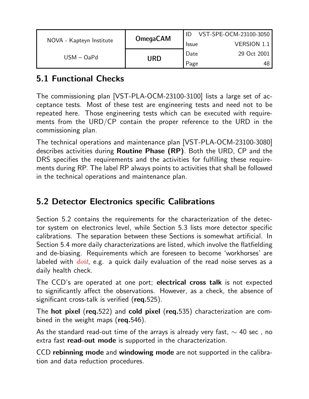|                          | <b>OmegaCAM</b> |              | VST-SPE-OCM-23100-3050 |
|--------------------------|-----------------|--------------|------------------------|
| NOVA - Kapteyn Institute |                 | <b>Issue</b> | <b>VERSION 1.1</b>     |
| $USM - OaPd$             | URD             | Date         | 29 Oct 2001            |
|                          |                 | Page         | -48                    |

## 5.1 Functional Checks

The commissioning plan [VST-PLA-OCM-23100-3100] lists a large set of acceptance tests. Most of these test are engineering tests and need not to be repeated here. Those engineering tests which can be executed with requirements from the URD/CP contain the proper reference to the URD in the commissioning plan.

The technical operations and maintenance plan [VST-PLA-OCM-23100-3080] describes activities during Routine Phase (RP). Both the URD, CP and the DRS specifies the requirements and the activities for fulfilling these requirements during RP. The label RP always points to activities that shall be followed in the technical operations and maintenance plan.

## 5.2 Detector Electronics specific Calibrations

Section 5.2 contains the requirements for the characterization of the detector system on electronics level, while Section 5.3 lists more detector specific calibrations. The separation between these Sections is somewhat artificial. In Section 5.4 more daily characterizations are listed, which involve the flatfielding and de-biasing. Requirements which are foreseen to become 'workhorses' are labeled with  $dot$ , e.g. a quick daily evaluation of the read noise serves as a daily health check.

The CCD's are operated at one port; electrical cross talk is not expected to significantly affect the observations. However, as a check, the absence of significant cross-talk is verified (req.525).

The hot pixel (req.522) and cold pixel (req.535) characterization are combined in the weight maps (req.546).

As the standard read-out time of the arrays is already very fast,  $\sim$  40 sec , no extra fast **read-out mode** is supported in the characterization.

CCD rebinning mode and windowing mode are not supported in the calibration and data reduction procedures.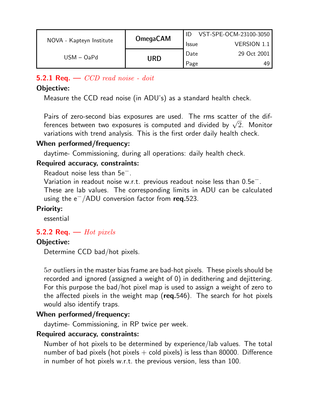|                          | <b>OmegaCAM</b> |              | VST-SPE-OCM-23100-3050 |
|--------------------------|-----------------|--------------|------------------------|
| NOVA - Kapteyn Institute |                 | <b>Issue</b> | <b>VERSION 1.1</b>     |
| $USM - OaPd$             |                 | Date         | 29 Oct 2001            |
|                          | URD             | Page         | 49                     |

## 5.2.1 Req.  $\sim$  CCD read noise - doit

### Objective:

Measure the CCD read noise (in ADU's) as a standard health check.

Pairs of zero-second bias exposures are used. The rms scatter of the dif-Pairs ot zero-second bias exposures are used. The rms scatter of the dif-<br>ferences between two exposures is computed and divided by  $\sqrt{2}.$  Monitor variations with trend analysis. This is the first order daily health check.

#### When performed/frequency:

daytime- Commissioning, during all operations: daily health check.

## Required accuracy, constraints:

Readout noise less than 5e−.

Variation in readout noise w.r.t. previous readout noise less than 0.5e−. These are lab values. The corresponding limits in ADU can be calculated using the  $e^-$ /ADU conversion factor from req.523.

#### Priority:

essential

## 5.2.2 Req.  $-$  Hot pixels

## Objective:

Determine CCD bad/hot pixels.

 $5\sigma$  outliers in the master bias frame are bad-hot pixels. These pixels should be recorded and ignored (assigned a weight of 0) in dedithering and dejittering. For this purpose the bad/hot pixel map is used to assign a weight of zero to the affected pixels in the weight map (req.546). The search for hot pixels would also identify traps.

## When performed/frequency:

daytime- Commissioning, in RP twice per week.

#### Required accuracy, constraints:

Number of hot pixels to be determined by experience/lab values. The total number of bad pixels (hot pixels  $+$  cold pixels) is less than 80000. Difference in number of hot pixels w.r.t. the previous version, less than 100.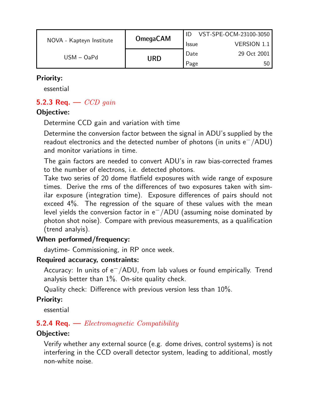|                          |                 |              | VST-SPE-OCM-23100-3050 |
|--------------------------|-----------------|--------------|------------------------|
| NOVA - Kapteyn Institute | <b>OmegaCAM</b> | <b>Issue</b> | <b>VERSION 1.1</b>     |
| $USM - OaPd$             | URD             | Date         | 29 Oct 2001            |
|                          |                 | Page         | 50                     |

## Priority:

essential

## 5.2.3 Req.  $\sim$  CCD gain

## Objective:

Determine CCD gain and variation with time

Determine the conversion factor between the signal in ADU's supplied by the readout electronics and the detected number of photons (in units  $e^-/ADU$ ) and monitor variations in time.

The gain factors are needed to convert ADU's in raw bias-corrected frames to the number of electrons, i.e. detected photons.

Take two series of 20 dome flatfield exposures with wide range of exposure times. Derive the rms of the differences of two exposures taken with similar exposure (integration time). Exposure differences of pairs should not exceed 4%. The regression of the square of these values with the mean level yields the conversion factor in e−/ADU (assuming noise dominated by photon shot noise). Compare with previous measurements, as a qualification (trend analyis).

## When performed/frequency:

daytime- Commissioning, in RP once week.

## Required accuracy, constraints:

Accuracy: In units of e<sup>-</sup>/ADU, from lab values or found empirically. Trend analysis better than 1%. On-site quality check.

Quality check: Difference with previous version less than 10%.

## Priority:

essential

## **5.2.4 Req.** — *Electromagnetic Compatibility*

## Objective:

Verify whether any external source (e.g. dome drives, control systems) is not interfering in the CCD overall detector system, leading to additional, mostly non-white noise.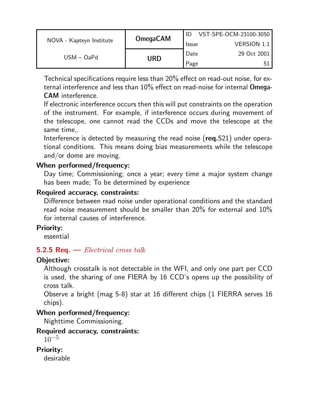|                          |                 |              | VST-SPE-OCM-23100-3050 |
|--------------------------|-----------------|--------------|------------------------|
| NOVA - Kapteyn Institute | <b>OmegaCAM</b> | <b>Issue</b> | <b>VERSION 1.1</b>     |
| $USM - OaPd$             |                 | Date         | 29 Oct 2001            |
|                          | URD             | Page         | Б1                     |

Technical specifications require less than 20% effect on read-out noise, for external interference and less than 10% effect on read-noise for internal Omega-CAM interference.

If electronic interference occurs then this will put constraints on the operation of the instrument. For example, if interference occurs during movement of the telescope, one cannot read the CCDs and move the telescope at the same time,.

Interference is detected by measuring the read noise (req.521) under operational conditions. This means doing bias measurements while the telescope and/or dome are moving.

## When performed/frequency:

Day time; Commissioning; once a year; every time a major system change has been made; To be determined by experience

#### Required accuracy, constraints:

Difference between read noise under operational conditions and the standard read noise measurement should be smaller than 20% for external and 10% for internal causes of interference.

## Priority:

essential

## **5.2.5 Req.**  $\rightarrow$  *Electrical cross talk*

## Objective:

Although crosstalk is not detectable in the WFI, and only one part per CCD is used, the sharing of one FIERA by 16 CCD's opens up the possibility of cross talk.

Observe a bright (mag 5-8) star at 16 different chips (1 FIERRA serves 16 chips).

## When performed/frequency:

Nighttime Commissioning.

## Required accuracy, constraints:

```
10^{-5}
```
## Priority:

desirable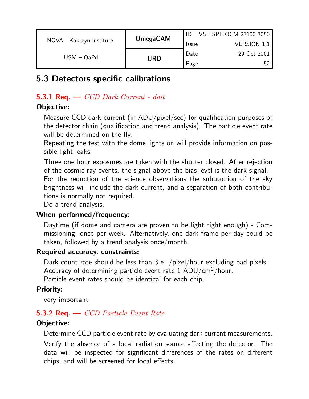|                          |                 |              | VST-SPE-OCM-23100-3050 |
|--------------------------|-----------------|--------------|------------------------|
| NOVA - Kapteyn Institute | <b>OmegaCAM</b> | <b>Issue</b> | <b>VERSION 1.1</b>     |
| $USM - OaPd$             |                 | Date         | 29 Oct 2001            |
|                          | URD             | Page         |                        |

## 5.3 Detectors specific calibrations

## 5.3.1 Req.  $\sim$  CCD Dark Current - doit

## Objective:

Measure CCD dark current (in ADU/pixel/sec) for qualification purposes of the detector chain (qualification and trend analysis). The particle event rate will be determined on the fly.

Repeating the test with the dome lights on will provide information on possible light leaks.

Three one hour exposures are taken with the shutter closed. After rejection of the cosmic ray events, the signal above the bias level is the dark signal.

For the reduction of the science observations the subtraction of the sky brightness will include the dark current, and a separation of both contributions is normally not required.

Do a trend analysis.

## When performed/frequency:

Daytime (if dome and camera are proven to be light tight enough) - Commissioning; once per week. Alternatively, one dark frame per day could be taken, followed by a trend analysis once/month.

#### Required accuracy, constraints:

Dark count rate should be less than 3 e<sup>-</sup>/pixel/hour excluding bad pixels. Accuracy of determining particle event rate 1 ADU/cm2/hour.

Particle event rates should be identical for each chip.

## Priority:

very important

## **5.3.2 Req.**  $\sim$  *CCD Particle Event Rate*

## Objective:

Determine CCD particle event rate by evaluating dark current measurements.

Verify the absence of a local radiation source affecting the detector. The data will be inspected for significant differences of the rates on different chips, and will be screened for local effects.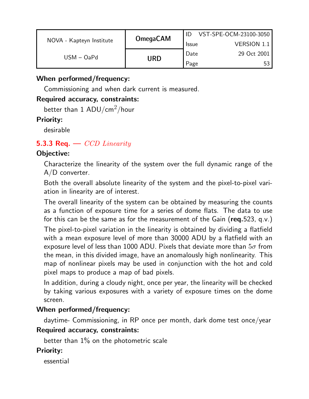|                          | <b>OmegaCAM</b> |              | VST-SPE-OCM-23100-3050 |
|--------------------------|-----------------|--------------|------------------------|
| NOVA - Kapteyn Institute |                 | <b>Issue</b> | <b>VERSION 1.1</b>     |
| $USM - OaPd$             |                 | Date         | 29 Oct 2001            |
|                          | URD             | Page         |                        |

## When performed/frequency:

Commissioning and when dark current is measured.

#### Required accuracy, constraints:

better than 1 ADU/cm<sup>2</sup>/hour

#### Priority:

desirable

## 5.3.3 Req.  $\sim$  CCD Linearity

## Objective:

Characterize the linearity of the system over the full dynamic range of the A/D converter.

Both the overall absolute linearity of the system and the pixel-to-pixel variation in linearity are of interest.

The overall linearity of the system can be obtained by measuring the counts as a function of exposure time for a series of dome flats. The data to use for this can be the same as for the measurement of the Gain ( $req.523$ , q.v.)

The pixel-to-pixel variation in the linearity is obtained by dividing a flatfield with a mean exposure level of more than 30000 ADU by a flatfield with an exposure level of less than 1000 ADU. Pixels that deviate more than  $5\sigma$  from the mean, in this divided image, have an anomalously high nonlinearity. This map of nonlinear pixels may be used in conjunction with the hot and cold pixel maps to produce a map of bad pixels.

In addition, during a cloudy night, once per year, the linearity will be checked by taking various exposures with a variety of exposure times on the dome screen.

#### When performed/frequency:

daytime- Commissioning, in RP once per month, dark dome test once/year

#### Required accuracy, constraints:

better than 1% on the photometric scale

#### Priority:

essential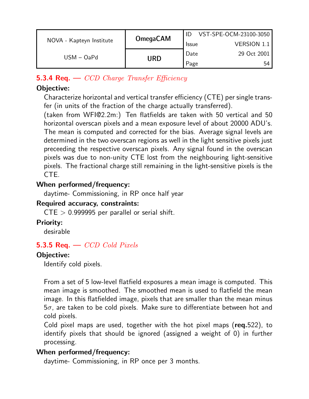|                          | <b>OmegaCAM</b> |              | VST-SPE-OCM-23100-3050 |
|--------------------------|-----------------|--------------|------------------------|
| NOVA - Kapteyn Institute |                 | <b>Issue</b> | <b>VERSION 1.1</b>     |
| $USM - OaPd$             |                 | Date         | 29 Oct 2001            |
|                          | URD             | Page         | 54                     |

## **5.3.4 Req.**  $\rightarrow$  *CCD Charge Transfer Efficiency*

## Objective:

Characterize horizontal and vertical transfer efficiency (CTE) per single transfer (in units of the fraction of the charge actually transferred).

(taken from WFI@2.2m:) Ten flatfields are taken with 50 vertical and 50 horizontal overscan pixels and a mean exposure level of about 20000 ADU's. The mean is computed and corrected for the bias. Average signal levels are determined in the two overscan regions as well in the light sensitive pixels just preceeding the respective overscan pixels. Any signal found in the overscan pixels was due to non-unity CTE lost from the neighbouring light-sensitive pixels. The fractional charge still remaining in the light-sensitive pixels is the CTE.

## When performed/frequency:

daytime- Commissioning, in RP once half year

#### Required accuracy, constraints:

 $CTE > 0.999995$  per parallel or serial shift.

## Priority:

desirable

## 5.3.5 Req.  $\sim$  CCD Cold Pixels

## Objective:

Identify cold pixels.

From a set of 5 low-level flatfield exposures a mean image is computed. This mean image is smoothed. The smoothed mean is used to flatfield the mean image. In this flatfielded image, pixels that are smaller than the mean minus  $5\sigma$ , are taken to be cold pixels. Make sure to differentiate between hot and cold pixels.

Cold pixel maps are used, together with the hot pixel maps (req.522), to identify pixels that should be ignored (assigned a weight of 0) in further processing.

## When performed/frequency:

daytime- Commissioning, in RP once per 3 months.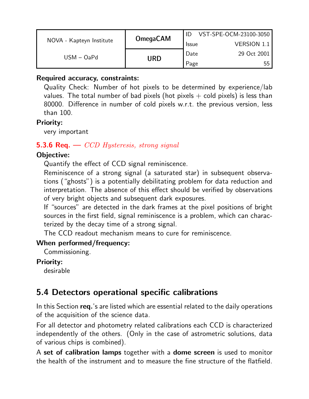|                          | <b>OmegaCAM</b> |              | VST-SPE-OCM-23100-3050 |
|--------------------------|-----------------|--------------|------------------------|
| NOVA - Kapteyn Institute |                 | <b>Issue</b> | VERSION 1.1            |
| $USM - OaPd$             | URD             | Date         | 29 Oct 2001            |
|                          |                 | Page         | 55                     |

#### Required accuracy, constraints:

Quality Check: Number of hot pixels to be determined by experience/lab values. The total number of bad pixels (hot pixels  $+$  cold pixels) is less than 80000. Difference in number of cold pixels w.r.t. the previous version, less than 100.

#### Priority:

very important

## **5.3.6 Req.** —  $CCD$  Hysteresis, strong signal

## Objective:

Quantify the effect of CCD signal reminiscence.

Reminiscence of a strong signal (a saturated star) in subsequent observations ("ghosts") is a potentially debilitating problem for data reduction and interpretation. The absence of this effect should be verified by observations of very bright objects and subsequent dark exposures.

If "sources" are detected in the dark frames at the pixel positions of bright sources in the first field, signal reminiscence is a problem, which can characterized by the decay time of a strong signal.

The CCD readout mechanism means to cure for reminiscence.

## When performed/frequency:

Commissioning.

#### Priority:

desirable

## 5.4 Detectors operational specific calibrations

In this Section req.'s are listed which are essential related to the daily operations of the acquisition of the science data.

For all detector and photometry related calibrations each CCD is characterized independently of the others. (Only in the case of astrometric solutions, data of various chips is combined).

A set of calibration lamps together with a dome screen is used to monitor the health of the instrument and to measure the fine structure of the flatfield.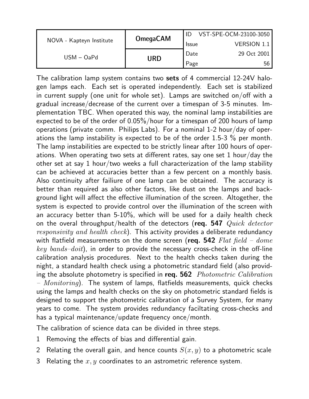|                          |                 |              | VST-SPE-OCM-23100-3050 |
|--------------------------|-----------------|--------------|------------------------|
| NOVA - Kapteyn Institute | <b>OmegaCAM</b> | <b>Issue</b> | <b>VERSION 1.1</b>     |
| $USM - OaPd$             |                 | Date         | 29 Oct 2001            |
|                          | URD             | Page         | 56                     |

The calibration lamp system contains two sets of 4 commercial 12-24V halogen lamps each. Each set is operated independently. Each set is stabilized in current supply (one unit for whole set). Lamps are switched on/off with a gradual increase/decrease of the current over a timespan of 3-5 minutes. Implementation TBC. When operated this way, the nominal lamp instabilities are expected to be of the order of 0.05%/hour for a timespan of 200 hours of lamp operations (private comm. Philips Labs). For a nominal 1-2 hour/day of operations the lamp instability is expected to be of the order 1.5-3 % per month. The lamp instabilities are expected to be strictly linear after 100 hours of operations. When operating two sets at different rates, say one set 1 hour/day the other set at say 1 hour/two weeks a full characterization of the lamp stability can be achieved at accuracies better than a few percent on a monthly basis. Also continuity after failiure of one lamp can be obtained. The accuracy is better than required as also other factors, like dust on the lamps and background light will affect the effective illumination of the screen. Altogether, the system is expected to provide control over the illumination of the screen with an accuracy better than 5-10%, which will be used for a daily health check on the overal throughput/health of the detectors (req. 547  $Quick \ detector$ responsivity and health check). This activity provides a deliberate redundancy with flatfield measurements on the dome screen (req. 542  $Flat$   $field$  –  $done$  $key\ bands–doit$ ), in order to provide the necessary cross-check in the off-line calibration analysis procedures. Next to the health checks taken during the night, a standard health check using a photometric standard field (also providing the absolute photometry is specified in req.  $562$  Photometric Calibration  $-$  Monitoring). The system of lamps, flatfields measurements, quick checks using the lamps and health checks on the sky on photometric standard fields is designed to support the photometric calibration of a Survey System, for many years to come. The system provides redundancy faciltating cross-checks and has a typical maintenance/update frequency once/month.

The calibration of science data can be divided in three steps.

- 1 Removing the effects of bias and differential gain.
- 2 Relating the overall gain, and hence counts  $S(x, y)$  to a photometric scale
- 3 Relating the  $x, y$  coordinates to an astrometric reference system.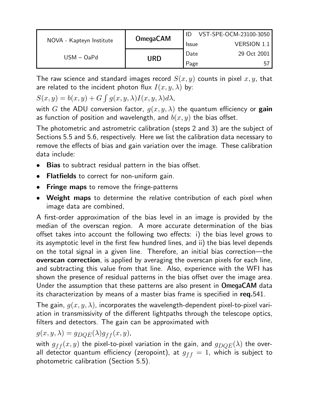|                          | <b>OmegaCAM</b> |              | VST-SPE-OCM-23100-3050 |
|--------------------------|-----------------|--------------|------------------------|
| NOVA - Kapteyn Institute |                 | <b>Issue</b> | <b>VERSION 1.1</b>     |
| $USM - OaPd$             |                 | Date         | 29 Oct 2001            |
|                          | URD             | Page         | 57                     |

The raw science and standard images record  $S(x, y)$  counts in pixel  $x, y$ , that are related to the incident photon flux  $I(x, y, \lambda)$  by:  $\ddot{\phantom{0}}$ 

 $S(x, y) = b(x, y) + G$  $g(x, y, \lambda)I(x, y, \lambda)d\lambda$ ,

with G the ADU conversion factor,  $g(x, y, \lambda)$  the quantum efficiency or gain as function of position and wavelength, and  $b(x, y)$  the bias offset.

The photometric and astrometric calibration (steps 2 and 3) are the subject of Sections 5.5 and 5.6, respectively. Here we list the calibration data necessary to remove the effects of bias and gain variation over the image. These calibration data include:

- Bias to subtract residual pattern in the bias offset.
- **Flatfields** to correct for non-uniform gain.
- **Fringe maps** to remove the fringe-patterns
- Weight maps to determine the relative contribution of each pixel when image data are combined,

A first-order approximation of the bias level in an image is provided by the median of the overscan region. A more accurate determination of the bias offset takes into account the following two effects: i) the bias level grows to its asymptotic level in the first few hundred lines, and ii) the bias level depends on the total signal in a given line. Therefore, an initial bias correction—the overscan correction, is applied by averaging the overscan pixels for each line, and subtracting this value from that line. Also, experience with the WFI has shown the presence of residual patterns in the bias offset over the image area. Under the assumption that these patterns are also present in OmegaCAM data its characterization by means of a master bias frame is specified in req.541.

The gain,  $q(x, y, \lambda)$ , incorporates the wavelength-dependent pixel-to-pixel variation in transmissivity of the different lightpaths through the telescope optics, filters and detectors. The gain can be approximated with

 $g(x, y, \lambda) = g_{DQE}(\lambda)g_{ff}(x, y),$ 

with  $g_{ff}(x, y)$  the pixel-to-pixel variation in the gain, and  $g_{DQE}(\lambda)$  the overall detector quantum efficiency (zeropoint), at  $g_{ff} = 1$ , which is subject to photometric calibration (Section 5.5).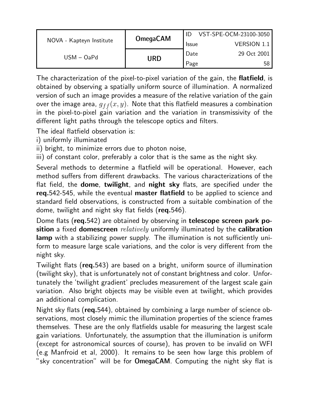|                          | <b>OmegaCAM</b> |              | VST-SPE-OCM-23100-3050 |
|--------------------------|-----------------|--------------|------------------------|
| NOVA - Kapteyn Institute |                 | <b>Issue</b> | <b>VERSION 1.1</b>     |
| $USM - OaPd$             | URD             | Date         | 29 Oct 2001            |
|                          |                 | Page         | 58                     |

The characterization of the pixel-to-pixel variation of the gain, the flatfield, is obtained by observing a spatially uniform source of illumination. A normalized version of such an image provides a measure of the relative variation of the gain over the image area,  $g_{ff}(x, y)$ . Note that this flatfield measures a combination in the pixel-to-pixel gain variation and the variation in transmissivity of the different light paths through the telescope optics and filters.

The ideal flatfield observation is:

i) uniformly illuminated

ii) bright, to minimize errors due to photon noise,

iii) of constant color, preferably a color that is the same as the night sky.

Several methods to determine a flatfield will be operational. However, each method suffers from different drawbacks. The various characterizations of the flat field, the dome, twilight, and night sky flats, are specified under the req.542-545, while the eventual master flatfield to be applied to science and standard field observations, is constructed from a suitable combination of the dome, twilight and night sky flat fields (req.546).

Dome flats (req.542) are obtained by observing in telescope screen park position a fixed domescreen *relatively* uniformly illuminated by the calibration lamp with a stabilizing power supply. The illumination is not sufficiently uniform to measure large scale variations, and the color is very different from the night sky.

Twilight flats (req.543) are based on a bright, uniform source of illumination (twilight sky), that is unfortunately not of constant brightness and color. Unfortunately the 'twilight gradient' precludes measurement of the largest scale gain variation. Also bright objects may be visible even at twilight, which provides an additional complication.

Night sky flats (req.544), obtained by combining a large number of science observations, most closely mimic the illumination properties of the science frames themselves. These are the only flatfields usable for measuring the largest scale gain variations. Unfortunately, the assumption that the illumination is uniform (except for astronomical sources of course), has proven to be invalid on WFI (e.g Manfroid et al, 2000). It remains to be seen how large this problem of "sky concentration" will be for OmegaCAM. Computing the night sky flat is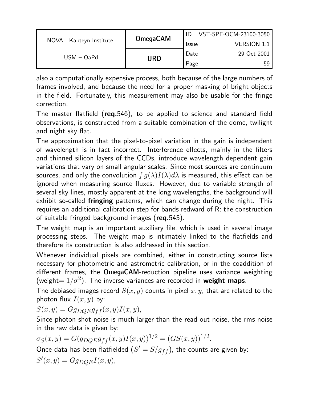|                          | <b>OmegaCAM</b> |              | VST-SPE-OCM-23100-3050 |
|--------------------------|-----------------|--------------|------------------------|
| NOVA - Kapteyn Institute |                 | <b>Issue</b> | <b>VERSION 1.1</b>     |
| $USM - OaPd$             | URD             | Date         | 29 Oct 2001            |
|                          |                 | Page         | 59                     |

also a computationally expensive process, both because of the large numbers of frames involved, and because the need for a proper masking of bright objects in the field. Fortunately, this measurement may also be usable for the fringe correction.

The master flatfield (req.546), to be applied to science and standard field observations, is constructed from a suitable combination of the dome, twilight and night sky flat.

The approximation that the pixel-to-pixel variation in the gain is independent of wavelength is in fact incorrect. Interference effects, mainly in the filters and thinned silicon layers of the CCDs, introduce wavelength dependent gain variations that vary on small angular scales. Since most sources are continuum sources, and only the convolution  $\int g(\lambda)I(\lambda)d\lambda$  is measured, this effect can be ignored when measuring source fluxes. However, due to variable strength of several sky lines, mostly apparent at the long wavelengths, the background will exhibit so-called fringing patterns, which can change during the night. This requires an additional calibration step for bands redward of R: the construction of suitable fringed background images (req.545).

The weight map is an important auxiliary file, which is used in several image processing steps. The weight map is intimately linked to the flatfields and therefore its construction is also addressed in this section.

Whenever individual pixels are combined, either in constructing source lists necessary for photometric and astrometric calibration, or in the coaddition of different frames, the OmegaCAM-reduction pipeline uses variance weighting (weight =  $1/\sigma^2$ ). The inverse variances are recorded in weight maps.

The debiased images record  $S(x, y)$  counts in pixel  $x, y$ , that are related to the photon flux  $I(x, y)$  by:

 $S(x, y) = Gg_{DOE}g_{ff}(x, y)I(x, y),$ 

Since photon shot-noise is much larger than the read-out noise, the rms-noise in the raw data is given by:

$$
\sigma_S(x, y) = G(g_{DQE}g_{ff}(x, y)I(x, y))^{1/2} = (GS(x, y))^{1/2}.
$$

Once data has been flatfielded  $(S^\prime=S/g_{ff})$ , the counts are given by:

 $S'(x, y) = Gg_{DQE}I(x, y),$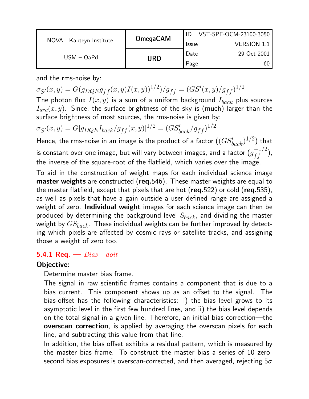|                          | <b>OmegaCAM</b> |              | VST-SPE-OCM-23100-3050 |
|--------------------------|-----------------|--------------|------------------------|
| NOVA - Kapteyn Institute |                 | <b>Issue</b> | <b>VERSION 1.1</b>     |
| $USM - OaPd$             | URD             | Date         | 29 Oct 2001            |
|                          |                 | Page         | 60                     |

and the rms-noise by:

 $\sigma_{S'}(x,y) = G(g_{DQE}g_{ff}(x,y)I(x,y))^{1/2})/g_{ff} = (GS'(x,y)/g_{ff})^{1/2}$ 

The photon flux  $I(x, y)$  is a sum of a uniform background  $I_{back}$  plus sources  $I_{src}(x, y)$ . Since, the surface brightness of the sky is (much) larger than the surface brightness of most sources, the rms-noise is given by:

 $\sigma_{S'}(x,y) = G[g_{DQE}I_{back}/g_{ff}(x,y)]^{1/2} = (GS'_{back}/g_{ff})^{1/2}$ 

Hence, the rms-noise in an image is the product of a factor  $((G S'_{back})^{1/2})$  that is constant over one image, but will vary between images, and a factor  $(g_{ff}^{-1/2})$ , the inverse of the square-root of the flatfield, which varies over the image.

To aid in the construction of weight maps for each individual science image **master weights** are constructed (req.546). These master weights are equal to the master flatfield, except that pixels that are hot ( $req.522$ ) or cold ( $req.535$ ), as well as pixels that have a gain outside a user defined range are assigned a weight of zero. Individual weight images for each science image can then be produced by determining the background level  $S_{back}$ , and dividing the master weight by  $GS_{back}$ . These individual weights can be further improved by detecting which pixels are affected by cosmic rays or satellite tracks, and assigning those a weight of zero too.

### 5.4.1 Req.  $-$  Bias - doit

## Objective:

Determine master bias frame.

The signal in raw scientific frames contains a component that is due to a bias current. This component shows up as an offset to the signal. The bias-offset has the following characteristics: i) the bias level grows to its asymptotic level in the first few hundred lines, and ii) the bias level depends on the total signal in a given line. Therefore, an initial bias correction—the **overscan correction**, is applied by averaging the overscan pixels for each line, and subtracting this value from that line.

In addition, the bias offset exhibits a residual pattern, which is measured by the master bias frame. To construct the master bias a series of 10 zerosecond bias exposures is overscan-corrected, and then averaged, rejecting  $5\sigma$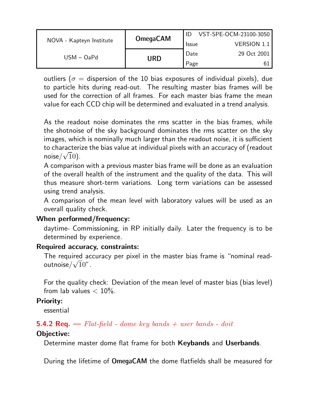|                          | <b>OmegaCAM</b> |              | VST-SPE-OCM-23100-3050 |
|--------------------------|-----------------|--------------|------------------------|
| NOVA - Kapteyn Institute |                 | <b>Issue</b> | <b>VERSION 1.1</b>     |
| $USM - OaPd$             | URD             | Date         | 29 Oct 2001            |
|                          |                 | Page         | 61                     |

outliers ( $\sigma$  = dispersion of the 10 bias exposures of individual pixels), due to particle hits during read-out. The resulting master bias frames will be used for the correction of all frames. For each master bias frame the mean value for each CCD chip will be determined and evaluated in a trend analysis.

As the readout noise dominates the rms scatter in the bias frames, while the shotnoise of the sky background dominates the rms scatter on the sky images, which is nominally much larger than the readout noise, it is sufficient to characterize the bias value at individual pixels with an accuracy of (readout to cnaracteri<br>noise/√ $\overline{1}0)$ .

A comparison with a previous master bias frame will be done as an evaluation of the overall health of the instrument and the quality of the data. This will thus measure short-term variations. Long term variations can be assessed using trend analysis.

A comparison of the mean level with laboratory values will be used as an overall quality check.

## When performed/frequency:

daytime- Commissioning, in RP initially daily. Later the frequency is to be determined by experience.

#### Required accuracy, constraints:

The required accuracy per pixel in the master bias frame is "nominal read-The required ac<br>outnoise/ $\sqrt{1}0"$ .

For the quality check: Deviation of the mean level of master bias (bias level) from lab values  $< 10\%$ .

#### Priority:

essential

## **5.4.2 Req.**  $\rightarrow$  Flat-field - dome key bands + user bands - doit

#### Objective:

Determine master dome flat frame for both Keybands and Userbands.

During the lifetime of OmegaCAM the dome flatfields shall be measured for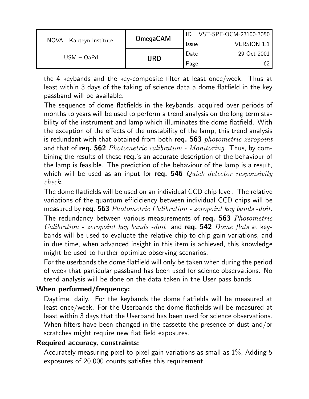|                          | <b>OmegaCAM</b> |              | VST-SPE-OCM-23100-3050 |
|--------------------------|-----------------|--------------|------------------------|
| NOVA - Kapteyn Institute |                 | <b>Issue</b> | <b>VERSION 1.1</b>     |
| $USM - OaPd$             | URD             | Date         | 29 Oct 2001            |
|                          |                 | Page         |                        |

the 4 keybands and the key-composite filter at least once/week. Thus at least within 3 days of the taking of science data a dome flatfield in the key passband will be available.

The sequence of dome flatfields in the keybands, acquired over periods of months to years will be used to perform a trend analysis on the long term stability of the instrument and lamp which illuminates the dome flatfield. With the exception of the effects of the unstability of the lamp, this trend analysis is redundant with that obtained from both req.  $563$  photometric zeropoint and that of **req. 562** Photometric calibration - Monitoring. Thus, by combining the results of these req.'s an accurate description of the behaviour of the lamp is feasible. The prediction of the behaviour of the lamp is a result, which will be used as an input for req. 546  $Quick \ detector \ responsibility$ check.

The dome flatfields will be used on an individual CCD chip level. The relative variations of the quantum efficiciency between individual CCD chips will be measured by req. 563 Photometric Calibration - zeropoint key bands -doit. The redundancy between various measurements of req. 563 Photometric *Calibration - zeropoint key bands -doit* and req. 542 *Dome flats* at keybands will be used to evaluate the relative chip-to-chip gain variations, and in due time, when advanced insight in this item is achieved, this knowledge might be used to further optimize observing scenarios.

For the userbands the dome flatfield will only be taken when during the period of week that particular passband has been used for science observations. No trend analysis will be done on the data taken in the User pass bands.

#### When performed/frequency:

Daytime, daily. For the keybands the dome flatfields will be measured at least once/week. For the Userbands the dome flatfields will be measured at least within 3 days that the Userband has been used for science observations. When filters have been changed in the cassette the presence of dust and/or scratches might require new flat field exposures.

#### Required accuracy, constraints:

Accurately measuring pixel-to-pixel gain variations as small as 1%, Adding 5 exposures of 20,000 counts satisfies this requirement.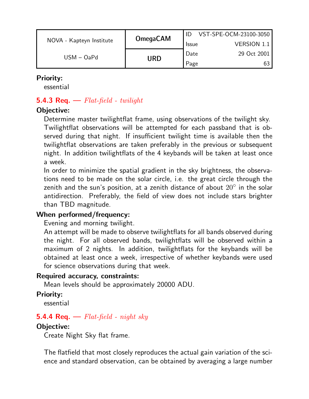|                          | <b>OmegaCAM</b> |              | VST-SPE-OCM-23100-3050 |
|--------------------------|-----------------|--------------|------------------------|
| NOVA - Kapteyn Institute |                 | <b>Issue</b> | <b>VERSION 1.1</b>     |
| $USM - OaPd$             | Date            | 29 Oct 2001  |                        |
|                          | URD             | Page         |                        |

### Priority:

essential

## **5.4.3 Req.**  $\rightarrow$  Flat-field - twilight

## Objective:

Determine master twilightflat frame, using observations of the twilight sky. Twilightflat observations will be attempted for each passband that is observed during that night. If insufficient twilight time is available then the twilightflat observations are taken preferably in the previous or subsequent night. In addition twilightflats of the 4 keybands will be taken at least once a week.

In order to minimize the spatial gradient in the sky brightness, the observations need to be made on the solar circle, i.e. the great circle through the zenith and the sun's position, at a zenith distance of about  $20^{\circ}$  in the solar antidirection. Preferably, the field of view does not include stars brighter than TBD magnitude.

## When performed/frequency:

Evening and morning twilight.

An attempt will be made to observe twilightflats for all bands observed during the night. For all observed bands, twilightflats will be observed within a maximum of 2 nights. In addition, twilightflats for the keybands will be obtained at least once a week, irrespective of whether keybands were used for science observations during that week.

#### Required accuracy, constraints:

Mean levels should be approximately 20000 ADU.

## Priority:

essential

## **5.4.4 Req.**  $\rightarrow$  Flat-field - night sky

#### Objective:

Create Night Sky flat frame.

The flatfield that most closely reproduces the actual gain variation of the science and standard observation, can be obtained by averaging a large number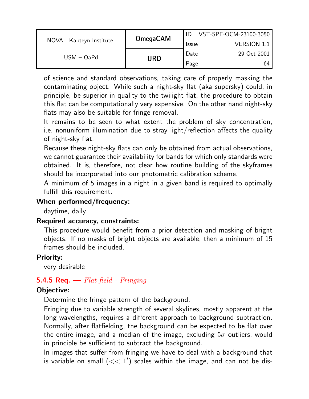|                          | <b>OmegaCAM</b> |              | VST-SPE-OCM-23100-3050 |
|--------------------------|-----------------|--------------|------------------------|
| NOVA - Kapteyn Institute |                 | <b>Issue</b> | <b>VERSION 1.1</b>     |
| $USM - OaPd$             | URD             | Date         | 29 Oct 2001            |
|                          |                 | Page         | 64                     |

of science and standard observations, taking care of properly masking the contaminating object. While such a night-sky flat (aka supersky) could, in principle, be superior in quality to the twilight flat, the procedure to obtain this flat can be computationally very expensive. On the other hand night-sky flats may also be suitable for fringe removal.

It remains to be seen to what extent the problem of sky concentration, i.e. nonuniform illumination due to stray light/reflection affects the quality of night-sky flat.

Because these night-sky flats can only be obtained from actual observations, we cannot guarantee their availability for bands for which only standards were obtained. It is, therefore, not clear how routine building of the skyframes should be incorporated into our photometric calibration scheme.

A minimum of 5 images in a night in a given band is required to optimally fulfill this requirement.

### When performed/frequency:

daytime, daily

## Required accuracy, constraints:

This procedure would benefit from a prior detection and masking of bright objects. If no masks of bright objects are available, then a minimum of 15 frames should be included.

## Priority:

very desirable

## 5.4.5 Req.  $-$  Flat-field - Fringing

## Objective:

Determine the fringe pattern of the background.

Fringing due to variable strength of several skylines, mostly apparent at the long wavelengths, requires a different approach to background subtraction. Normally, after flatfielding, the background can be expected to be flat over the entire image, and a median of the image, excluding  $5\sigma$  outliers, would in principle be sufficient to subtract the background.

In images that suffer from fringing we have to deal with a background that is variable on small  $(< 1')$  scales within the image, and can not be dis-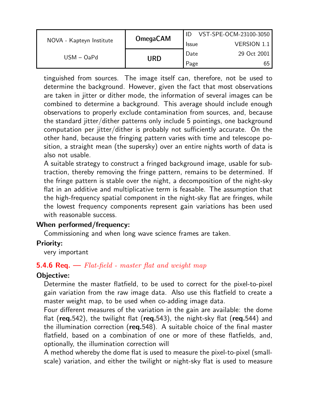|                          | <b>OmegaCAM</b> |              | VST-SPE-OCM-23100-3050 |
|--------------------------|-----------------|--------------|------------------------|
| NOVA - Kapteyn Institute |                 | <b>Issue</b> | VERSION 1.1            |
| $USM - OaPd$             | URD             | Date         | 29 Oct 2001            |
|                          |                 | Page         | 65                     |

tinguished from sources. The image itself can, therefore, not be used to determine the background. However, given the fact that most observations are taken in jitter or dither mode, the information of several images can be combined to determine a background. This average should include enough observations to properly exclude contamination from sources, and, because the standard jitter/dither patterns only include 5 pointings, one background computation per jitter/dither is probably not sufficiently accurate. On the other hand, because the fringing pattern varies with time and telescope position, a straight mean (the supersky) over an entire nights worth of data is also not usable.

A suitable strategy to construct a fringed background image, usable for subtraction, thereby removing the fringe pattern, remains to be determined. If the fringe pattern is stable over the night, a decomposition of the night-sky flat in an additive and multiplicative term is feasable. The assumption that the high-frequency spatial component in the night-sky flat are fringes, while the lowest frequency components represent gain variations has been used with reasonable success.

#### When performed/frequency:

Commissioning and when long wave science frames are taken.

#### Priority:

very important

#### **5.4.6 Req.**  $\rightarrow$  Flat-field - master flat and weight map

#### Objective:

Determine the master flatfield, to be used to correct for the pixel-to-pixel gain variation from the raw image data. Also use this flatfield to create a master weight map, to be used when co-adding image data.

Four different measures of the variation in the gain are available: the dome flat (req.542), the twilight flat (req.543), the night-sky flat (req.544) and the illumination correction (req.548). A suitable choice of the final master flatfield, based on a combination of one or more of these flatfields, and, optionally, the illumination correction will

A method whereby the dome flat is used to measure the pixel-to-pixel (smallscale) variation, and either the twilight or night-sky flat is used to measure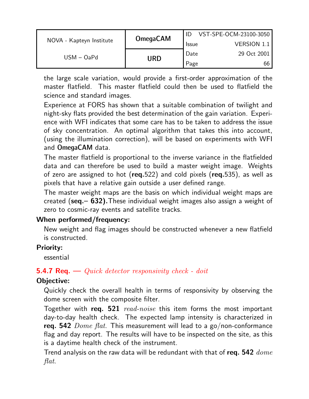|                          | <b>OmegaCAM</b> |              | VST-SPE-OCM-23100-3050 |
|--------------------------|-----------------|--------------|------------------------|
| NOVA - Kapteyn Institute |                 | <b>Issue</b> | <b>VERSION 1.1</b>     |
| $USM - OaPd$             | URD             | Date         | 29 Oct 2001            |
|                          |                 | Page         | 66                     |

the large scale variation, would provide a first-order approximation of the master flatfield. This master flatfield could then be used to flatfield the science and standard images.

Experience at FORS has shown that a suitable combination of twilight and night-sky flats provided the best determination of the gain variation. Experience with WFI indicates that some care has to be taken to address the issue of sky concentration. An optimal algorithm that takes this into account, (using the illumination correction), will be based on experiments with WFI and OmegaCAM data.

The master flatfield is proportional to the inverse variance in the flatfielded data and can therefore be used to build a master weight image. Weights of zero are assigned to hot ( $req.522$ ) and cold pixels ( $req.535$ ), as well as pixels that have a relative gain outside a user defined range.

The master weight maps are the basis on which individual weight maps are created (seq.– 632).These individual weight images also assign a weight of zero to cosmic-ray events and satellite tracks.

## When performed/frequency:

New weight and flag images should be constructed whenever a new flatfield is constructed.

## Priority:

essential

## **5.4.7 Req.** — Quick detector responsivity check - doit

## Objective:

Quickly check the overall health in terms of responsivity by observing the dome screen with the composite filter.

Together with req. 521 read-noise this item forms the most important day-to-day health check. The expected lamp intensity is characterized in req. 542  $Dome$  flat. This measurement will lead to a go/non-conformance flag and day report. The results will have to be inspected on the site, as this is a daytime health check of the instrument.

Trend analysis on the raw data will be redundant with that of req. 542  $\emph{done}$ flat.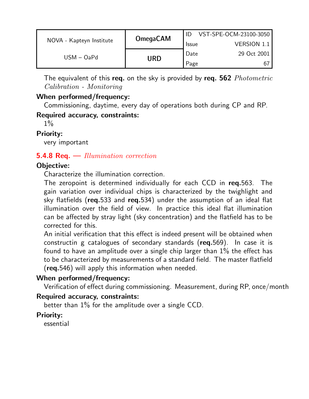|                          | <b>OmegaCAM</b> |              | VST-SPE-OCM-23100-3050 |
|--------------------------|-----------------|--------------|------------------------|
| NOVA - Kapteyn Institute |                 | <b>Issue</b> | <b>VERSION 1.1</b>     |
| $USM - OaPd$             | URD             | Date         | 29 Oct 2001            |
|                          |                 | Page         | 67                     |

The equivalent of this req. on the sky is provided by req. 562 Photometric Calibration - Monitoring

## When performed/frequency:

Commissioning, daytime, every day of operations both during CP and RP.

#### Required accuracy, constraints:

 $1\%$ 

## Priority:

very important

## **5.4.8 Req.** — Illumination correction

## Objective:

Characterize the illumination correction.

The zeropoint is determined individually for each CCD in req.563. The gain variation over individual chips is characterized by the twighlight and sky flatfields (req.533 and req.534) under the assumption of an ideal flat illumination over the field of view. In practice this ideal flat illumination can be affected by stray light (sky concentration) and the flatfield has to be corrected for this.

An initial verification that this effect is indeed present will be obtained when constructin g catalogues of secondary standards (req.569). In case it is found to have an amplitude over a single chip larger than 1% the effect has to be characterized by measurements of a standard field. The master flatfield (req.546) will apply this information when needed.

## When performed/frequency:

Verification of effect during commissioning. Measurement, during RP, once/month

## Required accuracy, constraints:

better than 1% for the amplitude over a single CCD.

## Priority:

essential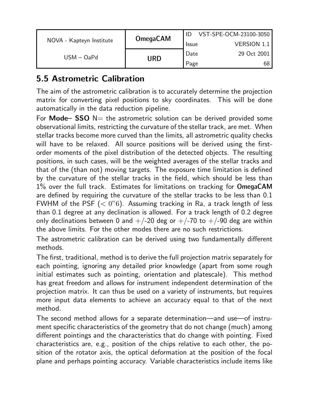|                          | <b>OmegaCAM</b> |              | VST-SPE-OCM-23100-3050 |
|--------------------------|-----------------|--------------|------------------------|
| NOVA - Kapteyn Institute |                 | <b>Issue</b> | <b>VERSION 1.1</b>     |
| $USM - OaPd$             | URD             | Date         | 29 Oct 2001            |
|                          |                 | Page         | 68                     |

## 5.5 Astrometric Calibration

The aim of the astrometric calibration is to accurately determine the projection matrix for converting pixel positions to sky coordinates. This will be done automatically in the data reduction pipeline.

For **Mode– SSO** N= the astrometric solution can be derived provided some observational limits, restricting the curvature of the stellar track, are met. When stellar tracks become more curved than the limits, all astrometric quality checks will have to be relaxed. All source positions will be derived using the firstorder moments of the pixel distribution of the detected objects. The resulting positions, in such cases, will be the weighted averages of the stellar tracks and that of the (than not) moving targets. The exposure time limitation is defined by the curvature of the stellar tracks in the field, which should be less than 1% over the full track. Estimates for limitations on tracking for OmegaCAM are defined by requiring the curvature of the stellar tracks to be less than 0.1 FWHM of the PSF  $( $0$ "6)$ . Assuming tracking in Ra, a track length of less than 0.1 degree at any declination is allowed. For a track length of 0.2 degree only declinations between 0 and  $+/-20$  deg or  $+/-70$  to  $+/-90$  deg are within the above limits. For the other modes there are no such restrictions.

The astrometric calibration can be derived using two fundamentally different methods.

The first, traditional, method is to derive the full projection matrix separately for each pointing, ignoring any detailed prior knowledge (apart from some rough initial estimates such as pointing, orientation and platescale). This method has great freedom and allows for instrument independent determination of the projection matrix. It can thus be used on a variety of instruments, but requires more input data elements to achieve an accuracy equal to that of the next method.

The second method allows for a separate determination—and use—of instrument specific characteristics of the geometry that do not change (much) among different pointings and the characteristics that do change with pointing. Fixed characteristics are, e.g., position of the chips relative to each other, the position of the rotator axis, the optical deformation at the position of the focal plane and perhaps pointing accuracy. Variable characteristics include items like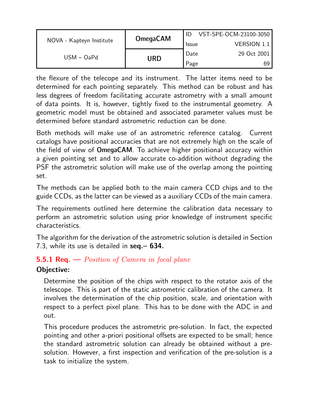|                          | <b>OmegaCAM</b> |              | VST-SPE-OCM-23100-3050 |
|--------------------------|-----------------|--------------|------------------------|
| NOVA - Kapteyn Institute |                 | <b>Issue</b> | <b>VERSION 1.1</b>     |
| $USM - OaPd$             | URD             | Date         | 29 Oct 2001            |
|                          |                 | Page         | 69                     |

the flexure of the telecope and its instrument. The latter items need to be determined for each pointing separately. This method can be robust and has less degrees of freedom facilitating accurate astrometry with a small amount of data points. It is, however, tightly fixed to the instrumental geometry. A geometric model must be obtained and associated parameter values must be determined before standard astrometric reduction can be done.

Both methods will make use of an astrometric reference catalog. Current catalogs have positional accuracies that are not extremely high on the scale of the field of view of OmegaCAM. To achieve higher positional accuracy within a given pointing set and to allow accurate co-addition without degrading the PSF the astrometric solution will make use of the overlap among the pointing set.

The methods can be applied both to the main camera CCD chips and to the guide CCDs, as the latter can be viewed as a auxiliary CCDs of the main camera.

The requirements outlined here determine the calibration data necessary to perform an astrometric solution using prior knowledge of instrument specific characteristics.

The algorithm for the derivation of the astrometric solution is detailed in Section 7.3, while its use is detailed in seq. - 634.

## **5.5.1 Req.** — *Position of Camera in focal plane*

## Objective:

Determine the position of the chips with respect to the rotator axis of the telescope. This is part of the static astrometric calibration of the camera. It involves the determination of the chip position, scale, and orientation with respect to a perfect pixel plane. This has to be done with the ADC in and out.

This procedure produces the astrometric pre-solution. In fact, the expected pointing and other a-priori positional offsets are expected to be small; hence the standard astrometric solution can already be obtained without a presolution. However, a first inspection and verification of the pre-solution is a task to initialize the system.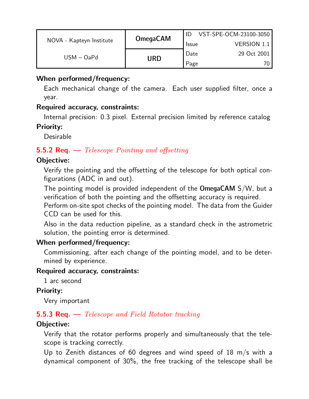|                          |                 |              | VST-SPE-OCM-23100-3050 |
|--------------------------|-----------------|--------------|------------------------|
| NOVA - Kapteyn Institute | <b>OmegaCAM</b> | <b>Issue</b> | <b>VERSION 1.1</b>     |
| $USM - OaPd$             | URD             | Date         | 29 Oct 2001            |
|                          |                 | Page         |                        |

### When performed/frequency:

Each mechanical change of the camera. Each user supplied filter, once a year.

#### Required accuracy, constraints:

Internal precision: 0.3 pixel. External precision limited by reference catalog Priority:

Desirable

## **5.5.2 Req.**  $\rightarrow$  *Telescope Pointing and offsetting*

## Objective:

Verify the pointing and the offsetting of the telescope for both optical configurations (ADC in and out).

The pointing model is provided independent of the OmegaCAM S/W, but a verification of both the pointing and the offsetting accuracy is required.

Perform on-site spot checks of the pointing model. The data from the Guider CCD can be used for this.

Also in the data reduction pipeline, as a standard check in the astrometric solution, the pointing error is determined.

#### When performed/frequency:

Commissioning, after each change of the pointing model, and to be determined by experience.

#### Required accuracy, constraints:

1 arc second

#### Priority:

Very important

## 5.5.3 Req. — Telescope and Field Rotator tracking

#### Objective:

Verify that the rotator performs properly and simultaneously that the telescope is tracking correctly.

Up to Zenith distances of 60 degrees and wind speed of 18 m/s with a dynamical component of 30%, the free tracking of the telescope shall be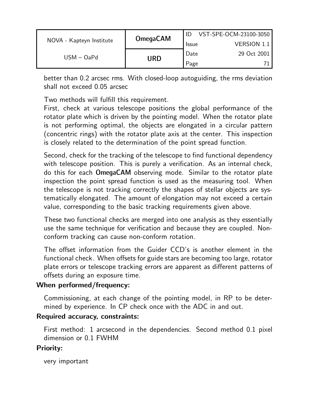| NOVA - Kapteyn Institute | <b>OmegaCAM</b> | VST-SPE-OCM-23100-3050 |                    |  |
|--------------------------|-----------------|------------------------|--------------------|--|
|                          |                 | <b>Issue</b>           | <b>VERSION 1.1</b> |  |
| $USM - OaPd$             | URD             | Date                   | 29 Oct 2001        |  |
|                          |                 | Page                   |                    |  |

better than 0.2 arcsec rms. With closed-loop autoguiding, the rms deviation shall not exceed 0.05 arcsec

Two methods will fulfill this requirement.

First, check at various telescope positions the global performance of the rotator plate which is driven by the pointing model. When the rotator plate is not performing optimal, the objects are elongated in a circular pattern (concentric rings) with the rotator plate axis at the center. This inspection is closely related to the determination of the point spread function.

Second, check for the tracking of the telescope to find functional dependency with telescope position. This is purely a verification. As an internal check, do this for each OmegaCAM observing mode. Similar to the rotator plate inspection the point spread function is used as the measuring tool. When the telescope is not tracking correctly the shapes of stellar objects are systematically elongated. The amount of elongation may not exceed a certain value, corresponding to the basic tracking requirements given above.

These two functional checks are merged into one analysis as they essentially use the same technique for verification and because they are coupled. Nonconform tracking can cause non-conform rotation.

The offset information from the Guider CCD's is another element in the functional check. When offsets for guide stars are becoming too large, rotator plate errors or telescope tracking errors are apparent as different patterns of offsets during an exposure time.

## When performed/frequency:

Commissioning, at each change of the pointing model, in RP to be determined by experience. In CP check once with the ADC in and out.

## Required accuracy, constraints:

First method: 1 arcsecond in the dependencies. Second method 0.1 pixel dimension or 0.1 FWHM

## Priority:

very important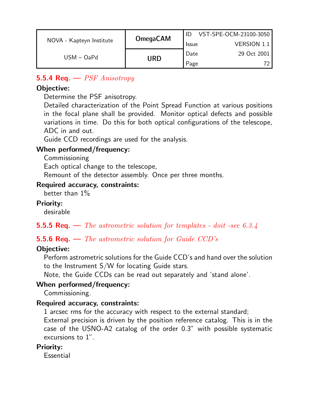|                          | <b>OmegaCAM</b> | VST-SPE-OCM-23100-3050 |                    |  |
|--------------------------|-----------------|------------------------|--------------------|--|
| NOVA - Kapteyn Institute |                 | <b>Issue</b>           | <b>VERSION 1.1</b> |  |
| $USM - OaPd$             | URD             | Date                   | 29 Oct 2001        |  |
|                          |                 | Page                   |                    |  |

## **5.5.4 Req.**  $\rightarrow$  *PSF Anisotropy*

## Objective:

Determine the PSF anisotropy.

Detailed characterization of the Point Spread Function at various positions in the focal plane shall be provided. Monitor optical defects and possible variations in time. Do this for both optical configurations of the telescope, ADC in and out.

Guide CCD recordings are used for the analysis.

#### When performed/frequency:

**Commissioning** 

Each optical change to the telescope,

Remount of the detector assembly. Once per three months.

#### Required accuracy, constraints:

better than 1%

### Priority:

desirable

## **5.5.5 Req.** — The astrometric solution for templates - doit -see 6.3.4

## **5.5.6 Req.**  $\rightarrow$  The astrometric solution for Guide CCD's

## Objective:

Perform astrometric solutions for the Guide CCD's and hand over the solution to the Instrument S/W for locating Guide stars.

Note, the Guide CCDs can be read out separately and 'stand alone'.

## When performed/frequency:

Commissioning.

## Required accuracy, constraints:

1 arcsec rms for the accuracy with respect to the external standard; External precision is driven by the position reference catalog. This is in the case of the USNO-A2 catalog of the order 0.3" with possible systematic excursions to 1".

#### Priority:

Essential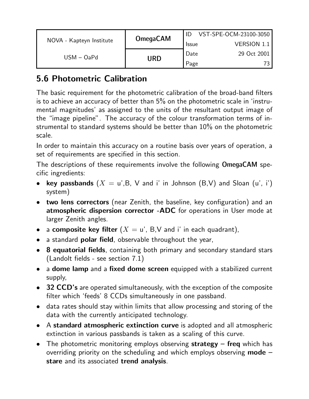|                          | <b>OmegaCAM</b> |              | VST-SPE-OCM-23100-3050 |
|--------------------------|-----------------|--------------|------------------------|
| NOVA - Kapteyn Institute |                 | <b>Issue</b> | <b>VERSION 1.1</b>     |
| $USM - OaPd$             |                 | Date         | 29 Oct 2001            |
|                          | URD             | Page         |                        |

## 5.6 Photometric Calibration

The basic requirement for the photometric calibration of the broad-band filters is to achieve an accuracy of better than 5% on the photometric scale in 'instrumental magnitudes' as assigned to the units of the resultant output image of the "image pipeline". The accuracy of the colour transformation terms of instrumental to standard systems should be better than 10% on the photometric scale.

In order to maintain this accuracy on a routine basis over years of operation, a set of requirements are specified in this section.

The descriptions of these requirements involve the following OmegaCAM specific ingredients:

- key passbands  $(X = u', B, V, A)$  and i' in Johnson  $(B, V)$  and Sloan  $(u', i')$ system)
- two lens correctors (near Zenith, the baseline, key configuration) and an atmospheric dispersion corrector -ADC for operations in User mode at larger Zenith angles.
- a composite key filter  $(X = u', B, V)$  and i' in each quadrant),
- a standard **polar field**, observable throughout the year,
- 8 equatorial fields, containing both primary and secondary standard stars (Landolt fields - see section 7.1)
- a **dome lamp** and a **fixed dome screen** equipped with a stabilized current supply,
- 32 CCD's are operated simultaneously, with the exception of the composite filter which 'feeds' 8 CCDs simultaneously in one passband.
- data rates should stay within limits that allow processing and storing of the data with the currently anticipated technology.
- A standard atmospheric extinction curve is adopted and all atmospheric extinction in various passbands is taken as a scaling of this curve.
- The photometric monitoring employs observing strategy  $-$  freq which has overriding priority on the scheduling and which employs observing  $mode$ stare and its associated trend analysis.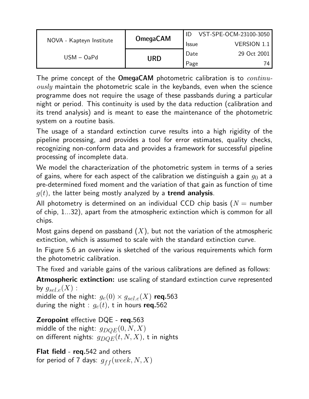|                          | <b>OmegaCAM</b> |              | VST-SPE-OCM-23100-3050 |
|--------------------------|-----------------|--------------|------------------------|
| NOVA - Kapteyn Institute |                 | <b>Issue</b> | VERSION 1.1            |
| $USM - OaPd$             |                 | Date         | 29 Oct 2001            |
|                          | URD             | Page         | 74                     |

The prime concept of the  $OmegaCAM$  photometric calibration is to  $continu$  $ously$  maintain the photometric scale in the keybands, even when the science programme does not require the usage of these passbands during a particular night or period. This continuity is used by the data reduction (calibration and its trend analysis) and is meant to ease the maintenance of the photometric system on a routine basis.

The usage of a standard extinction curve results into a high rigidity of the pipeline processing, and provides a tool for error estimates, quality checks, recognizing non-conform data and provides a framework for successful pipeline processing of incomplete data.

We model the characterization of the photometric system in terms of a series of gains, where for each aspect of the calibration we distinguish a gain  $q_0$  at a pre-determined fixed moment and the variation of that gain as function of time  $g(t)$ , the latter being mostly analyzed by a **trend analysis**.

All photometry is determined on an individual CCD chip basis ( $N =$  number of chip, 1...32), apart from the atmospheric extinction which is common for all chips.

Most gains depend on passband  $(X)$ , but not the variation of the atmospheric extinction, which is assumed to scale with the standard extinction curve.

In Figure 5.6 an overview is sketched of the various requirements which form the photometric calibration.

The fixed and variable gains of the various calibrations are defined as follows:

Atmospheric extinction: use scaling of standard extinction curve represented by  $g_{\text{sel},e}(X)$ :

middle of the night:  $g_e(0) \times g_{sel,e}(X)$  req.563 during the night :  $g_e(t)$ , t in hours req.562

Zeropoint effective DQE - req.563 middle of the night:  $g_{DQE}(0, N, X)$ on different nights:  $g_{DOE}(t, N, X)$ , t in nights

Flat field - req.542 and others for period of 7 days:  $g_{ff}(week, N, X)$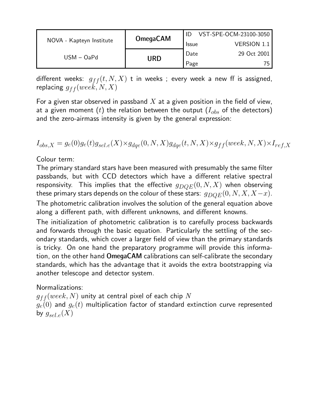|                          | <b>OmegaCAM</b> |              | VST-SPE-OCM-23100-3050 |
|--------------------------|-----------------|--------------|------------------------|
| NOVA - Kapteyn Institute |                 | <b>Issue</b> | <b>VERSION 1.1</b>     |
| $USM - OaPd$             |                 | Date         | 29 Oct 2001            |
|                          | <b>URD</b>      | Page         | 75                     |

different weeks:  $g_{ff}(t, N, X)$  t in weeks; every week a new ff is assigned, replacing  $g_{ff}(week, N, X)$ 

For a given star observed in passband  $X$  at a given position in the field of view, at a given moment (t) the relation between the output  $(I_{obs}$  of the detectors) and the zero-airmass intensity is given by the general expression:

$$
I_{obs,X} = g_e(0)g_e(t)g_{sel.e}(X) \times g_{dqe}(0,N,X)g_{dqe}(t,N,X) \times g_{ff}(week,N,X) \times I_{ref,X}
$$

Colour term:

The primary standard stars have been measured with presumably the same filter passbands, but with CCD detectors which have a different relative spectral responsivity. This implies that the effective  $g_{DOE}(0, N, X)$  when observing these primary stars depends on the colour of these stars:  $g_{DQE}(0, N, X, X-x)$ . The photometric calibration involves the solution of the general equation above along a different path, with different unknowns, and different knowns.

The initialization of photometric calibration is to carefully process backwards and forwards through the basic equation. Particularly the settling of the secondary standards, which cover a larger field of view than the primary standards is tricky. On one hand the preparatory programme will provide this information, on the other hand OmegaCAM calibrations can self-calibrate the secondary standards, which has the advantage that it avoids the extra bootstrapping via another telescope and detector system.

Normalizations:

 $g_{ff} (week, N)$  unity at central pixel of each chip  $N$  $g_e(0)$  and  $g_e(t)$  multiplication factor of standard extinction curve represented by  $g_{sel,e}(X)$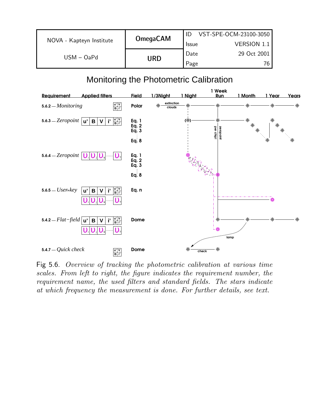|                          | <b>OmegaCAM</b> |              | VST-SPE-OCM-23100-3050 |
|--------------------------|-----------------|--------------|------------------------|
| NOVA - Kapteyn Institute |                 | <b>Issue</b> | <b>VERSION 1.1</b>     |
| $USM - OaPd$             |                 | Date         | 29 Oct 2001            |
|                          | URD             | Page         | 76                     |

## Monitoring the Photometric Calibration



Fig 5.6. Overview of tracking the photometric calibration at various time scales. From left to right, the figure indicates the requirement number, the requirement name, the used filters and standard fields. The stars indicate at which frequency the measurement is done. For further details, see text.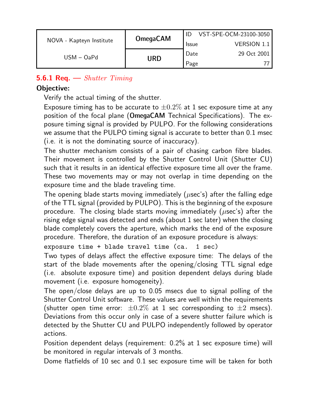|                          | <b>OmegaCAM</b> |              | VST-SPE-OCM-23100-3050 |
|--------------------------|-----------------|--------------|------------------------|
| NOVA - Kapteyn Institute |                 | <b>Issue</b> | <b>VERSION 1.1</b>     |
| $USM - OaPd$             |                 | Date         | 29 Oct 2001            |
|                          | URD             | Page         |                        |

## **5.6.1 Req.**  $\rightarrow$  *Shutter Timing*

#### Objective:

Verify the actual timing of the shutter.

Exposure timing has to be accurate to  $\pm 0.2\%$  at 1 sec exposure time at any position of the focal plane (OmegaCAM Technical Specifications). The exposure timing signal is provided by PULPO. For the following considerations we assume that the PULPO timing signal is accurate to better than 0.1 msec (i.e. it is not the dominating source of inaccuracy).

The shutter mechanism consists of a pair of chasing carbon fibre blades. Their movement is controlled by the Shutter Control Unit (Shutter CU) such that it results in an identical effective exposure time all over the frame. These two movements may or may not overlap in time depending on the exposure time and the blade traveling time.

The opening blade starts moving immediately ( $\mu$ sec's) after the falling edge of the TTL signal (provided by PULPO). This is the beginning of the exposure procedure. The closing blade starts moving immediately ( $\mu$ sec's) after the rising edge signal was detected and ends (about 1 sec later) when the closing blade completely covers the aperture, which marks the end of the exposure procedure. Therefore, the duration of an exposure procedure is always:

```
exposure time + blade travel time (ca. 1 sec)
```
Two types of delays affect the effective exposure time: The delays of the start of the blade movements after the opening/closing TTL signal edge (i.e. absolute exposure time) and position dependent delays during blade movement (i.e. exposure homogeneity).

The open/close delays are up to 0.05 msecs due to signal polling of the Shutter Control Unit software. These values are well within the requirements (shutter open time error:  $\pm 0.2\%$  at 1 sec corresponding to  $\pm 2$  msecs). Deviations from this occur only in case of a severe shutter failure which is detected by the Shutter CU and PULPO independently followed by operator actions.

Position dependent delays (requirement: 0.2% at 1 sec exposure time) will be monitored in regular intervals of 3 months.

Dome flatfields of 10 sec and 0.1 sec exposure time will be taken for both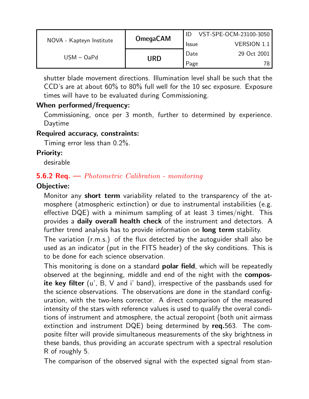|                          | <b>OmegaCAM</b> |              | VST-SPE-OCM-23100-3050 |
|--------------------------|-----------------|--------------|------------------------|
| NOVA - Kapteyn Institute |                 | <b>Issue</b> | <b>VERSION 1.1</b>     |
| $USM - OaPd$             |                 | Date         | 29 Oct 2001            |
|                          | URD             | Page         | 78 <sub>1</sub>        |

shutter blade movement directions. Illumination level shall be such that the CCD's are at about 60% to 80% full well for the 10 sec exposure. Exposure times will have to be evaluated during Commissioning.

#### When performed/frequency:

Commissioning, once per 3 month, further to determined by experience. Daytime

#### Required accuracy, constraints:

Timing error less than 0.2%.

#### Priority:

desirable

#### **5.6.2 Req.**  $\rightarrow$  *Photometric Calibration - monitoring*

#### Objective:

Monitor any **short term** variability related to the transparency of the atmosphere (atmospheric extinction) or due to instrumental instabilities (e.g. effective DQE) with a minimum sampling of at least 3 times/night. This provides a daily overall health check of the instrument and detectors. A further trend analysis has to provide information on **long term** stability.

The variation (r.m.s.) of the flux detected by the autoguider shall also be used as an indicator (put in the FITS header) of the sky conditions. This is to be done for each science observation.

This monitoring is done on a standard **polar field**, which will be repeatedly observed at the beginning, middle and end of the night with the composite key filter (u', B, V and i' band), irrespective of the passbands used for the science observations. The observations are done in the standard configuration, with the two-lens corrector. A direct comparison of the measured intensity of the stars with reference values is used to qualify the overal conditions of instrument and atmosphere, the actual zeropoint (both unit airmass extinction and instrument DQE) being determined by req.563. The composite filter will provide simultaneous measurements of the sky brightness in these bands, thus providing an accurate spectrum with a spectral resolution R of roughly 5.

The comparison of the observed signal with the expected signal from stan-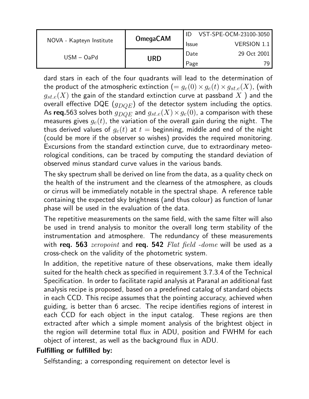|                          | <b>OmegaCAM</b> |              | VST-SPE-OCM-23100-3050 |
|--------------------------|-----------------|--------------|------------------------|
| NOVA - Kapteyn Institute |                 | <b>Issue</b> | <b>VERSION 1.1</b>     |
| $USM - OaPd$             |                 | Date         | 29 Oct 2001            |
|                          | URD             | Page         |                        |

dard stars in each of the four quadrants will lead to the determination of the product of the atmospheric extinction  $(= g_e(0) \times g_e(t) \times g_{st,e}(X)$ , (with  $g_{st,e}(X)$  the gain of the standard extinction curve at passband  $X$  ) and the overall effective DQE  $(g_{DOE})$  of the detector system including the optics. As req.563 solves both  $g_{DOE}$  and  $g_{st.e}(X) \times g_{e}(0)$ , a comparison with these measures gives  $g_e(t)$ , the variation of the overall gain during the night. The thus derived values of  $g_e(t)$  at  $t =$  beginning, middle and end of the night (could be more if the observer so wishes) provides the required monitoring. Excursions from the standard extinction curve, due to extraordinary meteorological conditions, can be traced by computing the standard deviation of observed minus standard curve values in the various bands.

The sky spectrum shall be derived on line from the data, as a quality check on the health of the instrument and the clearness of the atmosphere, as clouds or cirrus will be immediately notable in the spectral shape. A reference table containing the expected sky brightness (and thus colour) as function of lunar phase will be used in the evaluation of the data.

The repetitive measurements on the same field, with the same filter will also be used in trend analysis to monitor the overall long term stability of the instrumentation and atmosphere. The redundancy of these measurements with req. 563 *zeropoint* and req. 542 Flat field -dome will be used as a cross-check on the validity of the photometric system.

In addition, the repetitive nature of these observations, make them ideally suited for the health check as specified in requirement 3.7.3.4 of the Technical Specification. In order to facilitate rapid analysis at Paranal an additional fast analysis recipe is proposed, based on a predefined catalog of standard objects in each CCD. This recipe assumes that the pointing accuracy, achieved when guiding, is better than 6 arcsec. The recipe identifies regions of interest in each CCD for each object in the input catalog. These regions are then extracted after which a simple moment analysis of the brightest object in the region will determine total flux in ADU, position and FWHM for each object of interest, as well as the background flux in ADU.

#### Fulfilling or fulfilled by:

Selfstanding; a corresponding requirement on detector level is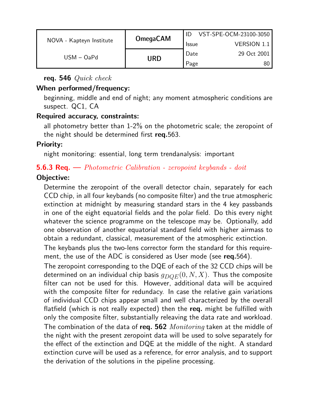|                          | <b>OmegaCAM</b> |              | VST-SPE-OCM-23100-3050 |
|--------------------------|-----------------|--------------|------------------------|
| NOVA - Kapteyn Institute |                 | <b>Issue</b> | <b>VERSION 1.1</b>     |
| $USM - OaPd$             |                 | Date         | 29 Oct 2001            |
|                          | URD             | Page         | 80                     |

req. 546 Quick check

#### When performed/frequency:

beginning, middle and end of night; any moment atmospheric conditions are suspect. QC1, CA

#### Required accuracy, constraints:

all photometry better than 1-2% on the photometric scale; the zeropoint of the night should be determined first req.563.

#### Priority:

night monitoring: essential, long term trendanalysis: important

#### **5.6.3 Req.** — *Photometric Calibration - zeropoint keybands - doit*

#### Objective:

Determine the zeropoint of the overall detector chain, separately for each CCD chip, in all four keybands (no composite filter) and the true atmospheric extinction at midnight by measuring standard stars in the 4 key passbands in one of the eight equatorial fields and the polar field. Do this every night whatever the science programme on the telescope may be. Optionally, add one observation of another equatorial standard field with higher airmass to obtain a redundant, classical, measurement of the atmospheric extinction.

The keybands plus the two-lens corrector form the standard for this requirement, the use of the ADC is considered as User mode (see req.564).

The zeropoint corresponding to the DQE of each of the 32 CCD chips will be determined on an individual chip basis  $g_{DOE}(0, N, X)$ . Thus the composite filter can not be used for this. However, additional data will be acquired with the composite filter for redundacy. In case the relative gain variations of individual CCD chips appear small and well characterized by the overall flatfield (which is not really expected) then the req. might be fulfilled with only the composite filter, substantially releaving the data rate and workload. The combination of the data of req. 562 *Monitoring* taken at the middle of the night with the present zeropoint data will be used to solve separately for the effect of the extinction and DQE at the middle of the night. A standard extinction curve will be used as a reference, for error analysis, and to support the derivation of the solutions in the pipeline processing.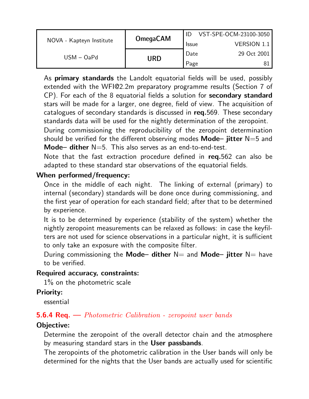|                          | <b>OmegaCAM</b> |              | VST-SPE-OCM-23100-3050 |
|--------------------------|-----------------|--------------|------------------------|
| NOVA - Kapteyn Institute |                 | <b>Issue</b> | <b>VERSION 1.1</b>     |
| $USM - OaPd$             |                 | Date         | 29 Oct 2001            |
|                          | URD             | Page         |                        |

As **primary standards** the Landolt equatorial fields will be used, possibly extended with the WFI@2.2m preparatory programme results (Section 7 of CP). For each of the 8 equatorial fields a solution for secondary standard stars will be made for a larger, one degree, field of view. The acquisition of catalogues of secondary standards is discussed in req.569. These secondary standards data will be used for the nightly determination of the zeropoint.

During commissioning the reproducibility of the zeropoint determination should be verified for the different observing modes **Mode– jitter**  $N=5$  and Mode– dither  $N=5$ . This also serves as an end-to-end-test.

Note that the fast extraction procedure defined in req.562 can also be adapted to these standard star observations of the equatorial fields.

#### When performed/frequency:

Once in the middle of each night. The linking of external (primary) to internal (secondary) standards will be done once during commissioning, and the first year of operation for each standard field; after that to be determined by experience.

It is to be determined by experience (stability of the system) whether the nightly zeropoint measurements can be relaxed as follows: in case the keyfilters are not used for science observations in a particular night, it is sufficient to only take an exposure with the composite filter.

During commissioning the Mode– dither  $N=$  and Mode– jitter  $N=$  have to be verified.

#### Required accuracy, constraints:

1% on the photometric scale

#### Priority:

essential

#### **5.6.4 Req.** — *Photometric Calibration - zeropoint user bands*

#### Objective:

Determine the zeropoint of the overall detector chain and the atmosphere by measuring standard stars in the User passbands.

The zeropoints of the photometric calibration in the User bands will only be determined for the nights that the User bands are actually used for scientific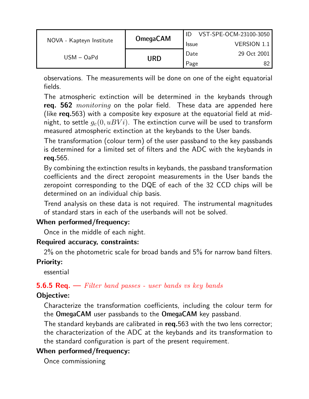|                          | <b>OmegaCAM</b> |              | VST-SPE-OCM-23100-3050 |
|--------------------------|-----------------|--------------|------------------------|
| NOVA - Kapteyn Institute |                 | <b>Issue</b> | <b>VERSION 1.1</b>     |
| $USM - OaPd$             |                 | Date         | 29 Oct 2001            |
|                          | URD             | Page         | 82                     |

observations. The measurements will be done on one of the eight equatorial fields.

The atmospheric extinction will be determined in the keybands through req. 562 *monitoring* on the polar field. These data are appended here (like req.563) with a composite key exposure at the equatorial field at midnight, to settle  $g_e(0, uBV i)$ . The extinction curve will be used to transform measured atmospheric extinction at the keybands to the User bands.

The transformation (colour term) of the user passband to the key passbands is determined for a limited set of filters and the ADC with the keybands in req.565.

By combining the extinction results in keybands, the passband transformation coefficients and the direct zeropoint measurements in the User bands the zeropoint corresponding to the DQE of each of the 32 CCD chips will be determined on an individual chip basis.

Trend analysis on these data is not required. The instrumental magnitudes of standard stars in each of the userbands will not be solved.

#### When performed/frequency:

Once in the middle of each night.

#### Required accuracy, constraints:

2% on the photometric scale for broad bands and 5% for narrow band filters.

#### Priority:

essential

#### **5.6.5 Req.**  $\rightarrow$  Filter band passes - user bands vs key bands

#### Objective:

Characterize the transformation coefficients, including the colour term for the OmegaCAM user passbands to the OmegaCAM key passband.

The standard keybands are calibrated in req.563 with the two lens corrector; the characterization of the ADC at the keybands and its transformation to the standard configuration is part of the present requirement.

#### When performed/frequency:

Once commissioning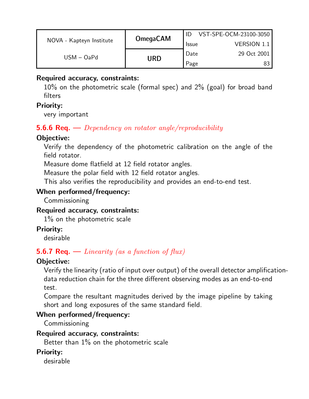|                          | <b>OmegaCAM</b> |              | VST-SPE-OCM-23100-3050 |
|--------------------------|-----------------|--------------|------------------------|
| NOVA - Kapteyn Institute |                 | <b>Issue</b> | <b>VERSION 1.1</b>     |
| $USM - OaPd$             |                 | Date         | 29 Oct 2001            |
|                          | URD             | Page         |                        |

#### Required accuracy, constraints:

10% on the photometric scale (formal spec) and 2% (goal) for broad band filters

#### Priority:

very important

#### **5.6.6 Req.** — Dependency on rotator angle/reproducibility

#### Objective:

Verify the dependency of the photometric calibration on the angle of the field rotator.

Measure dome flatfield at 12 field rotator angles.

Measure the polar field with 12 field rotator angles.

This also verifies the reproducibility and provides an end-to-end test.

#### When performed/frequency:

Commissioning

#### Required accuracy, constraints:

1% on the photometric scale

#### Priority:

desirable

## **5.6.7 Req.** — Linearity (as a function of flux)

#### Objective:

Verify the linearity (ratio of input over output) of the overall detector amplificationdata reduction chain for the three different observing modes as an end-to-end test.

Compare the resultant magnitudes derived by the image pipeline by taking short and long exposures of the same standard field.

#### When performed/frequency:

Commissioning

#### Required accuracy, constraints:

Better than 1% on the photometric scale

#### Priority:

desirable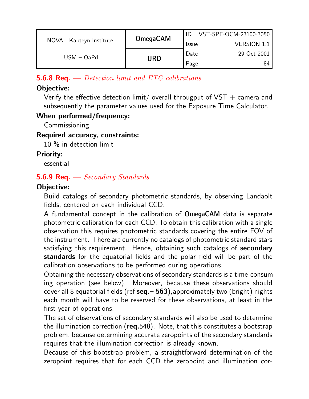|                          | <b>OmegaCAM</b> |              | VST-SPE-OCM-23100-3050 |
|--------------------------|-----------------|--------------|------------------------|
| NOVA - Kapteyn Institute |                 | <b>Issue</b> | <b>VERSION 1.1</b>     |
| $USM - OaPd$             |                 | Date         | 29 Oct 2001            |
|                          | URD             | Page         | 84                     |

**5.6.8 Req.**  $\rightarrow$  *Detection limit and ETC calibrations* 

#### Objective:

Verify the effective detection limit/ overall througput of  $VST + \epsilon$  camera and subsequently the parameter values used for the Exposure Time Calculator.

#### When performed/frequency:

**Commissioning** 

#### Required accuracy, constraints:

10 % in detection limit

#### Priority:

essential

## **5.6.9 Req.**  $\rightarrow$  *Secondary Standards*

## Objective:

Build catalogs of secondary photometric standards, by observing Landaolt fields, centered on each individual CCD.

A fundamental concept in the calibration of OmegaCAM data is separate photometric calibration for each CCD. To obtain this calibration with a single observation this requires photometric standards covering the entire FOV of the instrument. There are currently no catalogs of photometric standard stars satisfying this requirement. Hence, obtaining such catalogs of secondary standards for the equatorial fields and the polar field will be part of the calibration observations to be performed during operations.

Obtaining the necessary observations of secondary standards is a time-consuming operation (see below). Moreover, because these observations should cover all 8 equatorial fields (ref seq.– 563),approximately two (bright) nights each month will have to be reserved for these observations, at least in the first year of operations.

The set of observations of secondary standards will also be used to determine the illumination correction (req.548). Note, that this constitutes a bootstrap problem, because determining accurate zeropoints of the secondary standards requires that the illumination correction is already known.

Because of this bootstrap problem, a straightforward determination of the zeropoint requires that for each CCD the zeropoint and illumination cor-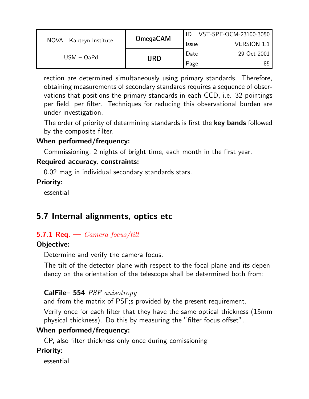|                          | <b>OmegaCAM</b> |              | VST-SPE-OCM-23100-3050 |
|--------------------------|-----------------|--------------|------------------------|
| NOVA - Kapteyn Institute |                 | <b>Issue</b> | <b>VERSION 1.1</b>     |
| $USM - OaPd$             | URD             | Date         | 29 Oct 2001            |
|                          |                 | Page         |                        |

rection are determined simultaneously using primary standards. Therefore, obtaining measurements of secondary standards requires a sequence of observations that positions the primary standards in each CCD, i.e. 32 pointings per field, per filter. Techniques for reducing this observational burden are under investigation.

The order of priority of determining standards is first the key bands followed by the composite filter.

#### When performed/frequency:

Commissioning, 2 nights of bright time, each month in the first year.

#### Required accuracy, constraints:

0.02 mag in individual secondary standards stars.

#### Priority:

essential

## 5.7 Internal alignments, optics etc

#### 5.7.1 Req.  $\leftarrow$  Camera focus/tilt

#### Objective:

Determine and verify the camera focus.

The tilt of the detector plane with respect to the focal plane and its dependency on the orientation of the telescope shall be determined both from:

#### CalFile– 554 PSF anisotropy

and from the matrix of PSF;s provided by the present requirement.

Verify once for each filter that they have the same optical thickness (15mm physical thickness). Do this by measuring the "filter focus offset".

#### When performed/frequency:

CP, also filter thickness only once during comissioning

#### Priority:

essential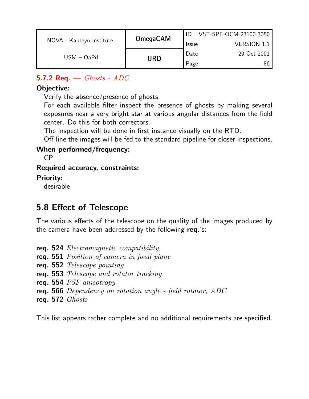|                          | <b>OmegaCAM</b> |              | VST-SPE-OCM-23100-3050 |
|--------------------------|-----------------|--------------|------------------------|
| NOVA - Kapteyn Institute |                 | <b>Issue</b> | VERSION 1.1            |
| $USM - OaPd$             |                 | Date         | 29 Oct 2001            |
|                          | URD             | Page         | 86                     |

## 5.7.2 Req.  $\rightarrow$  Ghosts - ADC

#### Objective:

Verify the absence/presence of ghosts.

For each available filter inspect the presence of ghosts by making several exposures near a very bright star at various angular distances from the field center. Do this for both correctors.

The inspection will be done in first instance visually on the RTD.

Off-line the images will be fed to the standard pipeline for closer inspections.

#### When performed/frequency:

CP

#### Required accuracy, constraints:

#### Priority:

desirable

## 5.8 Effect of Telescope

The various effects of the telescope on the quality of the images produced by the camera have been addressed by the following req.'s:

- req. 524 Electromagnetic compatibility
- req. 551 Position of camera in focal plane
- req. 552 Telescope pointing
- req. 553 Telescope and rotator tracking
- req. 554 PSF anisotropy
- req. 566 Dependency on rotation angle field rotator, ADC
- req. 572 Ghosts

This list appears rather complete and no additional requirements are specified.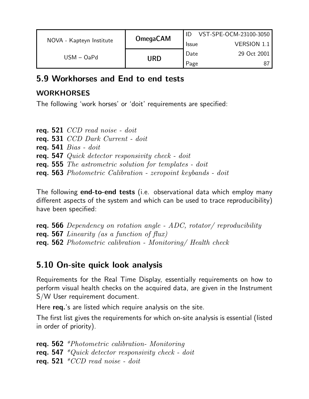|                          | <b>OmegaCAM</b> |              | VST-SPE-OCM-23100-3050 |
|--------------------------|-----------------|--------------|------------------------|
| NOVA - Kapteyn Institute |                 | <b>Issue</b> | VERSION 1.1            |
| $USM - OaPd$             |                 | Date         | 29 Oct 2001            |
|                          | URD             | Page         |                        |

## 5.9 Workhorses and End to end tests

## **WORKHORSES**

The following 'work horses' or 'doit' requirements are specified:

req. 521 CCD read noise - doit req. 531 CCD Dark Current - doit req. 541  $Bias - doit$ req. 547 Quick detector responsivity check - doit req. 555 The astrometric solution for templates - doit req. 563 Photometric Calibration - zeropoint keybands - doit

The following **end-to-end tests** (i.e. observational data which employ many different aspects of the system and which can be used to trace reproducibility) have been specified:

req. 566 Dependency on rotation angle - ADC, rotator/ reproducibility req. 567 Linearity (as a function of flux) req. 562 Photometric calibration - Monitoring/ Health check

## 5.10 On-site quick look analysis

Requirements for the Real Time Display, essentially requirements on how to perform visual health checks on the acquired data, are given in the Instrument S/W User requirement document.

Here req.'s are listed which require analysis on the site.

The first list gives the requirements for which on-site analysis is essential (listed in order of priority).

req. 562 \*Photometric calibration- Monitoring req. 547  $*Quick$  detector responsivity check - doit req. 521  $*CCD$  read noise - doit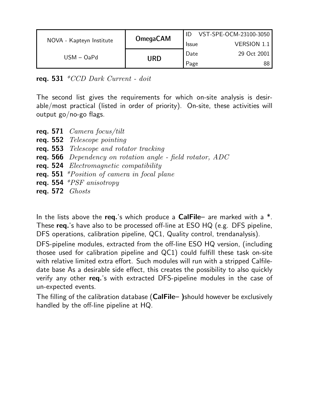|                          | <b>OmegaCAM</b> |              | VST-SPE-OCM-23100-3050 |
|--------------------------|-----------------|--------------|------------------------|
| NOVA - Kapteyn Institute |                 | <b>Issue</b> | <b>VERSION 1.1</b>     |
| $USM - OaPd$             | Date            | 29 Oct 2001  |                        |
|                          | URD             | Page         | 88                     |

req. 531  $*CCD$  Dark Current - doit

The second list gives the requirements for which on-site analysis is desirable/most practical (listed in order of priority). On-site, these activities will output go/no-go flags.

- req. 571 Camera focus/tilt
- req. 552 Telescope pointing
- req. 553 Telescope and rotator tracking
- req. 566 Dependency on rotation angle field rotator, ADC
- req. 524 Electromagnetic compatibility
- req. 551 \*Position of camera in focal plane
- req. 554  $*PSF$  anisotropy
- req. 572 Ghosts

In the lists above the req.'s which produce a CalFile– are marked with a  $*$ . These req.'s have also to be processed off-line at ESO HQ (e.g. DFS pipeline, DFS operations, calibration pipeline, QC1, Quality control, trendanalysis).

DFS-pipeline modules, extracted from the off-line ESO HQ version, (including thosee used for calibration pipeline and QC1) could fulfill these task on-site with relative limited extra effort. Such modules will run with a stripped Calfiledate base As a desirable side effect, this creates the possibility to also quickly verify any other req.'s with extracted DFS-pipeline modules in the case of un-expected events.

The filling of the calibration database (CalFile-)should however be exclusively handled by the off-line pipeline at HQ.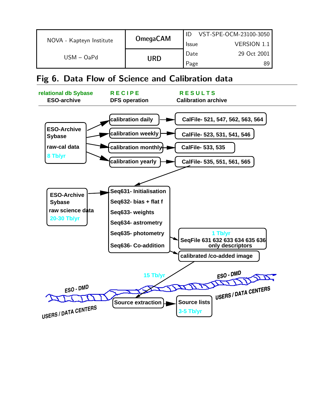|                          | <b>OmegaCAM</b> |              | VST-SPE-OCM-23100-3050 |
|--------------------------|-----------------|--------------|------------------------|
| NOVA - Kapteyn Institute |                 | <b>Issue</b> | <b>VERSION 1.1</b>     |
| $USM - OaPd$             | URD             | Date         | 29 Oct 2001            |
|                          |                 | Page         | 89                     |

## Fig 6. Data Flow of Science and Calibration data

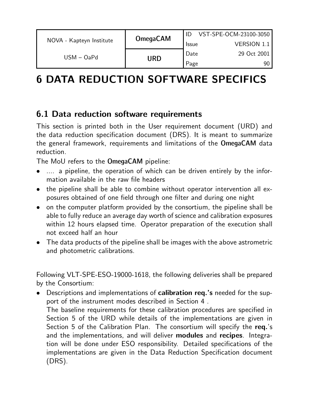|                          | <b>OmegaCAM</b> |              | VST-SPE-OCM-23100-3050 |
|--------------------------|-----------------|--------------|------------------------|
| NOVA - Kapteyn Institute |                 | <b>Issue</b> | <b>VERSION 1.1</b>     |
| $USM - OaPd$             | Date            | 29 Oct 2001  |                        |
|                          | URD             | Page         | 90                     |

# 6 DATA REDUCTION SOFTWARE SPECIFICS

## 6.1 Data reduction software requirements

This section is printed both in the User requirement document (URD) and the data reduction specification document (DRS). It is meant to summarize the general framework, requirements and limitations of the OmegaCAM data reduction.

The MoU refers to the OmegaCAM pipeline:

- .... a pipeline, the operation of which can be driven entirely by the information available in the raw file headers
- the pipeline shall be able to combine without operator intervention all exposures obtained of one field through one filter and during one night
- on the computer platform provided by the consortium, the pipeline shall be able to fully reduce an average day worth of science and calibration exposures within 12 hours elapsed time. Operator preparation of the execution shall not exceed half an hour
- The data products of the pipeline shall be images with the above astrometric and photometric calibrations.

Following VLT-SPE-ESO-19000-1618, the following deliveries shall be prepared by the Consortium:

• Descriptions and implementations of **calibration req**.'s needed for the support of the instrument modes described in Section 4 .

The baseline requirements for these calibration procedures are specified in Section 5 of the URD while details of the implementations are given in Section 5 of the Calibration Plan. The consortium will specify the req.'s and the implementations, and will deliver **modules** and recipes. Integration will be done under ESO responsibility. Detailed specifications of the implementations are given in the Data Reduction Specification document (DRS).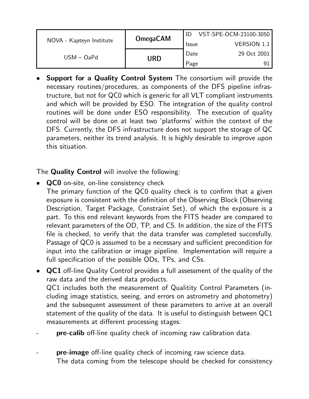|                          | <b>OmegaCAM</b> |              | VST-SPE-OCM-23100-3050 |
|--------------------------|-----------------|--------------|------------------------|
| NOVA - Kapteyn Institute |                 | <b>Issue</b> | <b>VERSION 1.1</b>     |
| $USM - OaPd$             | URD             | Date         | 29 Oct 2001            |
|                          |                 | Page         |                        |

• Support for a Quality Control System The consortium will provide the necessary routines/procedures, as components of the DFS pipeline infrastructure, but not for QC0 which is generic for all VLT compliant instruments and which will be provided by ESO. The integration of the quality control routines will be done under ESO responsibility. The execution of quality control will be done on at least two 'platforms' within the context of the DFS. Currently, the DFS infrastructure does not support the storage of QC parameters, neither its trend analysis. It is highly desirable to improve upon this situation.

The **Quality Control** will involve the following:

- QCO on-site, on-line consistency check The primary function of the QC0 quality check is to confirm that a given exposure is consistent with the definition of the Observing Block (Observing Description, Target Package, Constraint Set), of which the exposure is a part. To this end relevant keywords from the FITS header are compared to relevant parameters of the OD, TP, and CS. In addition, the size of the FITS file is checked, to verify that the data transfer was completed succesfully. Passage of QC0 is assumed to be a necessary and sufficient precondition for input into the calibration or image pipeline. Implementation will require a full specification of the possible ODs, TPs, and CSs.
- **QC1** off-line Quality Control provides a full assessment of the quality of the raw data and the derived data products. QC1 includes both the measurement of Qualitity Control Parameters (including image statistics, seeing, and errors on astrometry and photometry) and the subsequent assessment of these parameters to arrive at an overall statement of the quality of the data. It is useful to distinguish between QC1 measurements at different processing stages:
- pre-calib off-line quality check of incoming raw calibration data.
- **pre-image** off-line quality check of incoming raw science data. The data coming from the telescope should be checked for consistency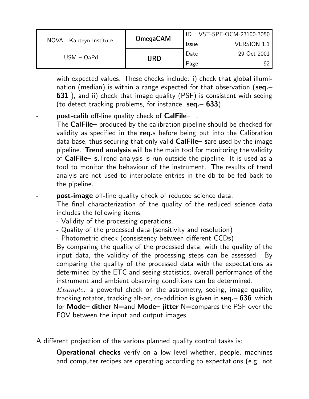|                          | <b>OmegaCAM</b> |              | VST-SPE-OCM-23100-3050 |
|--------------------------|-----------------|--------------|------------------------|
| NOVA - Kapteyn Institute |                 | <b>Issue</b> | <b>VERSION 1.1</b>     |
| $USM - OaPd$             | Date            | 29 Oct 2001  |                        |
|                          | URD             | Page         | 92                     |

with expected values. These checks include: i) check that global illumination (median) is within a range expected for that observation ( $seq -$ **631**), and ii) check that image quality (PSF) is consistent with seeing (to detect tracking problems, for instance,  $seq - 633$ )

#### post-calib off-line quality check of CalFile- .

The CalFile– produced by the calibration pipeline should be checked for validity as specified in the req.s before being put into the Calibration data base, thus securing that only valid CalFile– sare used by the image pipeline. Trend analysis will be the main tool for monitoring the validity of CalFile– s.Trend analysis is run outside the pipeline. It is used as a tool to monitor the behaviour of the instrument. The results of trend analyis are not used to interpolate entries in the db to be fed back to the pipeline.

#### **post-image** off-line quality check of reduced science data.

The final characterization of the quality of the reduced science data includes the following items.

- Validity of the processing operations.
- Quality of the processed data (sensitivity and resolution)
- Photometric check (consistency between different CCDs)

By comparing the quality of the processed data, with the quality of the input data, the validity of the processing steps can be assessed. By comparing the quality of the processed data with the expectations as determined by the ETC and seeing-statistics, overall performance of the instrument and ambient observing conditions can be determined.

 $Example:$  a powerful check on the astrometry, seeing, image quality, tracking rotator, tracking alt-az, co-addition is given in seq. - 636 which for Mode– dither  $N=$  and Mode– jitter  $N=$  compares the PSF over the FOV between the input and output images.

A different projection of the various planned quality control tasks is:

**Operational checks** verify on a low level whether, people, machines and computer recipes are operating according to expectations (e.g. not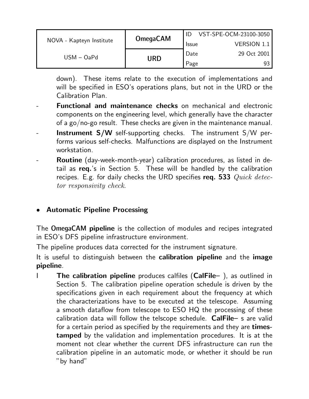|                          | <b>OmegaCAM</b> |              | VST-SPE-OCM-23100-3050 |
|--------------------------|-----------------|--------------|------------------------|
| NOVA - Kapteyn Institute |                 | <b>Issue</b> | <b>VERSION 1.1</b>     |
| $USM - OaPd$             |                 | Date         | 29 Oct 2001            |
|                          | <b>URD</b>      | Page         | 93                     |

down). These items relate to the execution of implementations and will be specified in ESO's operations plans, but not in the URD or the Calibration Plan.

- **Functional and maintenance checks on mechanical and electronic** components on the engineering level, which generally have the character of a go/no-go result. These checks are given in the maintenance manual.
- **Instrument S/W** self-supporting checks. The instrument  $S/W$  performs various self-checks. Malfunctions are displayed on the Instrument workstation.
- **Routine** (day-week-month-year) calibration procedures, as listed in detail as req.'s in Section 5. These will be handled by the calibration recipes. E.g. for daily checks the URD specifies req. 533  $Quick \, detec$ tor responsivity check.

#### • Automatic Pipeline Processing

The OmegaCAM pipeline is the collection of modules and recipes integrated in ESO's DFS pipeline infrastructure environment.

The pipeline produces data corrected for the instrument signature.

It is useful to distinguish between the **calibration pipeline** and the **image** pipeline.

The calibration pipeline produces calfiles (CalFile-), as outlined in Section 5. The calibration pipeline operation schedule is driven by the specifications given in each requirement about the frequency at which the characterizations have to be executed at the telescope. Assuming a smooth dataflow from telescope to ESO HQ the processing of these calibration data will follow the telscope schedule. CalFile– s are valid for a certain period as specified by the requirements and they are timestamped by the validation and implementation procedures. It is at the moment not clear whether the current DFS infrastructure can run the calibration pipeline in an automatic mode, or whether it should be run "by hand"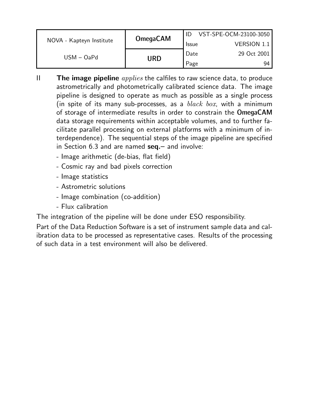|                          | <b>OmegaCAM</b> |              | VST-SPE-OCM-23100-3050 |
|--------------------------|-----------------|--------------|------------------------|
| NOVA - Kapteyn Institute |                 | <b>Issue</b> | VERSION 1.1            |
| $USM - OaPd$             |                 | Date         | 29 Oct 2001            |
|                          | URD             | Page         | 94                     |

- II **The image pipeline**  $applies$  the calfiles to raw science data, to produce astrometrically and photometrically calibrated science data. The image pipeline is designed to operate as much as possible as a single process (in spite of its many sub-processes, as a  $black$  box, with a minimum of storage of intermediate results in order to constrain the OmegaCAM data storage requirements within acceptable volumes, and to further facilitate parallel processing on external platforms with a minimum of interdependence). The sequential steps of the image pipeline are specified in Section  $6.3$  and are named  $seq -$  and involve:
	- Image arithmetic (de-bias, flat field)
	- Cosmic ray and bad pixels correction
	- Image statistics
	- Astrometric solutions
	- Image combination (co-addition)
	- Flux calibration

The integration of the pipeline will be done under ESO responsibility.

Part of the Data Reduction Software is a set of instrument sample data and calibration data to be processed as representative cases. Results of the processing of such data in a test environment will also be delivered.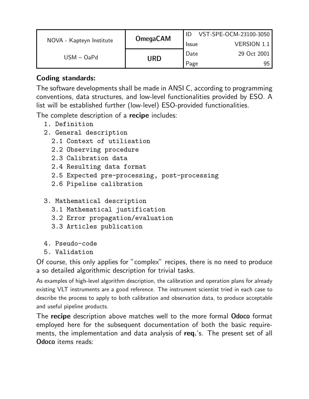|                          | <b>OmegaCAM</b> |              | VST-SPE-OCM-23100-3050 |
|--------------------------|-----------------|--------------|------------------------|
| NOVA - Kapteyn Institute |                 | <b>Issue</b> | <b>VERSION 1.1</b>     |
| $USM - OaPd$             |                 | Date         | 29 Oct 2001            |
|                          | URD             | Page         | 95                     |

#### Coding standards:

The software developments shall be made in ANSI C, according to programming conventions, data structures, and low-level functionalities provided by ESO. A list will be established further (low-level) ESO-provided functionalities.

The complete description of a **recipe** includes:

- 1. Definition
- 2. General description
	- 2.1 Context of utilisation
	- 2.2 Observing procedure
	- 2.3 Calibration data
	- 2.4 Resulting data format
	- 2.5 Expected pre-processing, post-processing
	- 2.6 Pipeline calibration

#### 3. Mathematical description

- 3.1 Mathematical justification
- 3.2 Error propagation/evaluation
- 3.3 Articles publication
- 4. Pseudo-code
- 5. Validation

Of course, this only applies for "complex" recipes, there is no need to produce a so detailed algorithmic description for trivial tasks.

As examples of high-level algorithm description, the calibration and operation plans for already existing VLT instruments are a good reference. The instrument scientist tried in each case to describe the process to apply to both calibration and observation data, to produce acceptable and useful pipeline products.

The recipe description above matches well to the more formal Odoco format employed here for the subsequent documentation of both the basic requirements, the implementation and data analysis of req.'s. The present set of all Odoco items reads: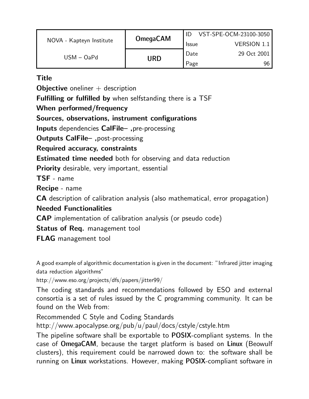|                          | <b>OmegaCAM</b> |              | VST-SPE-OCM-23100-3050 |
|--------------------------|-----------------|--------------|------------------------|
| NOVA - Kapteyn Institute |                 | <b>Issue</b> | <b>VERSION 1.1  </b>   |
| $USM - OaPd$             |                 | Date         | 29 Oct 2001            |
|                          | URD             | Page         | 96                     |

#### **Title**

**Objective** oneliner  $+$  description

Fulfilling or fulfilled by when selfstanding there is a TSF

When performed/frequency

Sources, observations, instrument configurations

Inputs dependencies CalFile– ,pre-processing

Outputs CalFile– ,post-processing

Required accuracy, constraints

Estimated time needed both for observing and data reduction

**Priority** desirable, very important, essential

TSF - name

Recipe - name

CA description of calibration analysis (also mathematical, error propagation)

Needed Functionalities

CAP implementation of calibration analysis (or pseudo code)

**Status of Req.** management tool

FLAG management tool

A good example of algorithmic documentation is given in the document: "Infrared jitter imaging data reduction algorithms"

http://www.eso.org/projects/dfs/papers/jitter99/

The coding standards and recommendations followed by ESO and external consortia is a set of rules issued by the C programming community. It can be found on the Web from:

Recommended C Style and Coding Standards

http://www.apocalypse.org/pub/u/paul/docs/cstyle/cstyle.htm

The pipeline software shall be exportable to POSIX-compliant systems. In the case of OmegaCAM, because the target platform is based on Linux (Beowulf clusters), this requirement could be narrowed down to: the software shall be running on Linux workstations. However, making POSIX-compliant software in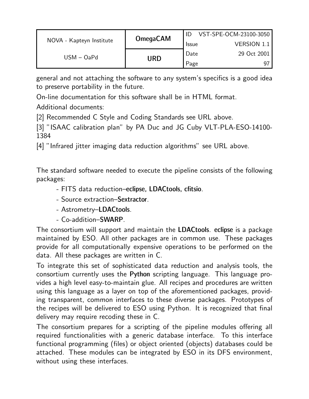|                          | <b>OmegaCAM</b> |              | VST-SPE-OCM-23100-3050 |
|--------------------------|-----------------|--------------|------------------------|
| NOVA - Kapteyn Institute |                 | <b>Issue</b> | <b>VERSION 1.1</b>     |
| $USM - OaPd$             |                 | Date         | 29 Oct 2001            |
|                          | <b>URD</b>      | Page         | -97                    |

general and not attaching the software to any system's specifics is a good idea to preserve portability in the future.

On-line documentation for this software shall be in HTML format.

Additional documents:

[2] Recommended C Style and Coding Standards see URL above.

[3] "ISAAC calibration plan" by PA Duc and JG Cuby VLT-PLA-ESO-14100-1384

[4] "Infrared jitter imaging data reduction algorithms" see URL above.

The standard software needed to execute the pipeline consists of the following packages:

- FITS data reduction–eclipse, LDACtools, cfitsio.
- Source extraction–Sextractor.
- Astrometry–LDACtools.
- Co-addition–SWARP.

The consortium will support and maintain the LDACtools. eclipse is a package maintained by ESO. All other packages are in common use. These packages provide for all computationally expensive operations to be performed on the data. All these packages are written in C.

To integrate this set of sophisticated data reduction and analysis tools, the consortium currently uses the Python scripting language. This language provides a high level easy-to-maintain glue. All recipes and procedures are written using this language as a layer on top of the aforementioned packages, providing transparent, common interfaces to these diverse packages. Prototypes of the recipes will be delivered to ESO using Python. It is recognized that final delivery may require recoding these in C.

The consortium prepares for a scripting of the pipeline modules offering all required functionalities with a generic database interface. To this interface functional programming (files) or object oriented (objects) databases could be attached. These modules can be integrated by ESO in its DFS environment, without using these interfaces.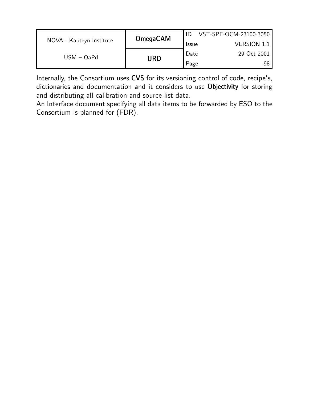|                          | <b>OmegaCAM</b> |              | VST-SPE-OCM-23100-3050 |
|--------------------------|-----------------|--------------|------------------------|
| NOVA - Kapteyn Institute |                 | <b>Issue</b> | <b>VERSION 1.1</b>     |
| $USM - OaPd$             |                 | Date         | 29 Oct 2001            |
|                          | URD             | Page         | 98                     |

Internally, the Consortium uses CVS for its versioning control of code, recipe's, dictionaries and documentation and it considers to use Objectivity for storing and distributing all calibration and source-list data.

An Interface document specifying all data items to be forwarded by ESO to the Consortium is planned for (FDR).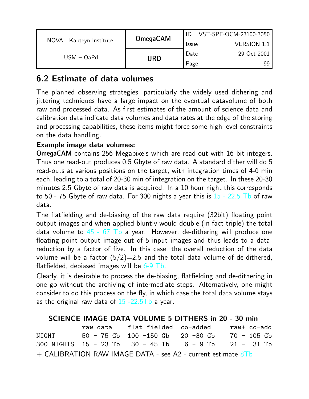|                          | <b>OmegaCAM</b> |              | VST-SPE-OCM-23100-3050 |
|--------------------------|-----------------|--------------|------------------------|
| NOVA - Kapteyn Institute |                 | <b>Issue</b> | <b>VERSION 1.1</b>     |
| $USM - OaPd$             |                 | Date         | 29 Oct 2001            |
| URD                      |                 | Page         | 99.                    |

## 6.2 Estimate of data volumes

The planned observing strategies, particularly the widely used dithering and jittering techniques have a large impact on the eventual datavolume of both raw and processed data. As first estimates of the amount of science data and calibration data indicate data volumes and data rates at the edge of the storing and processing capabilities, these items might force some high level constraints on the data handling.

#### Example image data volumes:

OmegaCAM contains 256 Megapixels which are read-out with 16 bit integers. Thus one read-out produces 0.5 Gbyte of raw data. A standard dither will do 5 read-outs at various positions on the target, with integration times of 4-6 min each, leading to a total of 20-30 min of integration on the target. In these 20-30 minutes 2.5 Gbyte of raw data is acquired. In a 10 hour night this corresponds to 50 - 75 Gbyte of raw data. For 300 nights a year this is  $15$  - 22.5 Tb of raw data.

The flatfielding and de-biasing of the raw data require (32bit) floating point output images and when applied bluntly would double (in fact triple) the total data volume to  $45 - 67$  Tb a year. However, de-dithering will produce one floating point output image out of 5 input images and thus leads to a datareduction by a factor of five. In this case, the overall reduction of the data volume will be a factor  $(5/2)=2.5$  and the total data volume of de-dithered, flatfielded, debiased images will be  $6-9$  Tb.

Clearly, it is desirable to process the de-biasing, flatfielding and de-dithering in one go without the archiving of intermediate steps. Alternatively, one might consider to do this process on the fly, in which case the total data volume stays as the original raw data of  $15 - 22.5Tb$  a year.

#### SCIENCE IMAGE DATA VOLUME 5 DITHERS in 20 - 30 min

raw data flat fielded co-added raw+ co-add NIGHT 50 - 75 Gb 100 -150 Gb 20 -30 Gb 70 - 105 Gb 300 NIGHTS 15 - 23 Tb 30 - 45 Tb 6 - 9 Tb 21 - 31 Tb  $+$  CALIBRATION RAW IMAGE DATA - see A2 - current estimate  $8Tb$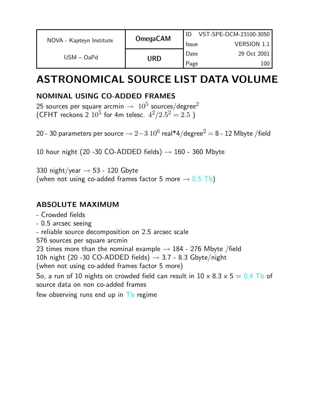|                          | <b>OmegaCAM</b><br><b>Issue</b> |                    | VST-SPE-OCM-23100-3050 |
|--------------------------|---------------------------------|--------------------|------------------------|
| NOVA - Kapteyn Institute |                                 | <b>VERSION 1.1</b> |                        |
| $USM - OaPd$             |                                 | Date               | 29 Oct 2001            |
|                          | <b>URD</b>                      | Page               | 100                    |

## ASTRONOMICAL SOURCE LIST DATA VOLUME

## NOMINAL USING CO-ADDED FRAMES

25 sources per square arcmin  $\rightarrow\;10^5$  sources/degree $^2$ (CFHT reckons 2  $10^5$  for 4m telesc.  $4^2/2.5^2 = 2.5$  )

20 - 30 parameters per source  $\rightarrow 2{-}3 \ 10^6$  real\*4/degree $^2$   $=$  8 - 12 Mbyte /field

10 hour night (20 -30 CO-ADDED fields)  $\rightarrow$  160 - 360 Mbyte

330 night/year  $\rightarrow$  53 - 120 Gbyte (when not using co-added frames factor 5 more  $\rightarrow$  0.5 Tb)

#### ABSOLUTE MAXIMUM

- Crowded fields
- 0.5 arcsec seeing
- reliable source decomposition on 2.5 arcsec scale
- 576 sources per square arcmin

23 times more than the nominal example  $\rightarrow$  184 - 276 Mbyte /field

10h night (20 -30 CO-ADDED fields)  $\rightarrow$  3.7 - 8.3 Gbyte/night

(when not using co-added frames factor 5 more)

So, a run of 10 nights on crowded field can result in  $10 \times 8.3 \times 5 = 0.4$  Tb of source data on non co-added frames

few observing runs end up in  $\mathsf{I}$  b regime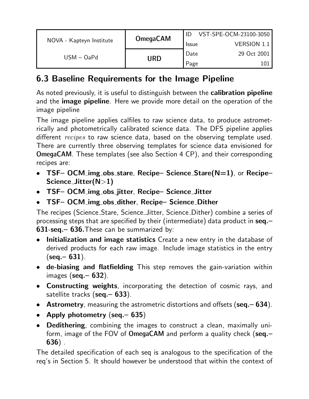|                          |                 | VST-SPE-OCM-23100-3050 |                    |
|--------------------------|-----------------|------------------------|--------------------|
| NOVA - Kapteyn Institute | <b>OmegaCAM</b> | <b>Issue</b>           | <b>VERSION 1.1</b> |
| $USM - OaPd$             |                 | Date                   | 29 Oct 2001        |
|                          | URD             | Page                   |                    |

## 6.3 Baseline Requirements for the Image Pipeline

As noted previously, it is useful to distinguish between the **calibration pipeline** and the **image pipeline**. Here we provide more detail on the operation of the image pipeline

The image pipeline applies calfiles to raw science data, to produce astrometrically and photometrically calibrated science data. The DFS pipeline applies different *recipes* to raw science data, based on the observing template used. There are currently three observing templates for science data envisioned for OmegaCAM. These templates (see also Section 4 CP), and their corresponding recipes are:

- TSF- OCM\_img\_obs\_stare, Recipe- Science\_Stare(N=1), or Recipe-Science Jitter(N>1)
- TSF– OCM img obs jitter, Recipe– Science Jitter
- TSF– OCM img obs dither, Recipe– Science Dither

The recipes (Science Stare, Science Jitter, Science Dither) combine a series of processing steps that are specified by their (intermediate) data product in seq.– 631-seq.– 636.These can be summarized by:

- Initialization and image statistics Create a new entry in the database of derived products for each raw image. Include image statistics in the entry  $(\text{seq} - 631)$ .
- de-biasing and flatfielding This step removes the gain-variation within images  $(\text{seq} - 632)$ .
- Constructing weights, incorporating the detection of cosmic rays, and satellite tracks (seq. - 633).
- Astrometry, measuring the astrometric distortions and offsets (seq. 634).
- Apply photometry (seq.– 635)
- Dedithering, combining the images to construct a clean, maximally uniform, image of the FOV of OmegaCAM and perform a quality check (seq.-636) .

The detailed specification of each seq is analogous to the specification of the req's in Section 5. It should however be understood that within the context of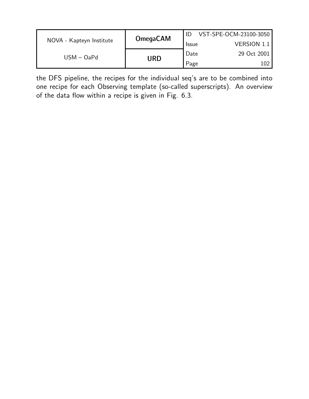|                          | <b>OmegaCAM</b> |              | VST-SPE-OCM-23100-3050 |
|--------------------------|-----------------|--------------|------------------------|
| NOVA - Kapteyn Institute |                 | <b>Issue</b> | VERSION 1.1            |
| $USM - OaPd$             |                 | Date         | 29 Oct 2001            |
|                          | URD             | Page         |                        |

the DFS pipeline, the recipes for the individual seq's are to be combined into one recipe for each Observing template (so-called superscripts). An overview of the data flow within a recipe is given in Fig. 6.3.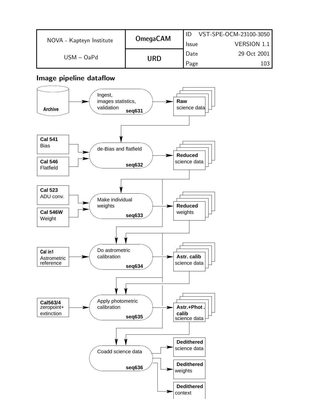|                          | <b>OmegaCAM</b>            |              | VST-SPE-OCM-23100-3050 |
|--------------------------|----------------------------|--------------|------------------------|
| NOVA - Kapteyn Institute |                            | <b>Issue</b> | <b>VERSION 1.1</b>     |
|                          | $USM - OaPd$<br><b>URD</b> | Date         | 29 Oct 2001            |
|                          |                            | Page         | 103                    |

#### Image pipeline dataflow

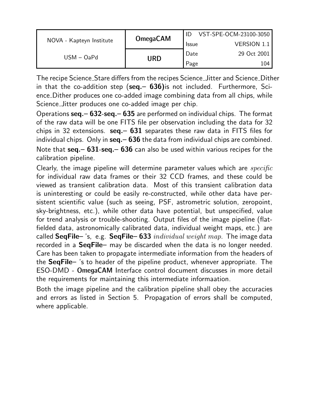|                          | <b>OmegaCAM</b><br><b>Issue</b> |      | VST-SPE-OCM-23100-3050 |
|--------------------------|---------------------------------|------|------------------------|
| NOVA - Kapteyn Institute |                                 |      | VERSION 1.1            |
|                          |                                 | Date | 29 Oct 2001            |
| $USM - OaPd$             | URD                             | Page | 104                    |

The recipe Science Stare differs from the recipes Science Jitter and Science Dither in that the co-addition step ( $seq - 636$ ) is not included. Furthermore, Science Dither produces one co-added image combining data from all chips, while Science Jitter produces one co-added image per chip.

Operations  $seq - 632$ -seq.  $- 635$  are performed on individual chips. The format of the raw data will be one FITS file per observation including the data for 32 chips in 32 extensions.  $seq - 631$  separates these raw data in FITS files for individual chips. Only in seq. – 636 the data from individual chips are combined. Note that  $seq - 631$ -seq.  $- 636$  can also be used within various recipes for the calibration pipeline.

Clearly, the image pipeline will determine parameter values which are  $specific$ for individual raw data frames or their 32 CCD frames, and these could be viewed as transient calibration data. Most of this transient calibration data is uninteresting or could be easily re-constructed, while other data have persistent scientific value (such as seeing, PSF, astrometric solution, zeropoint, sky-brightness, etc.), while other data have potential, but unspecified, value for trend analysis or trouble-shooting. Output files of the image pipeline (flatfielded data, astronomically calibrated data, individual weight maps, etc.) are called SeqFile– 's, e.g. SeqFile– 633 individual weight map. The image data recorded in a SeqFile- may be discarded when the data is no longer needed. Care has been taken to propagate intermediate information from the headers of the SeqFile– 's to header of the pipeline product, whenever appropriate. The ESO-DMD - OmegaCAM Interface control document discusses in more detail the requirements for maintaining this intermediate informaation.

Both the image pipeline and the calibration pipeline shall obey the accuracies and errors as listed in Section 5. Propagation of errors shall be computed, where applicable.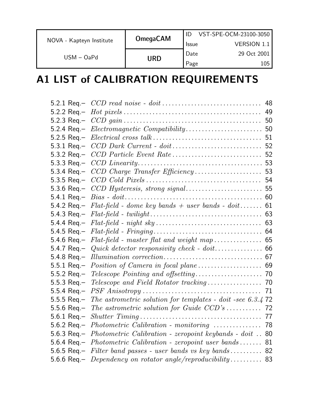|                          | <b>OmegaCAM</b> |              | VST-SPE-OCM-23100-3050 |
|--------------------------|-----------------|--------------|------------------------|
| NOVA - Kapteyn Institute |                 | <b>Issue</b> | <b>VERSION 1.1</b>     |
| $USM - OaPd$             | <b>URD</b>      | Date         | 29 Oct 2001            |
|                          |                 | Page         | 105                    |

## A1 LIST of CALIBRATION REQUIREMENTS

|                       |                                                                                    | 48 |
|-----------------------|------------------------------------------------------------------------------------|----|
|                       |                                                                                    | 49 |
|                       |                                                                                    |    |
|                       |                                                                                    |    |
|                       |                                                                                    |    |
|                       |                                                                                    |    |
|                       |                                                                                    |    |
|                       |                                                                                    |    |
|                       |                                                                                    |    |
|                       |                                                                                    |    |
|                       |                                                                                    |    |
|                       |                                                                                    |    |
|                       | 5.4.2 Req.- $Flat-field$ - dome key bands + user bands - doit 61                   |    |
|                       |                                                                                    |    |
|                       |                                                                                    |    |
|                       |                                                                                    |    |
|                       |                                                                                    |    |
|                       | 5.4.7 Req. – <i>Quick detector responsivity check</i> - $dot$ 66                   |    |
|                       |                                                                                    |    |
|                       |                                                                                    |    |
| $5.5.2 \text{ Req} -$ |                                                                                    |    |
|                       |                                                                                    |    |
|                       |                                                                                    | 71 |
|                       | 5.5.5 Req. – The astrometric solution for templates - doit -see 6.3.4 72           |    |
|                       |                                                                                    |    |
|                       |                                                                                    |    |
|                       | 5.6.2 Req.- Photometric Calibration - monitoring  78                               |    |
|                       | 5.6.3 Req.- <i>Photometric Calibration - zeropoint keybands - doit</i> $\ldots$ 80 |    |
|                       | 5.6.4 Req.- <i>Photometric Calibration - zeropoint user bands</i> 81               |    |
|                       | 5.6.5 Req. – Filter band passes - user bands vs key bands 82                       |    |
|                       | 5.6.6 Req. – Dependency on rotator angle/reproducibility 83                        |    |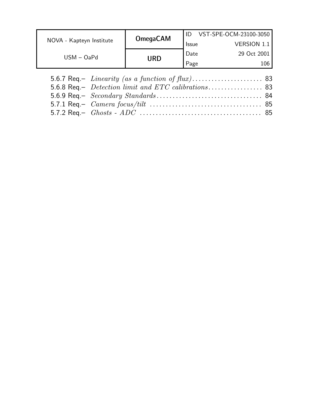|                          | <b>OmegaCAM</b> |              | VST-SPE-OCM-23100-3050 |
|--------------------------|-----------------|--------------|------------------------|
| NOVA - Kapteyn Institute |                 | <b>Issue</b> | <b>VERSION 1.1</b>     |
|                          |                 | Date         | 29 Oct 2001            |
|                          |                 | Page         | 106                    |
| USM – OaPd               | URD             |              |                        |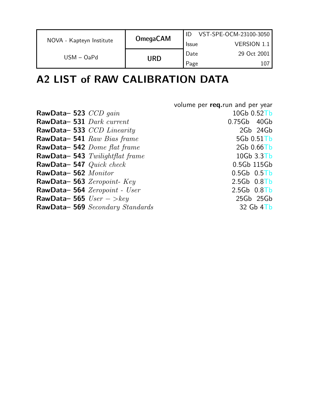|                          | <b>OmegaCAM</b> |              | VST-SPE-OCM-23100-3050 |
|--------------------------|-----------------|--------------|------------------------|
| NOVA - Kapteyn Institute |                 | <b>Issue</b> | <b>VERSION 1.1</b>     |
| $USM - OaPd$             | URD             | Date         | 29 Oct 2001            |
|                          |                 | Page         |                        |

## A2 LIST of RAW CALIBRATION DATA

|                                 | volume per req.run and per year |
|---------------------------------|---------------------------------|
| RawData-523 $CCD$ gain          | 10Gb 0.52Tb                     |
| RawData-531 Dark current        | $0.75Gb$ 40 $Gb$                |
| RawData-533 CCD Linearity       | 2Gb 24Gb                        |
| RawData-541 Raw Bias frame      | 5Gb 0.51Tb                      |
| RawData-542 Dome flat frame     | $2Gb$ 0.66 $Tb$                 |
| RawData-543 Twilightflat frame  | 10Gb 3.3Tb                      |
| RawData-547 Quick check         | 0.5Gb 115Gb                     |
| RawData-562 Monitor             | $0.5Gb$ $0.5Tb$                 |
| RawData-563 Zeropoint-Key       | $2.5Gb$ $0.8Tb$                 |
| RawData-564 Zeropoint - User    | $2.5Gb$ $0.8Tb$                 |
| RawData-565 $User -$ > $key$    | 25Gb 25Gb                       |
| RawData-569 Secondary Standards | $32$ Gb $4$ T <sub>b</sub>      |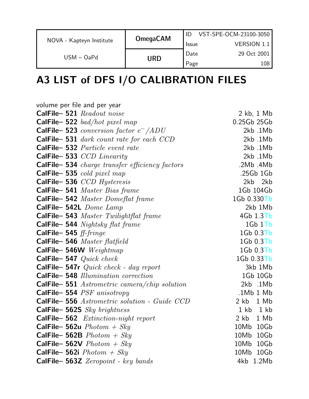|                          | <b>OmegaCAM</b> |              | VST-SPE-OCM-23100-3050 |
|--------------------------|-----------------|--------------|------------------------|
| NOVA - Kapteyn Institute |                 | <b>Issue</b> | <b>VERSION 1.1</b>     |
| $USM - OaPd$             | URD             | Date         | 29 Oct 2001            |
|                          |                 | Page         | 108                    |

# A3 LIST of DFS I/O CALIBRATION FILES

| volume per file and per year                    |                |
|-------------------------------------------------|----------------|
| CalFile-521 Readout noise                       | $2$ kb, $1$ Mb |
| CalFile-522 bad/hot pixel map                   | 0.25Gb 25Gb    |
| <b>CalFile-523</b> conversion factor $e^-$ /ADU | 2kb.1Mb        |
| <b>CalFile-531</b> dark count rate for each CCD | 2kb.1Mb        |
| <b>CalFile-532</b> Particle event rate          | 2kb.1Mb        |
| CalFile-533 CCD Linearity                       | 2kb.1Mb        |
| CalFile-534 charge transfer efficiency factors  | .2Mb .4Mb      |
| CalFile-535 cold pixel map                      | .25Gb 1Gb      |
| CalFile-536 CCD Hysteresis                      | 2kb 2kb        |
| <b>CalFile-541</b> Master Bias frame            | 1Gb 104Gb      |
| CalFile- 542 Master Domeflat frame              | 1Gb 0.330Tb    |
| CalFile-542L Dome Lamp                          | 2kb 1Mb        |
| CalFile-543 Master Twilightflat frame           | $4Gb$ $1.3Tb$  |
| <b>CalFile- 544</b> Nightsky flat frame         | 1Gb1Tb         |
| CalFile- 545 ff-fringe                          | $1Gb$ 0.3 $Tb$ |
| CalFile-546 Master flatfield                    | $1Gb$ 0.3 $Tb$ |
| CalFile- 546W $Weightmap$                       | 1Gb 0.3Tb      |
| CalFile- 547 $Quick$ check                      | 1Gb 0.33Tb     |
| CalFile-547r Quick check - day report           | 3kb 1Mb        |
| CalFile-548 Illumination correction             | 1Gb 10Gb       |
| CalFile-551 Astrometric camera/chip solution    | 2kb .1Mb       |
| CalFile- 554 $PSF$ anisotropy                   | .1Mb1Mb        |
| CalFile-556 Astrometric solution - Guide CCD    | $2kb$ 1 Mb     |
| CalFile-562S Sky brightness                     | $1kb$ $1kb$    |
| CalFile-562 Extinction-night report             | $2 kb$ $1 Mb$  |
| CalFile-562u $Photom + Sky$                     | 10Mb 10Gb      |
| <b>CalFile- 562B</b> $Photom + Sky$             | 10Mb 10Gb      |
| <b>CalFile- 562V</b> $Photon + Sky$             | 10Mb 10Gb      |
| <b>CalFile- 562i</b> $Photom + Sky$             | 10Mb 10Gb      |
| CalFile- 563Z Zeropoint - key bands             | 4kb 1.2Mb      |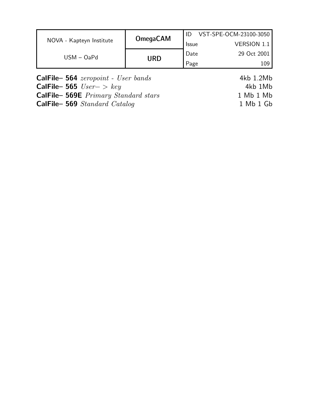| NOVA - Kapteyn Institute | <b>OmegaCAM</b> |              | VST-SPE-OCM-23100-3050 |
|--------------------------|-----------------|--------------|------------------------|
|                          |                 | <b>Issue</b> | VERSION 1.1            |
| $USM - OaPd$             | URD             | Date         | 29 Oct 2001            |
|                          |                 | Page         | 109                    |

| <b>CalFile- 564</b> $zeropoint - User bands$ | 4kb 1.2Mb |
|----------------------------------------------|-----------|
| <b>CalFile-565</b> $User->key$               | 4kb 1Mb   |
| <b>CalFile- 569E</b> Primary Standard stars  | 1 Mb 1 Mb |
| <b>CalFile-569</b> Standard Catalog          | 1 Mb 1 Gb |